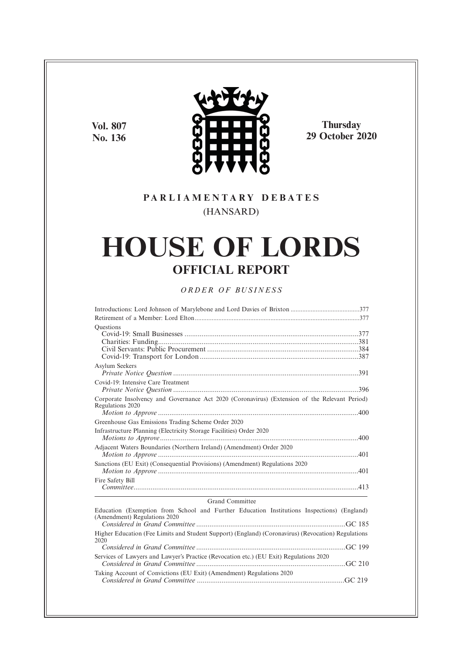**Vol. 807 No. 136**



**Thursday 29 October 2020**

# **P A R L I A M E N T A R Y D E B A T E S** (HANSARD)

# **HOUSE OF LORDS OFFICIAL REPORT**

# *O R D E R O F BU S I N E S S*

| <b>Questions</b>                                                                                                           |
|----------------------------------------------------------------------------------------------------------------------------|
| Asylum Seekers                                                                                                             |
| Covid-19: Intensive Care Treatment                                                                                         |
| Corporate Insolvency and Governance Act 2020 (Coronavirus) (Extension of the Relevant Period)<br>Regulations 2020          |
|                                                                                                                            |
| Greenhouse Gas Emissions Trading Scheme Order 2020                                                                         |
| Infrastructure Planning (Electricity Storage Facilities) Order 2020                                                        |
| Adjacent Waters Boundaries (Northern Ireland) (Amendment) Order 2020                                                       |
| Sanctions (EU Exit) (Consequential Provisions) (Amendment) Regulations 2020                                                |
| Fire Safety Bill                                                                                                           |
| Grand Committee                                                                                                            |
| Education (Exemption from School and Further Education Institutions Inspections) (England)<br>(Amendment) Regulations 2020 |
| Higher Education (Fee Limits and Student Support) (England) (Coronavirus) (Revocation) Regulations<br>2020                 |
|                                                                                                                            |
| Services of Lawyers and Lawyer's Practice (Revocation etc.) (EU Exit) Regulations 2020                                     |
| Taking Account of Convictions (EU Exit) (Amendment) Regulations 2020                                                       |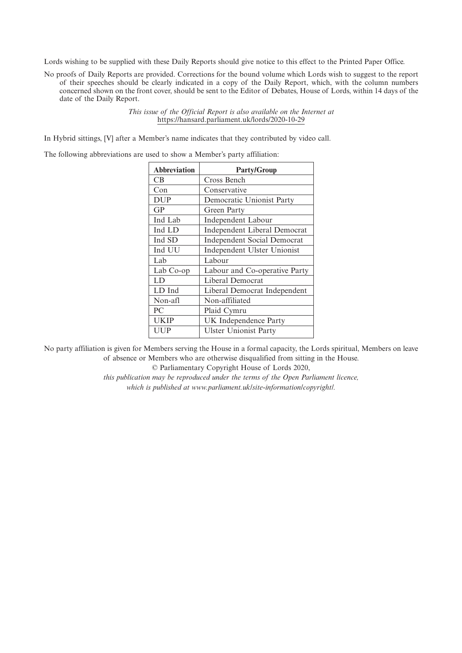Lords wishing to be supplied with these Daily Reports should give notice to this effect to the Printed Paper Office.

No proofs of Daily Reports are provided. Corrections for the bound volume which Lords wish to suggest to the report of their speeches should be clearly indicated in a copy of the Daily Report, which, with the column numbers concerned shown on the front cover, should be sent to the Editor of Debates, House of Lords, within 14 days of the date of the Daily Report.

> *This issue of the Official Report is also available on the Internet at* https://hansard.parliament.uk/lords/2020-10-29

In Hybrid sittings, [V] after a Member's name indicates that they contributed by video call.

The following abbreviations are used to show a Member's party affiliation:

| <b>Abbreviation</b> | <b>Party/Group</b>                  |
|---------------------|-------------------------------------|
| <b>CB</b>           | Cross Bench                         |
| Con                 | Conservative                        |
| <b>DUP</b>          | Democratic Unionist Party           |
| GP                  | Green Party                         |
| Ind Lab             | Independent Labour                  |
| Ind LD              | <b>Independent Liberal Democrat</b> |
| Ind SD              | <b>Independent Social Democrat</b>  |
| Ind UU              | Independent Ulster Unionist         |
| Lab                 | Labour                              |
| Lab Co-op           | Labour and Co-operative Party       |
| LD                  | Liberal Democrat                    |
| LD Ind              | Liberal Democrat Independent        |
| Non-afl             | Non-affiliated                      |
| PC                  | Plaid Cymru                         |
| <b>UKIP</b>         | UK Independence Party               |
| UUP                 | <b>Ulster Unionist Party</b>        |
|                     |                                     |

No party affiliation is given for Members serving the House in a formal capacity, the Lords spiritual, Members on leave of absence or Members who are otherwise disqualified from sitting in the House.

© Parliamentary Copyright House of Lords 2020,

*this publication may be reproduced under the terms of the Open Parliament licence, which is published at www.parliament.uk/site-information/copyright/.*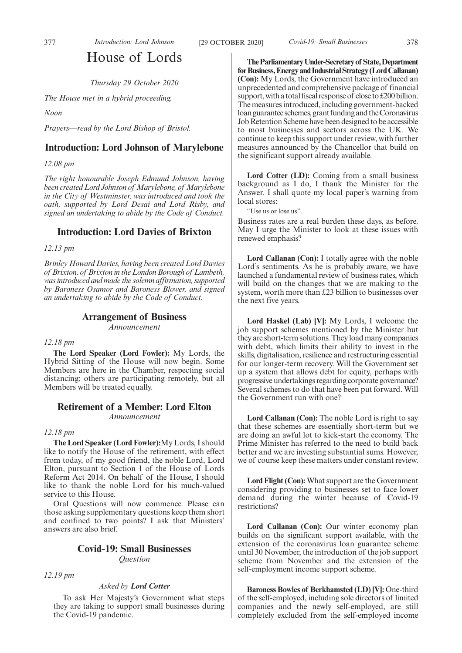# House of Lords

*Thursday 29 October 2020*

*The House met in a hybrid proceeding.*

*Noon*

*Prayers—read by the Lord Bishop of Bristol.*

## **Introduction: Lord Johnson of Marylebone**

*12.08 pm*

*The right honourable Joseph Edmund Johnson, having been created Lord Johnson of Marylebone, of Marylebone in the City of Westminster, was introduced and took the oath, supported by Lord Desai and Lord Risby, and signed an undertaking to abide by the Code of Conduct.*

## **Introduction: Lord Davies of Brixton**

*12.13 pm*

*Brinley Howard Davies, having been created Lord Davies of Brixton, of Brixton in the London Borough of Lambeth, was introduced and made the solemn affirmation, supported by Baroness Osamor and Baroness Blower, and signed an undertaking to abide by the Code of Conduct.*

# **Arrangement of Business**

*Announcement*

*12.18 pm*

**The Lord Speaker (Lord Fowler):** My Lords, the Hybrid Sitting of the House will now begin. Some Members are here in the Chamber, respecting social distancing; others are participating remotely, but all Members will be treated equally.

# **Retirement of a Member: Lord Elton**

*Announcement*

#### *12.18 pm*

**The Lord Speaker (Lord Fowler):**My Lords, I should like to notify the House of the retirement, with effect from today, of my good friend, the noble Lord, Lord Elton, pursuant to Section 1 of the House of Lords Reform Act 2014. On behalf of the House, I should like to thank the noble Lord for his much-valued service to this House.

Oral Questions will now commence. Please can those asking supplementary questions keep them short and confined to two points? I ask that Ministers' answers are also brief.

# **Covid-19: Small Businesses** *Question*

*12.19 pm*

#### *Asked by Lord Cotter*

To ask Her Majesty's Government what steps they are taking to support small businesses during the Covid-19 pandemic.

**TheParliamentaryUnder-Secretaryof State,Department** for Business, Energy and Industrial Strategy (Lord Callanan) **(Con):** My Lords, the Government have introduced an unprecedented and comprehensive package of financial support, with a total fiscal response of close to  $£200$  billion. The measures introduced, including government-backed loan guarantee schemes, grant funding and the Coronavirus Job Retention Scheme have been designed to be accessible to most businesses and sectors across the UK. We continue to keep this support under review, with further measures announced by the Chancellor that build on the significant support already available.

**Lord Cotter (LD):** Coming from a small business background as I do, I thank the Minister for the Answer. I shall quote my local paper's warning from local stores:

"Use us or lose us".

Business rates are a real burden these days, as before. May I urge the Minister to look at these issues with renewed emphasis?

**Lord Callanan (Con):** I totally agree with the noble Lord's sentiments. As he is probably aware, we have launched a fundamental review of business rates, which will build on the changes that we are making to the system, worth more than £23 billion to businesses over the next five years.

**Lord Haskel (Lab) [V]:** My Lords, I welcome the job support schemes mentioned by the Minister but they are short-term solutions. They load many companies with debt, which limits their ability to invest in the skills, digitalisation, resilience and restructuring essential for our longer-term recovery. Will the Government set up a system that allows debt for equity, perhaps with progressive undertakings regarding corporate governance? Several schemes to do that have been put forward. Will the Government run with one?

**Lord Callanan (Con):** The noble Lord is right to say that these schemes are essentially short-term but we are doing an awful lot to kick-start the economy. The Prime Minister has referred to the need to build back better and we are investing substantial sums. However, we of course keep these matters under constant review.

**Lord Flight (Con):** What support are the Government considering providing to businesses set to face lower demand during the winter because of Covid-19 restrictions?

**Lord Callanan (Con):** Our winter economy plan builds on the significant support available, with the extension of the coronavirus loan guarantee scheme until 30 November, the introduction of the job support scheme from November and the extension of the self-employment income support scheme.

**Baroness Bowles of Berkhamsted (LD) [V]:** One-third of the self-employed, including sole directors of limited companies and the newly self-employed, are still completely excluded from the self-employed income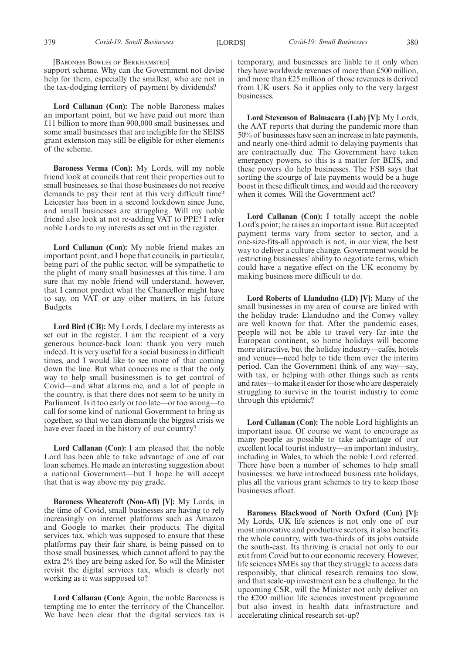[BARONESS BOWLES OF BERKHAMSTED]

support scheme. Why can the Government not devise help for them, especially the smallest, who are not in the tax-dodging territory of payment by dividends?

**Lord Callanan (Con):** The noble Baroness makes an important point, but we have paid out more than £11 billion to more than 900,000 small businesses, and some small businesses that are ineligible for the SEISS grant extension may still be eligible for other elements of the scheme.

**Baroness Verma (Con):** My Lords, will my noble friend look at councils that rent their properties out to small businesses, so that those businesses do not receive demands to pay their rent at this very difficult time? Leicester has been in a second lockdown since June, and small businesses are struggling. Will my noble friend also look at not re-adding VAT to PPE? I refer noble Lords to my interests as set out in the register.

**Lord Callanan (Con):** My noble friend makes an important point, and I hope that councils, in particular, being part of the public sector, will be sympathetic to the plight of many small businesses at this time. I am sure that my noble friend will understand, however, that I cannot predict what the Chancellor might have to say, on VAT or any other matters, in his future Budgets.

**Lord Bird (CB):** My Lords, I declare my interests as set out in the register. I am the recipient of a very generous bounce-back loan: thank you very much indeed. It is very useful for a social business in difficult times, and I would like to see more of that coming down the line. But what concerns me is that the only way to help small businessmen is to get control of Covid—and what alarms me, and a lot of people in the country, is that there does not seem to be unity in Parliament. Is it too early or too late—or too wrong—to call for some kind of national Government to bring us together, so that we can dismantle the biggest crisis we have ever faced in the history of our country?

**Lord Callanan (Con):** I am pleased that the noble Lord has been able to take advantage of one of our loan schemes. He made an interesting suggestion about a national Government—but I hope he will accept that that is way above my pay grade.

**Baroness Wheatcroft (Non-Afl) [V]:** My Lords, in the time of Covid, small businesses are having to rely increasingly on internet platforms such as Amazon and Google to market their products. The digital services tax, which was supposed to ensure that these platforms pay their fair share, is being passed on to those small businesses, which cannot afford to pay the extra 2% they are being asked for. So will the Minister revisit the digital services tax, which is clearly not working as it was supposed to?

**Lord Callanan (Con):** Again, the noble Baroness is tempting me to enter the territory of the Chancellor. We have been clear that the digital services tax is temporary, and businesses are liable to it only when they have worldwide revenues of more than £500 million, and more than £25 million of those revenues is derived from UK users. So it applies only to the very largest businesses.

**Lord Stevenson of Balmacara (Lab) [V]:** My Lords, the AAT reports that during the pandemic more than 50% of businesses have seen an increase in late payments, and nearly one-third admit to delaying payments that are contractually due. The Government have taken emergency powers, so this is a matter for BEIS, and these powers do help businesses. The FSB says that sorting the scourge of late payments would be a huge boost in these difficult times, and would aid the recovery when it comes. Will the Government act?

**Lord Callanan (Con):** I totally accept the noble Lord's point; he raises an important issue. But accepted payment terms vary from sector to sector, and a one-size-fits-all approach is not, in our view, the best way to deliver a culture change. Government would be restricting businesses' ability to negotiate terms, which could have a negative effect on the UK economy by making business more difficult to do.

**Lord Roberts of Llandudno (LD) [V]:** Many of the small businesses in my area of course are linked with the holiday trade: Llandudno and the Conwy valley are well known for that. After the pandemic eases, people will not be able to travel very far into the European continent, so home holidays will become more attractive, but the holiday industry—cafés, hotels and venues—need help to tide them over the interim period. Can the Government think of any way—say, with tax, or helping with other things such as rents and rates—to make it easier for those who are desperately struggling to survive in the tourist industry to come through this epidemic?

**Lord Callanan (Con):** The noble Lord highlights an important issue. Of course we want to encourage as many people as possible to take advantage of our excellent local tourist industry—an important industry, including in Wales, to which the noble Lord referred. There have been a number of schemes to help small businesses: we have introduced business rate holidays, plus all the various grant schemes to try to keep those businesses afloat.

**Baroness Blackwood of North Oxford (Con) [V]:** My Lords, UK life sciences is not only one of our most innovative and productive sectors, it also benefits the whole country, with two-thirds of its jobs outside the south-east. Its thriving is crucial not only to our exit from Covid but to our economic recovery. However, life sciences SMEs say that they struggle to access data responsibly, that clinical research remains too slow, and that scale-up investment can be a challenge. In the upcoming CSR, will the Minister not only deliver on the £200 million life sciences investment programme but also invest in health data infrastructure and accelerating clinical research set-up?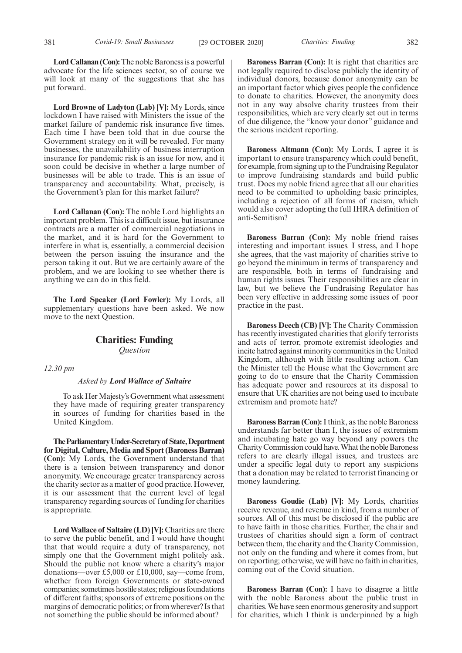**Lord Callanan (Con):**The noble Baroness is a powerful advocate for the life sciences sector, so of course we will look at many of the suggestions that she has put forward.

**Lord Browne of Ladyton (Lab) [V]:** My Lords, since lockdown I have raised with Ministers the issue of the market failure of pandemic risk insurance five times. Each time I have been told that in due course the Government strategy on it will be revealed. For many businesses, the unavailability of business interruption insurance for pandemic risk is an issue for now, and it soon could be decisive in whether a large number of businesses will be able to trade. This is an issue of transparency and accountability. What, precisely, is the Government's plan for this market failure?

**Lord Callanan (Con):** The noble Lord highlights an important problem. This is a difficult issue, but insurance contracts are a matter of commercial negotiations in the market, and it is hard for the Government to interfere in what is, essentially, a commercial decision between the person issuing the insurance and the person taking it out. But we are certainly aware of the problem, and we are looking to see whether there is anything we can do in this field.

**The Lord Speaker (Lord Fowler):** My Lords, all supplementary questions have been asked. We now move to the next Question.

# **Charities: Funding** *Question*

*12.30 pm*

#### *Asked by Lord Wallace of Saltaire*

To ask Her Majesty's Government what assessment they have made of requiring greater transparency in sources of funding for charities based in the United Kingdom.

**TheParliamentaryUnder-Secretaryof State,Department for Digital, Culture, Media and Sport (Baroness Barran) (Con):** My Lords, the Government understand that there is a tension between transparency and donor anonymity. We encourage greater transparency across the charity sector as a matter of good practice. However, it is our assessment that the current level of legal transparency regarding sources of funding for charities is appropriate.

**Lord Wallace of Saltaire (LD) [V]:** Charities are there to serve the public benefit, and I would have thought that that would require a duty of transparency, not simply one that the Government might politely ask. Should the public not know where a charity's major donations—over £5,000 or £10,000, say—come from, whether from foreign Governments or state-owned companies; sometimes hostile states; religious foundations of different faiths; sponsors of extreme positions on the margins of democratic politics; or from wherever? Is that not something the public should be informed about?

**Baroness Barran (Con):** It is right that charities are not legally required to disclose publicly the identity of individual donors, because donor anonymity can be an important factor which gives people the confidence to donate to charities. However, the anonymity does not in any way absolve charity trustees from their responsibilities, which are very clearly set out in terms of due diligence, the "know your donor" guidance and the serious incident reporting.

**Baroness Altmann (Con):** My Lords, I agree it is important to ensure transparency which could benefit, for example, from signing up to the Fundraising Regulator to improve fundraising standards and build public trust. Does my noble friend agree that all our charities need to be committed to upholding basic principles, including a rejection of all forms of racism, which would also cover adopting the full IHRA definition of anti-Semitism?

**Baroness Barran (Con):** My noble friend raises interesting and important issues. I stress, and I hope she agrees, that the vast majority of charities strive to go beyond the minimum in terms of transparency and are responsible, both in terms of fundraising and human rights issues. Their responsibilities are clear in law, but we believe the Fundraising Regulator has been very effective in addressing some issues of poor practice in the past.

**Baroness Deech (CB) [V]:** The Charity Commission has recently investigated charities that glorify terrorists and acts of terror, promote extremist ideologies and incite hatred against minority communities in the United Kingdom, although with little resulting action. Can the Minister tell the House what the Government are going to do to ensure that the Charity Commission has adequate power and resources at its disposal to ensure that UK charities are not being used to incubate extremism and promote hate?

**Baroness Barran (Con):**I think, as the noble Baroness understands far better than I, the issues of extremism and incubating hate go way beyond any powers the Charity Commission could have. What the noble Baroness refers to are clearly illegal issues, and trustees are under a specific legal duty to report any suspicions that a donation may be related to terrorist financing or money laundering.

**Baroness Goudie (Lab) [V]:** My Lords, charities receive revenue, and revenue in kind, from a number of sources. All of this must be disclosed if the public are to have faith in those charities. Further, the chair and trustees of charities should sign a form of contract between them, the charity and the Charity Commission, not only on the funding and where it comes from, but on reporting; otherwise, we will have no faith in charities, coming out of the Covid situation.

**Baroness Barran (Con):** I have to disagree a little with the noble Baroness about the public trust in charities. We have seen enormous generosity and support for charities, which I think is underpinned by a high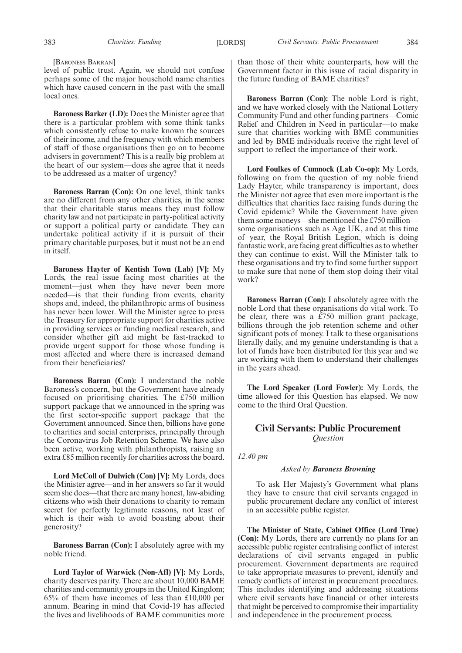[BARONESS BARRAN]

level of public trust. Again, we should not confuse perhaps some of the major household name charities which have caused concern in the past with the small local ones.

**Baroness Barker (LD):** Does the Minister agree that there is a particular problem with some think tanks which consistently refuse to make known the sources of their income, and the frequency with which members of staff of those organisations then go on to become advisers in government? This is a really big problem at the heart of our system—does she agree that it needs to be addressed as a matter of urgency?

**Baroness Barran (Con):** On one level, think tanks are no different from any other charities, in the sense that their charitable status means they must follow charity law and not participate in party-political activity or support a political party or candidate. They can undertake political activity if it is pursuit of their primary charitable purposes, but it must not be an end in itself.

**Baroness Hayter of Kentish Town (Lab) [V]:** My Lords, the real issue facing most charities at the moment—just when they have never been more needed—is that their funding from events, charity shops and, indeed, the philanthropic arms of business has never been lower. Will the Minister agree to press the Treasury for appropriate support for charities active in providing services or funding medical research, and consider whether gift aid might be fast-tracked to provide urgent support for those whose funding is most affected and where there is increased demand from their beneficiaries?

**Baroness Barran (Con):** I understand the noble Baroness's concern, but the Government have already focused on prioritising charities. The £750 million support package that we announced in the spring was the first sector-specific support package that the Government announced. Since then, billions have gone to charities and social enterprises, principally through the Coronavirus Job Retention Scheme. We have also been active, working with philanthropists, raising an extra £85 million recently for charities across the board.

**Lord McColl of Dulwich (Con) [V]:** My Lords, does the Minister agree—and in her answers so far it would seem she does—that there are many honest, law-abiding citizens who wish their donations to charity to remain secret for perfectly legitimate reasons, not least of which is their wish to avoid boasting about their generosity?

**Baroness Barran (Con):** I absolutely agree with my noble friend.

**Lord Taylor of Warwick (Non-Afl) [V]:** My Lords, charity deserves parity. There are about 10,000 BAME charities and community groups in the United Kingdom; 65% of them have incomes of less than £10,000 per annum. Bearing in mind that Covid-19 has affected the lives and livelihoods of BAME communities more than those of their white counterparts, how will the Government factor in this issue of racial disparity in the future funding of BAME charities?

**Baroness Barran (Con):** The noble Lord is right, and we have worked closely with the National Lottery Community Fund and other funding partners—Comic Relief and Children in Need in particular—to make sure that charities working with BME communities and led by BME individuals receive the right level of support to reflect the importance of their work.

**Lord Foulkes of Cumnock (Lab Co-op):** My Lords, following on from the question of my noble friend Lady Hayter, while transparency is important, does the Minister not agree that even more important is the difficulties that charities face raising funds during the Covid epidemic? While the Government have given them some moneys—she mentioned the £750 million some organisations such as Age UK, and at this time of year, the Royal British Legion, which is doing fantastic work, are facing great difficulties as to whether they can continue to exist. Will the Minister talk to these organisations and try to find some further support to make sure that none of them stop doing their vital work?

**Baroness Barran (Con):** I absolutely agree with the noble Lord that these organisations do vital work. To be clear, there was a £750 million grant package, billions through the job retention scheme and other significant pots of money. I talk to these organisations literally daily, and my genuine understanding is that a lot of funds have been distributed for this year and we are working with them to understand their challenges in the years ahead.

**The Lord Speaker (Lord Fowler):** My Lords, the time allowed for this Question has elapsed. We now come to the third Oral Question.

# **Civil Servants: Public Procurement** *Question*

*12.40 pm*

#### *Asked by Baroness Browning*

To ask Her Majesty's Government what plans they have to ensure that civil servants engaged in public procurement declare any conflict of interest in an accessible public register.

**The Minister of State, Cabinet Office (Lord True) (Con):** My Lords, there are currently no plans for an accessible public register centralising conflict of interest declarations of civil servants engaged in public procurement. Government departments are required to take appropriate measures to prevent, identify and remedy conflicts of interest in procurement procedures. This includes identifying and addressing situations where civil servants have financial or other interests that might be perceived to compromise their impartiality and independence in the procurement process.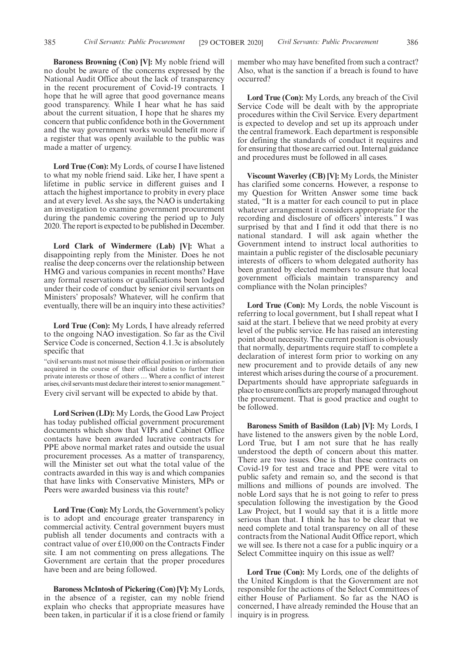**Baroness Browning (Con) [V]:** My noble friend will no doubt be aware of the concerns expressed by the National Audit Office about the lack of transparency in the recent procurement of Covid-19 contracts. I hope that he will agree that good governance means good transparency. While I hear what he has said about the current situation, I hope that he shares my concern that public confidence both in the Government and the way government works would benefit more if a register that was openly available to the public was made a matter of urgency.

**Lord True (Con):** My Lords, of course I have listened to what my noble friend said. Like her, I have spent a lifetime in public service in different guises and I attach the highest importance to probity in every place and at every level. As she says, the NAO is undertaking an investigation to examine government procurement during the pandemic covering the period up to July 2020. The report is expected to be published in December.

**Lord Clark of Windermere (Lab) [V]:** What a disappointing reply from the Minister. Does he not realise the deep concerns over the relationship between HMG and various companies in recent months? Have any formal reservations or qualifications been lodged under their code of conduct by senior civil servants on Ministers' proposals? Whatever, will he confirm that eventually, there will be an inquiry into these activities?

**Lord True (Con):** My Lords, I have already referred to the ongoing NAO investigation. So far as the Civil Service Code is concerned, Section 4.1.3c is absolutely specific that

"civil servants must not misuse their official position or information acquired in the course of their official duties to further their private interests or those of others … Where a conflict of interest arises, civil servants must declare their interest to senior management." Every civil servant will be expected to abide by that.

**Lord Scriven (LD):** My Lords, the Good Law Project has today published official government procurement documents which show that VIPs and Cabinet Office contacts have been awarded lucrative contracts for PPE above normal market rates and outside the usual procurement processes. As a matter of transparency, will the Minister set out what the total value of the contracts awarded in this way is and which companies that have links with Conservative Ministers, MPs or Peers were awarded business via this route?

**Lord True (Con):** My Lords, the Government's policy is to adopt and encourage greater transparency in commercial activity. Central government buyers must publish all tender documents and contracts with a contract value of over £10,000 on the Contracts Finder site. I am not commenting on press allegations. The Government are certain that the proper procedures have been and are being followed.

**Baroness McIntosh of Pickering (Con) [V]:** My Lords, in the absence of a register, can my noble friend explain who checks that appropriate measures have been taken, in particular if it is a close friend or family member who may have benefited from such a contract? Also, what is the sanction if a breach is found to have occurred?

**Lord True (Con):** My Lords, any breach of the Civil Service Code will be dealt with by the appropriate procedures within the Civil Service. Every department is expected to develop and set up its approach under the central framework. Each department is responsible for defining the standards of conduct it requires and for ensuring that those are carried out. Internal guidance and procedures must be followed in all cases.

**Viscount Waverley (CB) [V]:** My Lords, the Minister has clarified some concerns. However, a response to my Question for Written Answer some time back stated, "It is a matter for each council to put in place whatever arrangement it considers appropriate for the recording and disclosure of officers' interests." I was surprised by that and I find it odd that there is no national standard. I will ask again whether the Government intend to instruct local authorities to maintain a public register of the disclosable pecuniary interests of officers to whom delegated authority has been granted by elected members to ensure that local government officials maintain transparency and compliance with the Nolan principles?

**Lord True (Con):** My Lords, the noble Viscount is referring to local government, but I shall repeat what I said at the start. I believe that we need probity at every level of the public service. He has raised an interesting point about necessity. The current position is obviously that normally, departments require staff to complete a declaration of interest form prior to working on any new procurement and to provide details of any new interest which arises during the course of a procurement. Departments should have appropriate safeguards in place to ensure conflicts are properly managed throughout the procurement. That is good practice and ought to be followed.

**Baroness Smith of Basildon (Lab) [V]:** My Lords, I have listened to the answers given by the noble Lord, Lord True, but I am not sure that he has really understood the depth of concern about this matter. There are two issues. One is that these contracts on Covid-19 for test and trace and PPE were vital to public safety and remain so, and the second is that millions and millions of pounds are involved. The noble Lord says that he is not going to refer to press speculation following the investigation by the Good Law Project, but I would say that it is a little more serious than that. I think he has to be clear that we need complete and total transparency on all of these contracts from the National Audit Office report, which we will see. Is there not a case for a public inquiry or a Select Committee inquiry on this issue as well?

**Lord True (Con):** My Lords, one of the delights of the United Kingdom is that the Government are not responsible for the actions of the Select Committees of either House of Parliament. So far as the NAO is concerned, I have already reminded the House that an inquiry is in progress.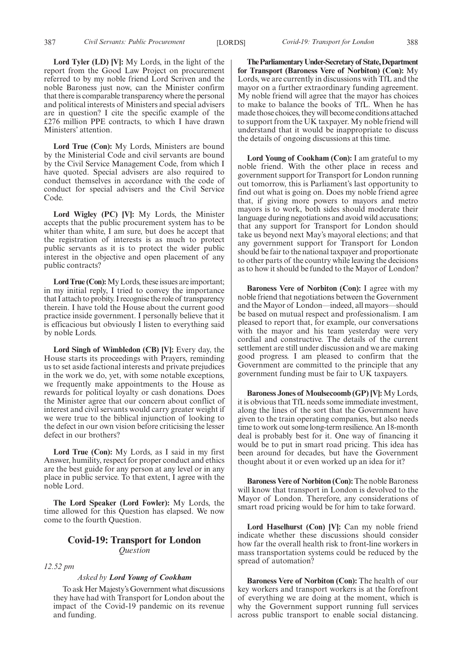**Lord Tyler (LD) [V]:** My Lords, in the light of the report from the Good Law Project on procurement referred to by my noble friend Lord Scriven and the noble Baroness just now, can the Minister confirm that there is comparable transparency where the personal and political interests of Ministers and special advisers are in question? I cite the specific example of the £276 million PPE contracts, to which I have drawn Ministers' attention.

**Lord True (Con):** My Lords, Ministers are bound by the Ministerial Code and civil servants are bound by the Civil Service Management Code, from which I have quoted. Special advisers are also required to conduct themselves in accordance with the code of conduct for special advisers and the Civil Service Code.

**Lord Wigley (PC) [V]:** My Lords, the Minister accepts that the public procurement system has to be whiter than white, I am sure, but does he accept that the registration of interests is as much to protect public servants as it is to protect the wider public interest in the objective and open placement of any public contracts?

**Lord True (Con):**My Lords, these issues are important; in my initial reply, I tried to convey the importance that I attach to probity. I recognise the role of transparency therein. I have told the House about the current good practice inside government. I personally believe that it is efficacious but obviously I listen to everything said by noble Lords.

**Lord Singh of Wimbledon (CB) [V]:** Every day, the House starts its proceedings with Prayers, reminding us to set aside factional interests and private prejudices in the work we do, yet, with some notable exceptions, we frequently make appointments to the House as rewards for political loyalty or cash donations. Does the Minister agree that our concern about conflict of interest and civil servants would carry greater weight if we were true to the biblical injunction of looking to the defect in our own vision before criticising the lesser defect in our brothers?

**Lord True (Con):** My Lords, as I said in my first Answer, humility, respect for proper conduct and ethics are the best guide for any person at any level or in any place in public service. To that extent, I agree with the noble Lord.

**The Lord Speaker (Lord Fowler):** My Lords, the time allowed for this Question has elapsed. We now come to the fourth Question.

### **Covid-19: Transport for London** *Question*

### *12.52 pm*

#### *Asked by Lord Young of Cookham*

To ask Her Majesty's Government what discussions they have had with Transport for London about the impact of the Covid-19 pandemic on its revenue and funding.

**TheParliamentaryUnder-Secretaryof State,Department for Transport (Baroness Vere of Norbiton) (Con):** My Lords, we are currently in discussions with TfL and the mayor on a further extraordinary funding agreement. My noble friend will agree that the mayor has choices to make to balance the books of TfL. When he has made those choices, they will become conditions attached to support from the UK taxpayer. My noble friend will understand that it would be inappropriate to discuss the details of ongoing discussions at this time.

**Lord Young of Cookham (Con):** I am grateful to my noble friend. With the other place in recess and government support for Transport for London running out tomorrow, this is Parliament's last opportunity to find out what is going on. Does my noble friend agree that, if giving more powers to mayors and metro mayors is to work, both sides should moderate their language during negotiations and avoid wild accusations; that any support for Transport for London should take us beyond next May's mayoral elections; and that any government support for Transport for London should be fair to the national taxpayer and proportionate to other parts of the country while leaving the decisions as to how it should be funded to the Mayor of London?

**Baroness Vere of Norbiton (Con):** I agree with my noble friend that negotiations between the Government and the Mayor of London—indeed, all mayors—should be based on mutual respect and professionalism. I am pleased to report that, for example, our conversations with the mayor and his team yesterday were very cordial and constructive. The details of the current settlement are still under discussion and we are making good progress. I am pleased to confirm that the Government are committed to the principle that any government funding must be fair to UK taxpayers.

**Baroness Jones of Moulsecoomb (GP) [V]:** My Lords, it is obvious that TfL needs some immediate investment, along the lines of the sort that the Government have given to the train operating companies, but also needs time to work out some long-term resilience. An 18-month deal is probably best for it. One way of financing it would be to put in smart road pricing. This idea has been around for decades, but have the Government thought about it or even worked up an idea for it?

**Baroness Vere of Norbiton (Con):** The noble Baroness will know that transport in London is devolved to the Mayor of London. Therefore, any considerations of smart road pricing would be for him to take forward.

**Lord Haselhurst (Con) [V]:** Can my noble friend indicate whether these discussions should consider how far the overall health risk to front-line workers in mass transportation systems could be reduced by the spread of automation?

**Baroness Vere of Norbiton (Con):** The health of our key workers and transport workers is at the forefront of everything we are doing at the moment, which is why the Government support running full services across public transport to enable social distancing.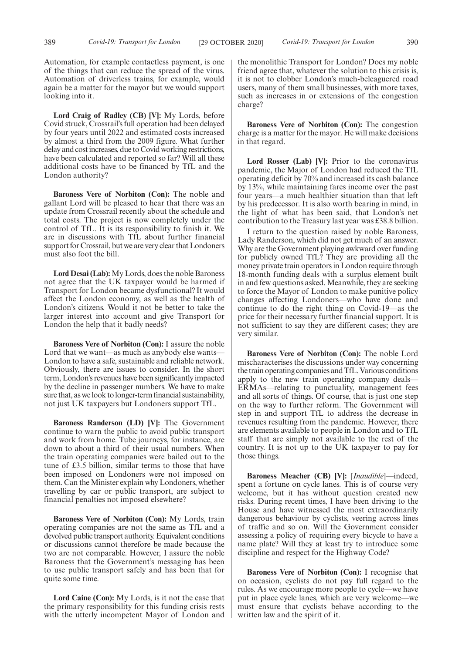Automation, for example contactless payment, is one of the things that can reduce the spread of the virus. Automation of driverless trains, for example, would again be a matter for the mayor but we would support looking into it.

**Lord Craig of Radley (CB) [V]:** My Lords, before Covid struck, Crossrail's full operation had been delayed by four years until 2022 and estimated costs increased by almost a third from the 2009 figure. What further delay and cost increases, due to Covid working restrictions, have been calculated and reported so far? Will all these additional costs have to be financed by TfL and the London authority?

**Baroness Vere of Norbiton (Con):** The noble and gallant Lord will be pleased to hear that there was an update from Crossrail recently about the schedule and total costs. The project is now completely under the control of TfL. It is its responsibility to finish it. We are in discussions with TfL about further financial support for Crossrail, but we are very clear that Londoners must also foot the bill.

**Lord Desai (Lab):** My Lords, does the noble Baroness not agree that the UK taxpayer would be harmed if Transport for London became dysfunctional? It would affect the London economy, as well as the health of London's citizens. Would it not be better to take the larger interest into account and give Transport for London the help that it badly needs?

**Baroness Vere of Norbiton (Con):** I assure the noble Lord that we want—as much as anybody else wants— London to have a safe, sustainable and reliable network. Obviously, there are issues to consider. In the short term, London's revenues have been significantly impacted by the decline in passenger numbers. We have to make sure that, as we look to longer-term financial sustainability, not just UK taxpayers but Londoners support TfL.

**Baroness Randerson (LD) [V]:** The Government continue to warn the public to avoid public transport and work from home. Tube journeys, for instance, are down to about a third of their usual numbers. When the train operating companies were bailed out to the tune of £3.5 billion, similar terms to those that have been imposed on Londoners were not imposed on them. Can the Minister explain why Londoners, whether travelling by car or public transport, are subject to financial penalties not imposed elsewhere?

**Baroness Vere of Norbiton (Con):** My Lords, train operating companies are not the same as TfL and a devolved public transport authority. Equivalent conditions or discussions cannot therefore be made because the two are not comparable. However, I assure the noble Baroness that the Government's messaging has been to use public transport safely and has been that for quite some time.

**Lord Caine (Con):** My Lords, is it not the case that the primary responsibility for this funding crisis rests with the utterly incompetent Mayor of London and the monolithic Transport for London? Does my noble friend agree that, whatever the solution to this crisis is, it is not to clobber London's much-beleaguered road users, many of them small businesses, with more taxes, such as increases in or extensions of the congestion charge?

**Baroness Vere of Norbiton (Con):** The congestion charge is a matter for the mayor. He will make decisions in that regard.

**Lord Rosser (Lab) [V]:** Prior to the coronavirus pandemic, the Major of London had reduced the TfL operating deficit by 70% and increased its cash balance by 13%, while maintaining fares income over the past four years—a much healthier situation than that left by his predecessor. It is also worth bearing in mind, in the light of what has been said, that London's net contribution to the Treasury last year was £38.8 billion.

I return to the question raised by noble Baroness, Lady Randerson, which did not get much of an answer. Why are the Government playing awkward over funding for publicly owned TfL? They are providing all the money private train operators in London require through 18-month funding deals with a surplus element built in and few questions asked. Meanwhile, they are seeking to force the Mayor of London to make punitive policy changes affecting Londoners—who have done and continue to do the right thing on Covid-19—as the price for their necessary further financial support. It is not sufficient to say they are different cases; they are very similar.

**Baroness Vere of Norbiton (Con):** The noble Lord mischaracterises the discussions under way concerning the train operating companies and TfL. Various conditions apply to the new train operating company deals— ERMAs—relating to punctuality, management fees and all sorts of things. Of course, that is just one step on the way to further reform. The Government will step in and support TfL to address the decrease in revenues resulting from the pandemic. However, there are elements available to people in London and to TfL staff that are simply not available to the rest of the country. It is not up to the UK taxpayer to pay for those things.

**Baroness Meacher (CB) [V]:** [*Inaudible*]—indeed, spent a fortune on cycle lanes. This is of course very welcome, but it has without question created new risks. During recent times, I have been driving to the House and have witnessed the most extraordinarily dangerous behaviour by cyclists, veering across lines of traffic and so on. Will the Government consider assessing a policy of requiring every bicycle to have a name plate? Will they at least try to introduce some discipline and respect for the Highway Code?

**Baroness Vere of Norbiton (Con):** I recognise that on occasion, cyclists do not pay full regard to the rules. As we encourage more people to cycle—we have put in place cycle lanes, which are very welcome—we must ensure that cyclists behave according to the written law and the spirit of it.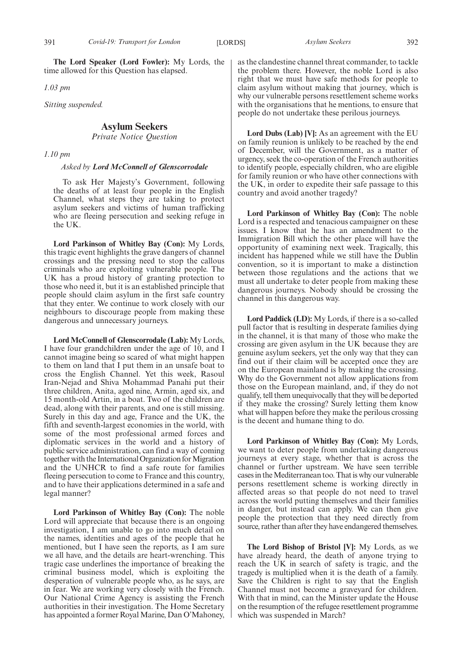*1.03 pm*

*Sitting suspended.*

# **Asylum Seekers**

*Private Notice Question*

*1.10 pm*

#### *Asked by Lord McConnell of Glenscorrodale*

To ask Her Majesty's Government, following the deaths of at least four people in the English Channel, what steps they are taking to protect asylum seekers and victims of human trafficking who are fleeing persecution and seeking refuge in the UK.

**Lord Parkinson of Whitley Bay (Con):** My Lords, this tragic event highlights the grave dangers of channel crossings and the pressing need to stop the callous criminals who are exploiting vulnerable people. The UK has a proud history of granting protection to those who need it, but it is an established principle that people should claim asylum in the first safe country that they enter. We continue to work closely with our neighbours to discourage people from making these dangerous and unnecessary journeys.

**Lord McConnell of Glenscorrodale (Lab):** My Lords, I have four grandchildren under the age of 10, and I cannot imagine being so scared of what might happen to them on land that I put them in an unsafe boat to cross the English Channel. Yet this week, Rasoul Iran-Nejad and Shiva Mohammad Panahi put their three children, Anita, aged nine, Armin, aged six, and 15 month-old Artin, in a boat. Two of the children are dead, along with their parents, and one is still missing. Surely in this day and age, France and the UK, the fifth and seventh-largest economies in the world, with some of the most professional armed forces and diplomatic services in the world and a history of public service administration, can find a way of coming together with the International Organization for Migration and the UNHCR to find a safe route for families fleeing persecution to come to France and this country, and to have their applications determined in a safe and legal manner?

**Lord Parkinson of Whitley Bay (Con):** The noble Lord will appreciate that because there is an ongoing investigation, I am unable to go into much detail on the names, identities and ages of the people that he mentioned, but I have seen the reports, as I am sure we all have, and the details are heart-wrenching. This tragic case underlines the importance of breaking the criminal business model, which is exploiting the desperation of vulnerable people who, as he says, are in fear. We are working very closely with the French. Our National Crime Agency is assisting the French authorities in their investigation. The Home Secretary has appointed a former Royal Marine, Dan O'Mahoney,

as the clandestine channel threat commander, to tackle the problem there. However, the noble Lord is also right that we must have safe methods for people to claim asylum without making that journey, which is why our vulnerable persons resettlement scheme works with the organisations that he mentions, to ensure that people do not undertake these perilous journeys.

**Lord Dubs (Lab) [V]:** As an agreement with the EU on family reunion is unlikely to be reached by the end of December, will the Government, as a matter of urgency, seek the co-operation of the French authorities to identify people, especially children, who are eligible for family reunion or who have other connections with the UK, in order to expedite their safe passage to this country and avoid another tragedy?

**Lord Parkinson of Whitley Bay (Con):** The noble Lord is a respected and tenacious campaigner on these issues. I know that he has an amendment to the Immigration Bill which the other place will have the opportunity of examining next week. Tragically, this incident has happened while we still have the Dublin convention, so it is important to make a distinction between those regulations and the actions that we must all undertake to deter people from making these dangerous journeys. Nobody should be crossing the channel in this dangerous way.

**Lord Paddick (LD):** My Lords, if there is a so-called pull factor that is resulting in desperate families dying in the channel, it is that many of those who make the crossing are given asylum in the UK because they are genuine asylum seekers, yet the only way that they can find out if their claim will be accepted once they are on the European mainland is by making the crossing. Why do the Government not allow applications from those on the European mainland, and, if they do not qualify, tell them unequivocally that they will be deported if they make the crossing? Surely letting them know what will happen before they make the perilous crossing is the decent and humane thing to do.

**Lord Parkinson of Whitley Bay (Con):** My Lords, we want to deter people from undertaking dangerous journeys at every stage, whether that is across the channel or further upstream. We have seen terrible cases in the Mediterranean too. That is why our vulnerable persons resettlement scheme is working directly in affected areas so that people do not need to travel across the world putting themselves and their families in danger, but instead can apply. We can then give people the protection that they need directly from source, rather than after they have endangered themselves.

**The Lord Bishop of Bristol [V]:** My Lords, as we have already heard, the death of anyone trying to reach the UK in search of safety is tragic, and the tragedy is multiplied when it is the death of a family. Save the Children is right to say that the English Channel must not become a graveyard for children. With that in mind, can the Minister update the House on the resumption of the refugee resettlement programme which was suspended in March?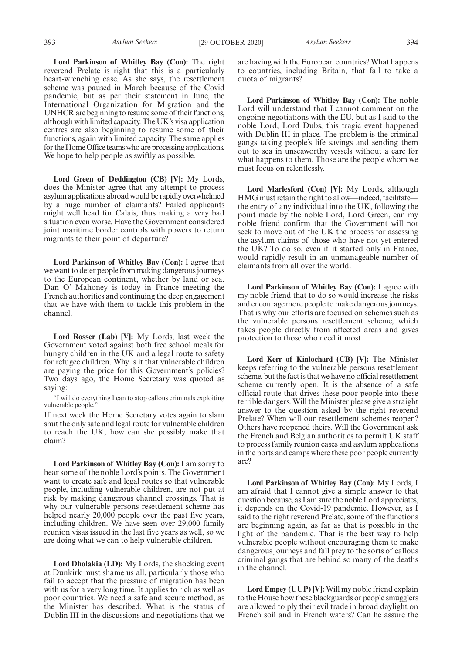**Lord Parkinson of Whitley Bay (Con):** The right reverend Prelate is right that this is a particularly heart-wrenching case. As she says, the resettlement scheme was paused in March because of the Covid pandemic, but as per their statement in June, the International Organization for Migration and the UNHCR are beginning to resume some of their functions, although with limited capacity. The UK's visa application centres are also beginning to resume some of their functions, again with limited capacity. The same applies for the Home Office teams who are processing applications. We hope to help people as swiftly as possible.

**Lord Green of Deddington (CB) [V]:** My Lords, does the Minister agree that any attempt to process asylum applications abroad would be rapidly overwhelmed by a huge number of claimants? Failed applicants might well head for Calais, thus making a very bad situation even worse. Have the Government considered joint maritime border controls with powers to return migrants to their point of departure?

**Lord Parkinson of Whitley Bay (Con):** I agree that we want to deter people from making dangerous journeys to the European continent, whether by land or sea. Dan O' Mahoney is today in France meeting the French authorities and continuing the deep engagement that we have with them to tackle this problem in the channel.

**Lord Rosser (Lab) [V]:** My Lords, last week the Government voted against both free school meals for hungry children in the UK and a legal route to safety for refugee children. Why is it that vulnerable children are paying the price for this Government's policies? Two days ago, the Home Secretary was quoted as saying:

"I will do everything I can to stop callous criminals exploiting vulnerable people.'

If next week the Home Secretary votes again to slam shut the only safe and legal route for vulnerable children to reach the UK, how can she possibly make that claim?

**Lord Parkinson of Whitley Bay (Con):** I am sorry to hear some of the noble Lord's points. The Government want to create safe and legal routes so that vulnerable people, including vulnerable children, are not put at risk by making dangerous channel crossings. That is why our vulnerable persons resettlement scheme has helped nearly 20,000 people over the past five years, including children. We have seen over 29,000 family reunion visas issued in the last five years as well, so we are doing what we can to help vulnerable children.

**Lord Dholakia (LD):** My Lords, the shocking event at Dunkirk must shame us all, particularly those who fail to accept that the pressure of migration has been with us for a very long time. It applies to rich as well as poor countries. We need a safe and secure method, as the Minister has described. What is the status of Dublin III in the discussions and negotiations that we

are having with the European countries? What happens to countries, including Britain, that fail to take a quota of migrants?

**Lord Parkinson of Whitley Bay (Con):** The noble Lord will understand that I cannot comment on the ongoing negotiations with the EU, but as I said to the noble Lord, Lord Dubs, this tragic event happened with Dublin III in place. The problem is the criminal gangs taking people's life savings and sending them out to sea in unseaworthy vessels without a care for what happens to them. Those are the people whom we must focus on relentlessly.

**Lord Marlesford (Con) [V]:** My Lords, although HMG must retain the right to allow—indeed, facilitate the entry of any individual into the UK, following the point made by the noble Lord, Lord Green, can my noble friend confirm that the Government will not seek to move out of the UK the process for assessing the asylum claims of those who have not yet entered the UK? To do so, even if it started only in France, would rapidly result in an unmanageable number of claimants from all over the world.

**Lord Parkinson of Whitley Bay (Con):** I agree with my noble friend that to do so would increase the risks and encourage more people to make dangerous journeys. That is why our efforts are focused on schemes such as the vulnerable persons resettlement scheme, which takes people directly from affected areas and gives protection to those who need it most.

**Lord Kerr of Kinlochard (CB) [V]:** The Minister keeps referring to the vulnerable persons resettlement scheme, but the fact is that we have no official resettlement scheme currently open. It is the absence of a safe official route that drives these poor people into these terrible dangers. Will the Minister please give a straight answer to the question asked by the right reverend Prelate? When will our resettlement schemes reopen? Others have reopened theirs. Will the Government ask the French and Belgian authorities to permit UK staff to process family reunion cases and asylum applications in the ports and camps where these poor people currently are?

**Lord Parkinson of Whitley Bay (Con):** My Lords, I am afraid that I cannot give a simple answer to that question because, as I am sure the noble Lord appreciates, it depends on the Covid-19 pandemic. However, as I said to the right reverend Prelate, some of the functions are beginning again, as far as that is possible in the light of the pandemic. That is the best way to help vulnerable people without encouraging them to make dangerous journeys and fall prey to the sorts of callous criminal gangs that are behind so many of the deaths in the channel.

**Lord Empey (UUP) [V]:** Will my noble friend explain to the House how these blackguards or people smugglers are allowed to ply their evil trade in broad daylight on French soil and in French waters? Can he assure the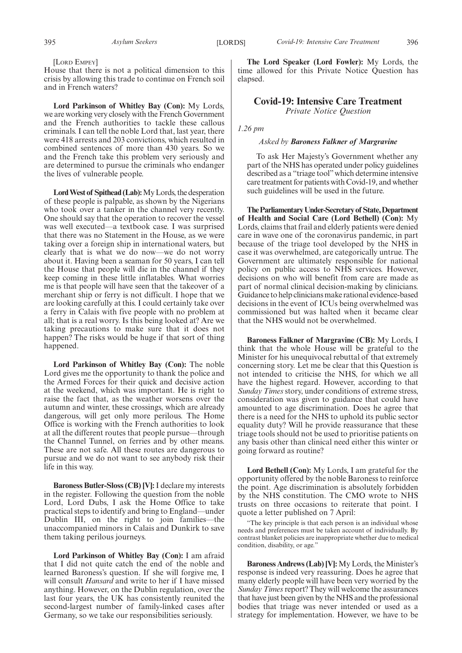[LORD EMPEY]

House that there is not a political dimension to this crisis by allowing this trade to continue on French soil and in French waters?

**Lord Parkinson of Whitley Bay (Con):** My Lords, we are working very closely with the French Government and the French authorities to tackle these callous criminals. I can tell the noble Lord that, last year, there were 418 arrests and 203 convictions, which resulted in combined sentences of more than 430 years. So we and the French take this problem very seriously and are determined to pursue the criminals who endanger the lives of vulnerable people.

**Lord West of Spithead (Lab):**My Lords, the desperation of these people is palpable, as shown by the Nigerians who took over a tanker in the channel very recently. One should say that the operation to recover the vessel was well executed—a textbook case. I was surprised that there was no Statement in the House, as we were taking over a foreign ship in international waters, but clearly that is what we do now—we do not worry about it. Having been a seaman for 50 years, I can tell the House that people will die in the channel if they keep coming in these little inflatables. What worries me is that people will have seen that the takeover of a merchant ship or ferry is not difficult. I hope that we are looking carefully at this. I could certainly take over a ferry in Calais with five people with no problem at all; that is a real worry. Is this being looked at? Are we taking precautions to make sure that it does not happen? The risks would be huge if that sort of thing happened.

**Lord Parkinson of Whitley Bay (Con):** The noble Lord gives me the opportunity to thank the police and the Armed Forces for their quick and decisive action at the weekend, which was important. He is right to raise the fact that, as the weather worsens over the autumn and winter, these crossings, which are already dangerous, will get only more perilous. The Home Office is working with the French authorities to look at all the different routes that people pursue—through the Channel Tunnel, on ferries and by other means. These are not safe. All these routes are dangerous to pursue and we do not want to see anybody risk their life in this way.

**Baroness Butler-Sloss (CB) [V]:**I declare my interests in the register. Following the question from the noble Lord, Lord Dubs, I ask the Home Office to take practical steps to identify and bring to England—under Dublin III, on the right to join families—the unaccompanied minors in Calais and Dunkirk to save them taking perilous journeys.

**Lord Parkinson of Whitley Bay (Con):** I am afraid that I did not quite catch the end of the noble and learned Baroness's question. If she will forgive me, I will consult *Hansard* and write to her if I have missed anything. However, on the Dublin regulation, over the last four years, the UK has consistently reunited the second-largest number of family-linked cases after Germany, so we take our responsibilities seriously.

**The Lord Speaker (Lord Fowler):** My Lords, the time allowed for this Private Notice Question has elapsed.

# **Covid-19: Intensive Care Treatment** *Private Notice Question*

#### *1.26 pm*

#### *Asked by Baroness Falkner of Margravine*

To ask Her Majesty's Government whether any part of the NHS has operated under policy guidelines described as a "triage tool"which determine intensive care treatment for patients with Covid-19, and whether such guidelines will be used in the future.

**TheParliamentaryUnder-Secretaryof State,Department of Health and Social Care (Lord Bethell) (Con):** My Lords, claims that frail and elderly patients were denied care in wave one of the coronavirus pandemic, in part because of the triage tool developed by the NHS in case it was overwhelmed, are categorically untrue. The Government are ultimately responsible for national policy on public access to NHS services. However, decisions on who will benefit from care are made as part of normal clinical decision-making by clinicians. Guidance to help clinicians make rational evidence-based decisions in the event of ICUs being overwhelmed was commissioned but was halted when it became clear that the NHS would not be overwhelmed.

**Baroness Falkner of Margravine (CB):** My Lords, I think that the whole House will be grateful to the Minister for his unequivocal rebuttal of that extremely concerning story. Let me be clear that this Question is not intended to criticise the NHS, for which we all have the highest regard. However, according to that *Sunday Times* story, under conditions of extreme stress, consideration was given to guidance that could have amounted to age discrimination. Does he agree that there is a need for the NHS to uphold its public sector equality duty? Will he provide reassurance that these triage tools should not be used to prioritise patients on any basis other than clinical need either this winter or going forward as routine?

**Lord Bethell (Con):** My Lords, I am grateful for the opportunity offered by the noble Baroness to reinforce the point. Age discrimination is absolutely forbidden by the NHS constitution. The CMO wrote to NHS trusts on three occasions to reiterate that point. I quote a letter published on 7 April:

"The key principle is that each person is an individual whose needs and preferences must be taken account of individually. By contrast blanket policies are inappropriate whether due to medical condition, disability, or age."

**Baroness Andrews (Lab) [V]:** My Lords, the Minister's response is indeed very reassuring. Does he agree that many elderly people will have been very worried by the *Sunday Times* report? They will welcome the assurances that have just been given by the NHS and the professional bodies that triage was never intended or used as a strategy for implementation. However, we have to be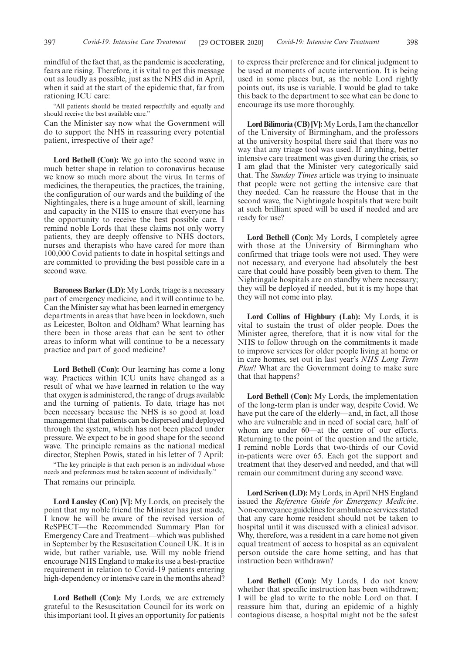mindful of the fact that, as the pandemic is accelerating, fears are rising. Therefore, it is vital to get this message out as loudly as possible, just as the NHS did in April, when it said at the start of the epidemic that, far from rationing ICU care:

"All patients should be treated respectfully and equally and should receive the best available care."

Can the Minister say now what the Government will do to support the NHS in reassuring every potential patient, irrespective of their age?

**Lord Bethell (Con):** We go into the second wave in much better shape in relation to coronavirus because we know so much more about the virus. In terms of medicines, the therapeutics, the practices, the training, the configuration of our wards and the building of the Nightingales, there is a huge amount of skill, learning and capacity in the NHS to ensure that everyone has the opportunity to receive the best possible care. I remind noble Lords that these claims not only worry patients, they are deeply offensive to NHS doctors, nurses and therapists who have cared for more than 100,000 Covid patients to date in hospital settings and are committed to providing the best possible care in a second wave.

**Baroness Barker (LD):** My Lords, triage is a necessary part of emergency medicine, and it will continue to be. Can the Minister say what has been learned in emergency departments in areas that have been in lockdown, such as Leicester, Bolton and Oldham? What learning has there been in those areas that can be sent to other areas to inform what will continue to be a necessary practice and part of good medicine?

**Lord Bethell (Con):** Our learning has come a long way. Practices within ICU units have changed as a result of what we have learned in relation to the way that oxygen is administered, the range of drugs available and the turning of patients. To date, triage has not been necessary because the NHS is so good at load management that patients can be dispersed and deployed through the system, which has not been placed under pressure. We expect to be in good shape for the second wave. The principle remains as the national medical director, Stephen Powis, stated in his letter of 7 April:

"The key principle is that each person is an individual whose needs and preferences must be taken account of individually." That remains our principle.

**Lord Lansley (Con) [V]:** My Lords, on precisely the point that my noble friend the Minister has just made, I know he will be aware of the revised version of ReSPECT—the Recommended Summary Plan for Emergency Care and Treatment—which was published in September by the Resuscitation Council UK. It is in wide, but rather variable, use. Will my noble friend encourage NHS England to make its use a best-practice requirement in relation to Covid-19 patients entering high-dependency or intensive care in the months ahead?

**Lord Bethell (Con):** My Lords, we are extremely grateful to the Resuscitation Council for its work on this important tool. It gives an opportunity for patients to express their preference and for clinical judgment to be used at moments of acute intervention. It is being used in some places but, as the noble Lord rightly points out, its use is variable. I would be glad to take this back to the department to see what can be done to encourage its use more thoroughly.

**Lord Bilimoria (CB) [V]:**My Lords, I am the chancellor of the University of Birmingham, and the professors at the university hospital there said that there was no way that any triage tool was used. If anything, better intensive care treatment was given during the crisis, so I am glad that the Minister very categorically said that. The *Sunday Times* article was trying to insinuate that people were not getting the intensive care that they needed. Can he reassure the House that in the second wave, the Nightingale hospitals that were built at such brilliant speed will be used if needed and are ready for use?

**Lord Bethell (Con):** My Lords, I completely agree with those at the University of Birmingham who confirmed that triage tools were not used. They were not necessary, and everyone had absolutely the best care that could have possibly been given to them. The Nightingale hospitals are on standby where necessary; they will be deployed if needed, but it is my hope that they will not come into play.

**Lord Collins of Highbury (Lab):** My Lords, it is vital to sustain the trust of older people. Does the Minister agree, therefore, that it is now vital for the NHS to follow through on the commitments it made to improve services for older people living at home or in care homes, set out in last year's *NHS Long Term Plan*? What are the Government doing to make sure that that happens?

**Lord Bethell (Con):** My Lords, the implementation of the long-term plan is under way, despite Covid. We have put the care of the elderly—and, in fact, all those who are vulnerable and in need of social care, half of whom are under 60—at the centre of our efforts. Returning to the point of the question and the article, I remind noble Lords that two-thirds of our Covid in-patients were over 65. Each got the support and treatment that they deserved and needed, and that will remain our commitment during any second wave.

**Lord Scriven (LD):** My Lords, in April NHS England issued the *Reference Guide for Emergency Medicine*. Non-conveyance guidelines for ambulance services stated that any care home resident should not be taken to hospital until it was discussed with a clinical advisor. Why, therefore, was a resident in a care home not given equal treatment of access to hospital as an equivalent person outside the care home setting, and has that instruction been withdrawn?

**Lord Bethell (Con):** My Lords, I do not know whether that specific instruction has been withdrawn; I will be glad to write to the noble Lord on that. I reassure him that, during an epidemic of a highly contagious disease, a hospital might not be the safest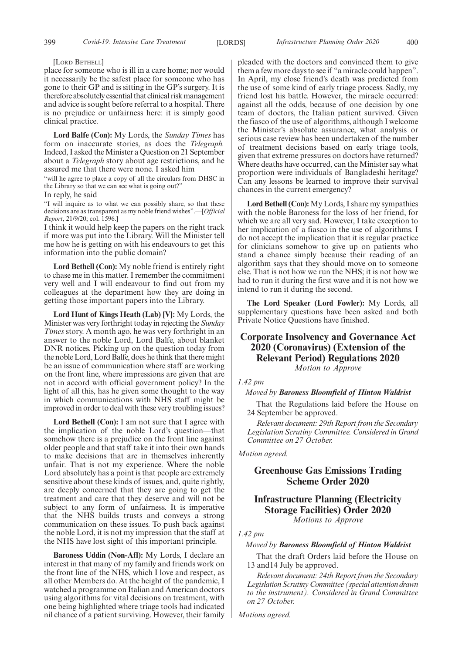#### [LORD BETHELL]

place for someone who is ill in a care home; nor would it necessarily be the safest place for someone who has gone to their GP and is sitting in the GP's surgery. It is therefore absolutely essential that clinical risk management and advice is sought before referral to a hospital. There is no prejudice or unfairness here: it is simply good clinical practice.

**Lord Balfe (Con):** My Lords, the *Sunday Times* has form on inaccurate stories, as does the *Telegraph.* Indeed, I asked the Minister a Question on 21 September about a *Telegraph* story about age restrictions, and he assured me that there were none. I asked him

"will he agree to place a copy of all the circulars from DHSC in the Library so that we can see what is going out?"

In reply, he said

"I will inquire as to what we can possibly share, so that these decisions are as transparent as my noble friend wishes".—[*Official Report*, 21/9/20; col. 1596.]

I think it would help keep the papers on the right track if more was put into the Library. Will the Minister tell me how he is getting on with his endeavours to get this information into the public domain?

**Lord Bethell (Con):** My noble friend is entirely right to chase me in this matter. I remember the commitment very well and I will endeavour to find out from my colleagues at the department how they are doing in getting those important papers into the Library.

**Lord Hunt of Kings Heath (Lab) [V]:** My Lords, the Minister was very forthright today in rejecting the *Sunday Times* story. A month ago, he was very forthright in an answer to the noble Lord, Lord Balfe, about blanket DNR notices. Picking up on the question today from the noble Lord, Lord Balfe, does he think that there might be an issue of communication where staff are working on the front line, where impressions are given that are not in accord with official government policy? In the light of all this, has he given some thought to the way in which communications with NHS staff might be improved in order to deal with these very troubling issues?

Lord Bethell (Con): I am not sure that I agree with the implication of the noble Lord's question—that somehow there is a prejudice on the front line against older people and that staff take it into their own hands to make decisions that are in themselves inherently unfair. That is not my experience. Where the noble Lord absolutely has a point is that people are extremely sensitive about these kinds of issues, and, quite rightly, are deeply concerned that they are going to get the treatment and care that they deserve and will not be subject to any form of unfairness. It is imperative that the NHS builds trusts and conveys a strong communication on these issues. To push back against the noble Lord, it is not my impression that the staff at the NHS have lost sight of this important principle.

**Baroness Uddin (Non-Afl):** My Lords, I declare an interest in that many of my family and friends work on the front line of the NHS, which I love and respect, as all other Members do. At the height of the pandemic, I watched a programme on Italian and American doctors using algorithms for vital decisions on treatment, with one being highlighted where triage tools had indicated nil chance of a patient surviving. However, their family pleaded with the doctors and convinced them to give them a few more days to see if "a miracle could happen". In April, my close friend's death was predicted from the use of some kind of early triage process. Sadly, my friend lost his battle. However, the miracle occurred: against all the odds, because of one decision by one team of doctors, the Italian patient survived. Given the fiasco of the use of algorithms, although I welcome the Minister's absolute assurance, what analysis or serious case review has been undertaken of the number of treatment decisions based on early triage tools, given that extreme pressures on doctors have returned? Where deaths have occurred, can the Minister say what proportion were individuals of Bangladeshi heritage? Can any lessons be learned to improve their survival chances in the current emergency?

**Lord Bethell (Con):** My Lords, I share my sympathies with the noble Baroness for the loss of her friend, for which we are all very sad. However, I take exception to her implication of a fiasco in the use of algorithms. I do not accept the implication that it is regular practice for clinicians somehow to give up on patients who stand a chance simply because their reading of an algorithm says that they should move on to someone else. That is not how we run the NHS; it is not how we had to run it during the first wave and it is not how we intend to run it during the second.

**The Lord Speaker (Lord Fowler):** My Lords, all supplementary questions have been asked and both Private Notice Questions have finished.

# **Corporate Insolvency and Governance Act 2020 (Coronavirus) (Extension of the Relevant Period) Regulations 2020**

*Motion to Approve*

#### *1.42 pm*

#### *Moved by Baroness Bloomfield of Hinton Waldrist*

That the Regulations laid before the House on 24 September be approved.

*Relevant document: 29th Report from the Secondary Legislation Scrutiny Committee. Considered in Grand Committee on 27 October.*

*Motion agreed.*

# **Greenhouse Gas Emissions Trading Scheme Order 2020**

# **Infrastructure Planning (Electricity Storage Facilities) Order 2020** *Motions to Approve*

#### *1.42 pm*

*Moved by Baroness Bloomfield of Hinton Waldrist*

That the draft Orders laid before the House on 13 and14 July be approved.

*Relevant document: 24th Report from the Secondary Legislation Scrutiny Committee (special attention drawn to the instrument). Considered in Grand Committee on 27 October.*

*Motions agreed.*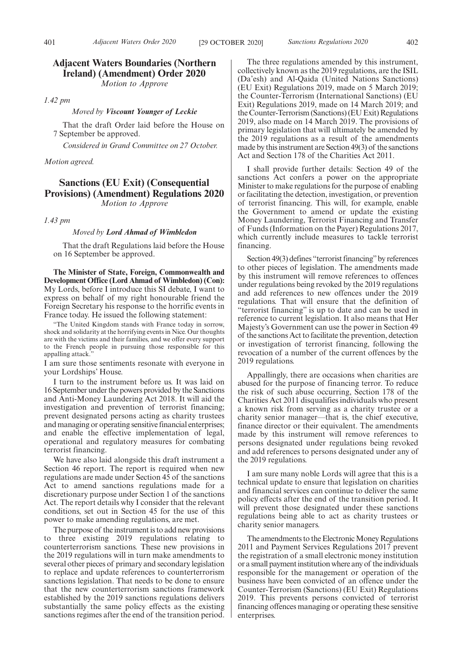# **Adjacent Waters Boundaries (Northern Ireland) (Amendment) Order 2020**

*Motion to Approve*

*1.42 pm*

#### *Moved by Viscount Younger of Leckie*

That the draft Order laid before the House on 7 September be approved.

*Considered in Grand Committee on 27 October.*

### *Motion agreed.*

# **Sanctions (EU Exit) (Consequential Provisions) (Amendment) Regulations 2020**

*Motion to Approve*

*1.43 pm*

#### *Moved by Lord Ahmad of Wimbledon*

That the draft Regulations laid before the House on 16 September be approved.

**The Minister of State, Foreign, Commonwealth and Development Office (Lord Ahmad of Wimbledon) (Con):** My Lords, before I introduce this SI debate, I want to express on behalf of my right honourable friend the Foreign Secretary his response to the horrific events in France today. He issued the following statement:

"The United Kingdom stands with France today in sorrow, shock and solidarity at the horrifying events in Nice. Our thoughts are with the victims and their families, and we offer every support to the French people in pursuing those responsible for this appalling attack."

I am sure those sentiments resonate with everyone in your Lordships' House.

I turn to the instrument before us. It was laid on 16 September under the powers provided by the Sanctions and Anti-Money Laundering Act 2018. It will aid the investigation and prevention of terrorist financing; prevent designated persons acting as charity trustees and managing or operating sensitive financial enterprises; and enable the effective implementation of legal, operational and regulatory measures for combating terrorist financing.

We have also laid alongside this draft instrument a Section 46 report. The report is required when new regulations are made under Section 45 of the sanctions Act to amend sanctions regulations made for a discretionary purpose under Section 1 of the sanctions Act. The report details why I consider that the relevant conditions, set out in Section 45 for the use of this power to make amending regulations, are met.

The purpose of the instrument is to add new provisions to three existing 2019 regulations relating to counterterrorism sanctions. These new provisions in the 2019 regulations will in turn make amendments to several other pieces of primary and secondary legislation to replace and update references to counterterrorism sanctions legislation. That needs to be done to ensure that the new counterterrorism sanctions framework established by the 2019 sanctions regulations delivers substantially the same policy effects as the existing sanctions regimes after the end of the transition period.

The three regulations amended by this instrument, collectively known as the 2019 regulations, are the ISIL (Da'esh) and Al-Qaida (United Nations Sanctions) (EU Exit) Regulations 2019, made on 5 March 2019; the Counter-Terrorism (International Sanctions) (EU Exit) Regulations 2019, made on 14 March 2019; and the Counter-Terrorism (Sanctions) (EU Exit) Regulations 2019, also made on 14 March 2019. The provisions of primary legislation that will ultimately be amended by the 2019 regulations as a result of the amendments made by this instrument are Section 49(3) of the sanctions Act and Section 178 of the Charities Act 2011.

I shall provide further details: Section 49 of the sanctions Act confers a power on the appropriate Minister to make regulations for the purpose of enabling or facilitating the detection, investigation, or prevention of terrorist financing. This will, for example, enable the Government to amend or update the existing Money Laundering, Terrorist Financing and Transfer of Funds (Information on the Payer) Regulations 2017, which currently include measures to tackle terrorist financing.

Section 49(3) defines "terrorist financing" by references to other pieces of legislation. The amendments made by this instrument will remove references to offences under regulations being revoked by the 2019 regulations and add references to new offences under the 2019 regulations. That will ensure that the definition of "terrorist financing" is up to date and can be used in reference to current legislation. It also means that Her Majesty's Government can use the power in Section 49 of the sanctions Act to facilitate the prevention, detection or investigation of terrorist financing, following the revocation of a number of the current offences by the 2019 regulations.

Appallingly, there are occasions when charities are abused for the purpose of financing terror. To reduce the risk of such abuse occurring, Section 178 of the Charities Act 2011 disqualifies individuals who present a known risk from serving as a charity trustee or a charity senior manager—that is, the chief executive, finance director or their equivalent. The amendments made by this instrument will remove references to persons designated under regulations being revoked and add references to persons designated under any of the 2019 regulations.

I am sure many noble Lords will agree that this is a technical update to ensure that legislation on charities and financial services can continue to deliver the same policy effects after the end of the transition period. It will prevent those designated under these sanctions regulations being able to act as charity trustees or charity senior managers.

The amendments to the Electronic Money Regulations 2011 and Payment Services Regulations 2017 prevent the registration of a small electronic money institution or a small payment institution where any of the individuals responsible for the management or operation of the business have been convicted of an offence under the Counter-Terrorism (Sanctions) (EU Exit) Regulations 2019. This prevents persons convicted of terrorist financing offences managing or operating these sensitive enterprises.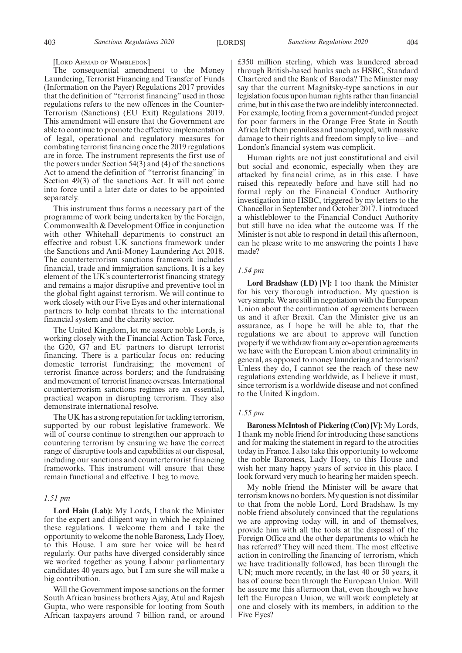#### [LORD AHMAD OF WIMBLEDON]

The consequential amendment to the Money Laundering, Terrorist Financing and Transfer of Funds (Information on the Payer) Regulations 2017 provides that the definition of "terrorist financing" used in those regulations refers to the new offences in the Counter-Terrorism (Sanctions) (EU Exit) Regulations 2019. This amendment will ensure that the Government are able to continue to promote the effective implementation of legal, operational and regulatory measures for combating terrorist financing once the 2019 regulations are in force. The instrument represents the first use of the powers under Section 54(3) and (4) of the sanctions Act to amend the definition of "terrorist financing" in Section 49(3) of the sanctions Act. It will not come into force until a later date or dates to be appointed separately.

This instrument thus forms a necessary part of the programme of work being undertaken by the Foreign, Commonwealth & Development Office in conjunction with other Whitehall departments to construct an effective and robust UK sanctions framework under the Sanctions and Anti-Money Laundering Act 2018. The counterterrorism sanctions framework includes financial, trade and immigration sanctions. It is a key element of the UK's counterterrorist financing strategy and remains a major disruptive and preventive tool in the global fight against terrorism. We will continue to work closely with our Five Eyes and other international partners to help combat threats to the international financial system and the charity sector.

The United Kingdom, let me assure noble Lords, is working closely with the Financial Action Task Force, the G20, G7 and EU partners to disrupt terrorist financing. There is a particular focus on: reducing domestic terrorist fundraising; the movement of terrorist finance across borders; and the fundraising and movement of terrorist finance overseas. International counterterrorism sanctions regimes are an essential, practical weapon in disrupting terrorism. They also demonstrate international resolve.

The UK has a strong reputation for tackling terrorism, supported by our robust legislative framework. We will of course continue to strengthen our approach to countering terrorism by ensuring we have the correct range of disruptive tools and capabilities at our disposal, including our sanctions and counterterrorist financing frameworks. This instrument will ensure that these remain functional and effective. I beg to move.

#### *1.51 pm*

**Lord Hain (Lab):** My Lords, I thank the Minister for the expert and diligent way in which he explained these regulations. I welcome them and I take the opportunity to welcome the noble Baroness, Lady Hoey, to this House. I am sure her voice will be heard regularly. Our paths have diverged considerably since we worked together as young Labour parliamentary candidates 40 years ago, but I am sure she will make a big contribution.

Will the Government impose sanctions on the former South African business brothers Ajay, Atul and Rajesh Gupta, who were responsible for looting from South African taxpayers around 7 billion rand, or around £350 million sterling, which was laundered abroad through British-based banks such as HSBC, Standard Chartered and the Bank of Baroda? The Minister may say that the current Magnitsky-type sanctions in our legislation focus upon human rights rather than financial crime, but in this case the two are indelibly interconnected. For example, looting from a government-funded project for poor farmers in the Orange Free State in South Africa left them penniless and unemployed, with massive damage to their rights and freedom simply to live—and London's financial system was complicit.

Human rights are not just constitutional and civil but social and economic, especially when they are attacked by financial crime, as in this case. I have raised this repeatedly before and have still had no formal reply on the Financial Conduct Authority investigation into HSBC, triggered by my letters to the Chancellor in September and October 2017. I introduced a whistleblower to the Financial Conduct Authority but still have no idea what the outcome was. If the Minister is not able to respond in detail this afternoon, can he please write to me answering the points I have made?

#### *1.54 pm*

**Lord Bradshaw (LD) [V]:** I too thank the Minister for his very thorough introduction. My question is very simple. We are still in negotiation with the European Union about the continuation of agreements between us and it after Brexit. Can the Minister give us an assurance, as I hope he will be able to, that the regulations we are about to approve will function properly if we withdraw from any co-operation agreements we have with the European Union about criminality in general, as opposed to money laundering and terrorism? Unless they do, I cannot see the reach of these new regulations extending worldwide, as I believe it must, since terrorism is a worldwide disease and not confined to the United Kingdom.

#### *1.55 pm*

**Baroness McIntosh of Pickering (Con) [V]:** My Lords, I thank my noble friend for introducing these sanctions and for making the statement in regard to the atrocities today in France. I also take this opportunity to welcome the noble Baroness, Lady Hoey, to this House and wish her many happy years of service in this place. I look forward very much to hearing her maiden speech.

My noble friend the Minister will be aware that terrorism knows no borders. My question is not dissimilar to that from the noble Lord, Lord Bradshaw. Is my noble friend absolutely convinced that the regulations we are approving today will, in and of themselves, provide him with all the tools at the disposal of the Foreign Office and the other departments to which he has referred? They will need them. The most effective action in controlling the financing of terrorism, which we have traditionally followed, has been through the UN; much more recently, in the last 40 or 50 years, it has of course been through the European Union. Will he assure me this afternoon that, even though we have left the European Union, we will work completely at one and closely with its members, in addition to the Five Eyes?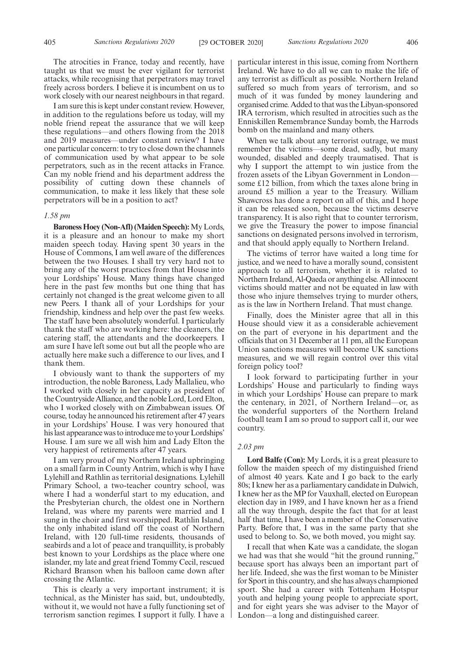The atrocities in France, today and recently, have taught us that we must be ever vigilant for terrorist attacks, while recognising that perpetrators may travel freely across borders. I believe it is incumbent on us to work closely with our nearest neighbours in that regard.

I am sure this is kept under constant review. However, in addition to the regulations before us today, will my noble friend repeat the assurance that we will keep these regulations—and others flowing from the 2018 and 2019 measures—under constant review? I have one particular concern: to try to close down the channels of communication used by what appear to be sole perpetrators, such as in the recent attacks in France. Can my noble friend and his department address the possibility of cutting down these channels of communication, to make it less likely that these sole perpetrators will be in a position to act?

#### *1.58 pm*

**Baroness Hoey (Non-Afl) (Maiden Speech):**My Lords, it is a pleasure and an honour to make my short maiden speech today. Having spent 30 years in the House of Commons, I am well aware of the differences between the two Houses. I shall try very hard not to bring any of the worst practices from that House into your Lordships' House. Many things have changed here in the past few months but one thing that has certainly not changed is the great welcome given to all new Peers. I thank all of your Lordships for your friendship, kindness and help over the past few weeks. The staff have been absolutely wonderful. I particularly thank the staff who are working here: the cleaners, the catering staff, the attendants and the doorkeepers. I am sure I have left some out but all the people who are actually here make such a difference to our lives, and I thank them.

I obviously want to thank the supporters of my introduction, the noble Baroness, Lady Mallalieu, who I worked with closely in her capacity as president of the Countryside Alliance, and the noble Lord, Lord Elton, who I worked closely with on Zimbabwean issues. Of course, today he announced his retirement after 47 years in your Lordships' House. I was very honoured that his last appearance was to introduce me to your Lordships' House. I am sure we all wish him and Lady Elton the very happiest of retirements after 47 years.

I am very proud of my Northern Ireland upbringing on a small farm in County Antrim, which is why I have Lylehill and Rathlin as territorial designations. Lylehill Primary School, a two-teacher country school, was where I had a wonderful start to my education, and the Presbyterian church, the oldest one in Northern Ireland, was where my parents were married and I sung in the choir and first worshipped. Rathlin Island, the only inhabited island off the coast of Northern Ireland, with 120 full-time residents, thousands of seabirds and a lot of peace and tranquillity, is probably best known to your Lordships as the place where one islander, my late and great friend Tommy Cecil, rescued Richard Branson when his balloon came down after crossing the Atlantic.

This is clearly a very important instrument; it is technical, as the Minister has said, but, undoubtedly, without it, we would not have a fully functioning set of terrorism sanction regimes. I support it fully. I have a particular interest in this issue, coming from Northern Ireland. We have to do all we can to make the life of any terrorist as difficult as possible. Northern Ireland suffered so much from years of terrorism, and so much of it was funded by money laundering and organised crime. Added to that was the Libyan-sponsored IRA terrorism, which resulted in atrocities such as the Enniskillen Remembrance Sunday bomb, the Harrods bomb on the mainland and many others.

When we talk about any terrorist outrage, we must remember the victims—some dead, sadly, but many wounded, disabled and deeply traumatised. That is why I support the attempt to win justice from the frozen assets of the Libyan Government in London some £12 billion, from which the taxes alone bring in around £5 million a year to the Treasury. William Shawcross has done a report on all of this, and I hope it can be released soon, because the victims deserve transparency. It is also right that to counter terrorism, we give the Treasury the power to impose financial sanctions on designated persons involved in terrorism, and that should apply equally to Northern Ireland.

The victims of terror have waited a long time for justice, and we need to have a morally sound, consistent approach to all terrorism, whether it is related to Northern Ireland, Al-Qaeda or anything else. All innocent victims should matter and not be equated in law with those who injure themselves trying to murder others, as is the law in Northern Ireland. That must change.

Finally, does the Minister agree that all in this House should view it as a considerable achievement on the part of everyone in his department and the officials that on 31 December at 11 pm, all the European Union sanctions measures will become UK sanctions measures, and we will regain control over this vital foreign policy tool?

I look forward to participating further in your Lordships' House and particularly to finding ways in which your Lordships' House can prepare to mark the centenary, in 2021, of Northern Ireland—or, as the wonderful supporters of the Northern Ireland football team I am so proud to support call it, our wee country.

#### *2.03 pm*

**Lord Balfe (Con):** My Lords, it is a great pleasure to follow the maiden speech of my distinguished friend of almost 40 years. Kate and I go back to the early 80s; I knew her as a parliamentary candidate in Dulwich, I knew her as the MP for Vauxhall, elected on European election day in 1989, and I have known her as a friend all the way through, despite the fact that for at least half that time, I have been a member of the Conservative Party. Before that, I was in the same party that she used to belong to. So, we both moved, you might say.

I recall that when Kate was a candidate, the slogan we had was that she would "hit the ground running," because sport has always been an important part of her life. Indeed, she was the first woman to be Minister for Sport in this country, and she has always championed sport. She had a career with Tottenham Hotspur youth and helping young people to appreciate sport, and for eight years she was adviser to the Mayor of London—a long and distinguished career.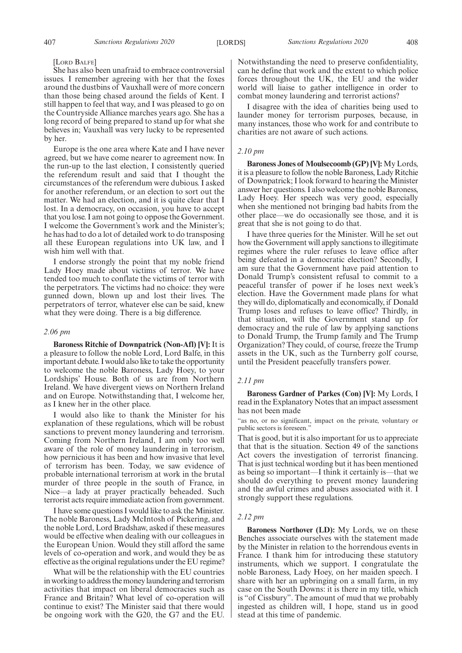#### [LORD BALFE]

She has also been unafraid to embrace controversial issues. I remember agreeing with her that the foxes around the dustbins of Vauxhall were of more concern than those being chased around the fields of Kent. I still happen to feel that way, and I was pleased to go on the Countryside Alliance marches years ago. She has a long record of being prepared to stand up for what she believes in; Vauxhall was very lucky to be represented by her.

Europe is the one area where Kate and I have never agreed, but we have come nearer to agreement now. In the run-up to the last election, I consistently queried the referendum result and said that I thought the circumstances of the referendum were dubious. I asked for another referendum, or an election to sort out the matter. We had an election, and it is quite clear that I lost. In a democracy, on occasion, you have to accept that you lose. I am not going to oppose the Government. I welcome the Government's work and the Minister's; he has had to do a lot of detailed work to do transposing all these European regulations into UK law, and I wish him well with that.

I endorse strongly the point that my noble friend Lady Hoey made about victims of terror. We have tended too much to conflate the victims of terror with the perpetrators. The victims had no choice: they were gunned down, blown up and lost their lives. The perpetrators of terror, whatever else can be said, knew what they were doing. There is a big difference.

#### *2.06 pm*

**Baroness Ritchie of Downpatrick (Non-Afl) [V]:** It is a pleasure to follow the noble Lord, Lord Balfe, in this important debate. I would also like to take the opportunity to welcome the noble Baroness, Lady Hoey, to your Lordships' House. Both of us are from Northern Ireland. We have divergent views on Northern Ireland and on Europe. Notwithstanding that, I welcome her, as I knew her in the other place.

I would also like to thank the Minister for his explanation of these regulations, which will be robust sanctions to prevent money laundering and terrorism. Coming from Northern Ireland, I am only too well aware of the role of money laundering in terrorism, how pernicious it has been and how invasive that level of terrorism has been. Today, we saw evidence of probable international terrorism at work in the brutal murder of three people in the south of France, in Nice—a lady at prayer practically beheaded. Such terrorist acts require immediate action from government.

I have some questions I would like to ask the Minister. The noble Baroness, Lady McIntosh of Pickering, and the noble Lord, Lord Bradshaw, asked if these measures would be effective when dealing with our colleagues in the European Union. Would they still afford the same levels of co-operation and work, and would they be as effective as the original regulations under the EU regime?

What will be the relationship with the EU countries in working to address the money laundering and terrorism activities that impact on liberal democracies such as France and Britain? What level of co-operation will continue to exist? The Minister said that there would be ongoing work with the G20, the G7 and the EU. Notwithstanding the need to preserve confidentiality, can he define that work and the extent to which police forces throughout the UK, the EU and the wider world will liaise to gather intelligence in order to combat money laundering and terrorist actions?

I disagree with the idea of charities being used to launder money for terrorism purposes, because, in many instances, those who work for and contribute to charities are not aware of such actions.

#### *2.10 pm*

**Baroness Jones of Moulsecoomb (GP) [V]:** My Lords, it is a pleasure to follow the noble Baroness, Lady Ritchie of Downpatrick; I look forward to hearing the Minister answer her questions. I also welcome the noble Baroness, Lady Hoey. Her speech was very good, especially when she mentioned not bringing bad habits from the other place—we do occasionally see those, and it is great that she is not going to do that.

I have three queries for the Minister. Will he set out how the Government will apply sanctions to illegitimate regimes where the ruler refuses to leave office after being defeated in a democratic election? Secondly, I am sure that the Government have paid attention to Donald Trump's consistent refusal to commit to a peaceful transfer of power if he loses next week's election. Have the Government made plans for what they will do, diplomatically and economically, if Donald Trump loses and refuses to leave office? Thirdly, in that situation, will the Government stand up for democracy and the rule of law by applying sanctions to Donald Trump, the Trump family and The Trump Organization? They could, of course, freeze the Trump assets in the UK, such as the Turnberry golf course, until the President peacefully transfers power.

#### *2.11 pm*

**Baroness Gardner of Parkes (Con) [V]:** My Lords, I read in the Explanatory Notes that an impact assessment has not been made

"as no, or no significant, impact on the private, voluntary or public sectors is foreseen."

That is good, but it is also important for us to appreciate that that is the situation. Section 49 of the sanctions Act covers the investigation of terrorist financing. That is just technical wording but it has been mentioned as being so important—I think it certainly is—that we should do everything to prevent money laundering and the awful crimes and abuses associated with it. I strongly support these regulations.

#### *2.12 pm*

**Baroness Northover (LD):** My Lords, we on these Benches associate ourselves with the statement made by the Minister in relation to the horrendous events in France. I thank him for introducing these statutory instruments, which we support. I congratulate the noble Baroness, Lady Hoey, on her maiden speech. I share with her an upbringing on a small farm, in my case on the South Downs: it is there in my title, which is "of Cissbury". The amount of mud that we probably ingested as children will, I hope, stand us in good stead at this time of pandemic.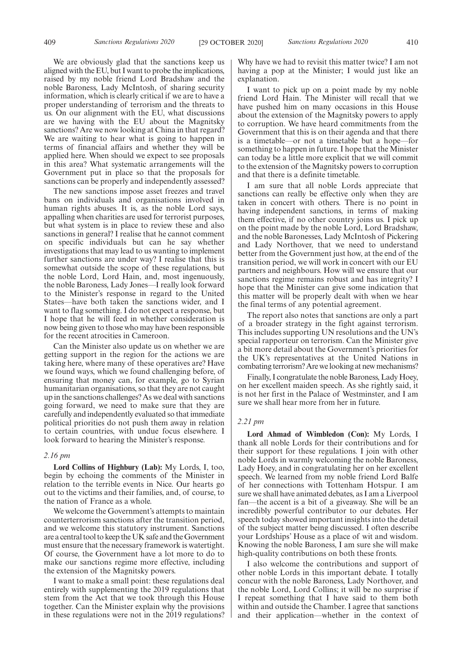We are obviously glad that the sanctions keep us aligned with the EU, but I want to probe the implications, raised by my noble friend Lord Bradshaw and the noble Baroness, Lady McIntosh, of sharing security information, which is clearly critical if we are to have a proper understanding of terrorism and the threats to us. On our alignment with the EU, what discussions are we having with the EU about the Magnitsky sanctions? Are we now looking at China in that regard? We are waiting to hear what is going to happen in terms of financial affairs and whether they will be applied here. When should we expect to see proposals in this area? What systematic arrangements will the Government put in place so that the proposals for sanctions can be properly and independently assessed?

The new sanctions impose asset freezes and travel bans on individuals and organisations involved in human rights abuses. It is, as the noble Lord says, appalling when charities are used for terrorist purposes, but what system is in place to review these and also sanctions in general? I realise that he cannot comment on specific individuals but can he say whether investigations that may lead to us wanting to implement further sanctions are under way? I realise that this is somewhat outside the scope of these regulations, but the noble Lord, Lord Hain, and, most ingenuously, the noble Baroness, Lady Jones—I really look forward to the Minister's response in regard to the United States—have both taken the sanctions wider, and I want to flag something. I do not expect a response, but I hope that he will feed in whether consideration is now being given to those who may have been responsible for the recent atrocities in Cameroon.

Can the Minister also update us on whether we are getting support in the region for the actions we are taking here, where many of these operatives are? Have we found ways, which we found challenging before, of ensuring that money can, for example, go to Syrian humanitarian organisations, so that they are not caught up in the sanctions challenges? As we deal with sanctions going forward, we need to make sure that they are carefully and independently evaluated so that immediate political priorities do not push them away in relation to certain countries, with undue focus elsewhere. I look forward to hearing the Minister's response.

#### *2.16 pm*

**Lord Collins of Highbury (Lab):** My Lords, I, too, begin by echoing the comments of the Minister in relation to the terrible events in Nice. Our hearts go out to the victims and their families, and, of course, to the nation of France as a whole.

We welcome the Government's attempts to maintain counterterrorism sanctions after the transition period, and we welcome this statutory instrument. Sanctions are a central tool to keep the UK safe and the Government must ensure that the necessary framework is watertight. Of course, the Government have a lot more to do to make our sanctions regime more effective, including the extension of the Magnitsky powers.

I want to make a small point: these regulations deal entirely with supplementing the 2019 regulations that stem from the Act that we took through this House together. Can the Minister explain why the provisions in these regulations were not in the 2019 regulations?

Why have we had to revisit this matter twice? I am not having a pop at the Minister; I would just like an explanation.

I want to pick up on a point made by my noble friend Lord Hain. The Minister will recall that we have pushed him on many occasions in this House about the extension of the Magnitsky powers to apply to corruption. We have heard commitments from the Government that this is on their agenda and that there is a timetable—or not a timetable but a hope—for something to happen in future. I hope that the Minister can today be a little more explicit that we will commit to the extension of the Magnitsky powers to corruption and that there is a definite timetable.

I am sure that all noble Lords appreciate that sanctions can really be effective only when they are taken in concert with others. There is no point in having independent sanctions, in terms of making them effective, if no other country joins us. I pick up on the point made by the noble Lord, Lord Bradshaw, and the noble Baronesses, Lady McIntosh of Pickering and Lady Northover, that we need to understand better from the Government just how, at the end of the transition period, we will work in concert with our EU partners and neighbours. How will we ensure that our sanctions regime remains robust and has integrity? I hope that the Minister can give some indication that this matter will be properly dealt with when we hear the final terms of any potential agreement.

The report also notes that sanctions are only a part of a broader strategy in the fight against terrorism. This includes supporting UN resolutions and the UN's special rapporteur on terrorism. Can the Minister give a bit more detail about the Government's priorities for the UK's representatives at the United Nations in combating terrorism? Are we looking at new mechanisms?

Finally, I congratulate the noble Baroness, Lady Hoey, on her excellent maiden speech. As she rightly said, it is not her first in the Palace of Westminster, and I am sure we shall hear more from her in future.

#### *2.21 pm*

**Lord Ahmad of Wimbledon (Con):** My Lords, I thank all noble Lords for their contributions and for their support for these regulations. I join with other noble Lords in warmly welcoming the noble Baroness, Lady Hoey, and in congratulating her on her excellent speech. We learned from my noble friend Lord Balfe of her connections with Tottenham Hotspur. I am sure we shall have animated debates, as I am a Liverpool fan—the accent is a bit of a giveaway. She will be an incredibly powerful contributor to our debates. Her speech today showed important insights into the detail of the subject matter being discussed. I often describe your Lordships' House as a place of wit and wisdom. Knowing the noble Baroness, I am sure she will make high-quality contributions on both these fronts.

I also welcome the contributions and support of other noble Lords in this important debate. I totally concur with the noble Baroness, Lady Northover, and the noble Lord, Lord Collins; it will be no surprise if I repeat something that I have said to them both within and outside the Chamber. I agree that sanctions and their application—whether in the context of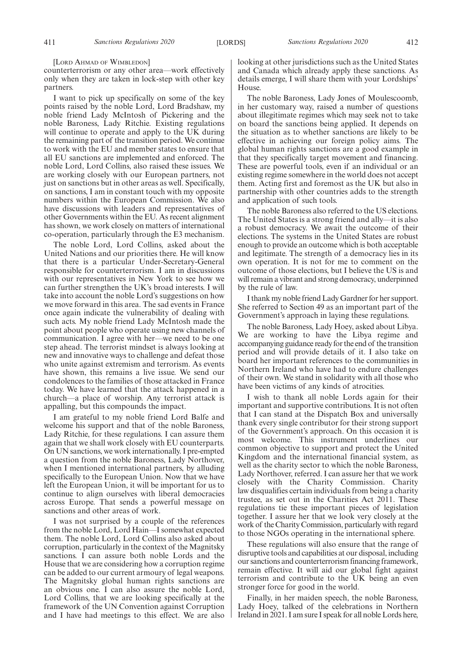[LORD AHMAD OF WIMBLEDON]

counterterrorism or any other area—work effectively only when they are taken in lock-step with other key partners.

I want to pick up specifically on some of the key points raised by the noble Lord, Lord Bradshaw, my noble friend Lady McIntosh of Pickering and the noble Baroness, Lady Ritchie. Existing regulations will continue to operate and apply to the UK during the remaining part of the transition period. We continue to work with the EU and member states to ensure that all EU sanctions are implemented and enforced. The noble Lord, Lord Collins, also raised these issues. We are working closely with our European partners, not just on sanctions but in other areas as well. Specifically, on sanctions, I am in constant touch with my opposite numbers within the European Commission. We also have discussions with leaders and representatives of other Governments within the EU. As recent alignment has shown, we work closely on matters of international co-operation, particularly through the E3 mechanism.

The noble Lord, Lord Collins, asked about the United Nations and our priorities there. He will know that there is a particular Under-Secretary-General responsible for counterterrorism. I am in discussions with our representatives in New York to see how we can further strengthen the UK's broad interests. I will take into account the noble Lord's suggestions on how we move forward in this area. The sad events in France once again indicate the vulnerability of dealing with such acts. My noble friend Lady McIntosh made the point about people who operate using new channels of communication. I agree with her—we need to be one step ahead. The terrorist mindset is always looking at new and innovative ways to challenge and defeat those who unite against extremism and terrorism. As events have shown, this remains a live issue. We send our condolences to the families of those attacked in France today. We have learned that the attack happened in a church—a place of worship. Any terrorist attack is appalling, but this compounds the impact.

I am grateful to my noble friend Lord Balfe and welcome his support and that of the noble Baroness, Lady Ritchie, for these regulations. I can assure them again that we shall work closely with EU counterparts. On UN sanctions, we work internationally. I pre-empted a question from the noble Baroness, Lady Northover, when I mentioned international partners, by alluding specifically to the European Union. Now that we have left the European Union, it will be important for us to continue to align ourselves with liberal democracies across Europe. That sends a powerful message on sanctions and other areas of work.

I was not surprised by a couple of the references from the noble Lord, Lord Hain—I somewhat expected them. The noble Lord, Lord Collins also asked about corruption, particularly in the context of the Magnitsky sanctions. I can assure both noble Lords and the House that we are considering how a corruption regime can be added to our current armoury of legal weapons. The Magnitsky global human rights sanctions are an obvious one. I can also assure the noble Lord, Lord Collins, that we are looking specifically at the framework of the UN Convention against Corruption and I have had meetings to this effect. We are also

looking at other jurisdictions such as the United States and Canada which already apply these sanctions. As details emerge, I will share them with your Lordships' House.

The noble Baroness, Lady Jones of Moulescoomb, in her customary way, raised a number of questions about illegitimate regimes which may seek not to take on board the sanctions being applied. It depends on the situation as to whether sanctions are likely to be effective in achieving our foreign policy aims. The global human rights sanctions are a good example in that they specifically target movement and financing. These are powerful tools, even if an individual or an existing regime somewhere in the world does not accept them. Acting first and foremost as the UK but also in partnership with other countries adds to the strength and application of such tools.

The noble Baroness also referred to the US elections. The United States is a strong friend and ally—it is also a robust democracy. We await the outcome of their elections. The systems in the United States are robust enough to provide an outcome which is both acceptable and legitimate. The strength of a democracy lies in its own operation. It is not for me to comment on the outcome of those elections, but I believe the US is and will remain a vibrant and strong democracy, underpinned by the rule of law.

I thank my noble friend Lady Gardner for her support. She referred to Section 49 as an important part of the Government's approach in laying these regulations.

The noble Baroness, Lady Hoey, asked about Libya. We are working to have the Libya regime and accompanying guidance ready for the end of the transition period and will provide details of it. I also take on board her important references to the communities in Northern Ireland who have had to endure challenges of their own. We stand in solidarity with all those who have been victims of any kinds of atrocities.

I wish to thank all noble Lords again for their important and supportive contributions. It is not often that I can stand at the Dispatch Box and universally thank every single contributor for their strong support of the Government's approach. On this occasion it is most welcome. This instrument underlines our common objective to support and protect the United Kingdom and the international financial system, as well as the charity sector to which the noble Baroness, Lady Northover, referred. I can assure her that we work closely with the Charity Commission. Charity law disqualifies certain individuals from being a charity trustee, as set out in the Charities Act 2011. These regulations tie these important pieces of legislation together. I assure her that we look very closely at the work of the Charity Commission, particularly with regard to those NGOs operating in the international sphere.

These regulations will also ensure that the range of disruptive tools and capabilities at our disposal, including our sanctions and counterterrorism financing framework, remain effective. It will aid our global fight against terrorism and contribute to the UK being an even stronger force for good in the world.

Finally, in her maiden speech, the noble Baroness, Lady Hoey, talked of the celebrations in Northern Ireland in 2021. I am sure I speak for all noble Lords here,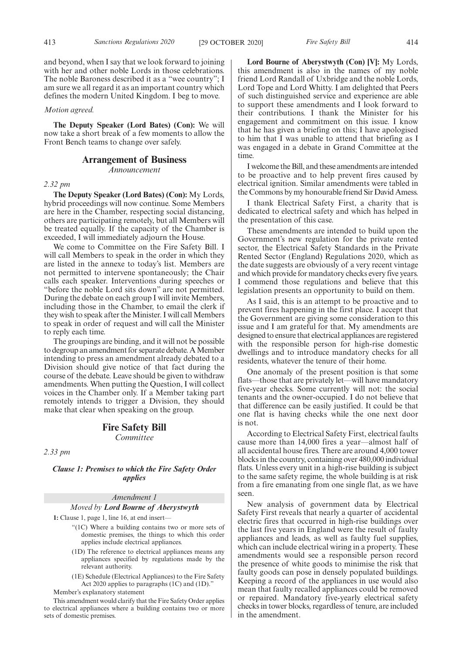and beyond, when I say that we look forward to joining with her and other noble Lords in those celebrations. The noble Baroness described it as a "wee country"; I am sure we all regard it as an important country which defines the modern United Kingdom. I beg to move.

#### *Motion agreed.*

**The Deputy Speaker (Lord Bates) (Con):** We will now take a short break of a few moments to allow the Front Bench teams to change over safely.

# **Arrangement of Business**

*Announcement*

#### *2.32 pm*

**The Deputy Speaker (Lord Bates) (Con):** My Lords, hybrid proceedings will now continue. Some Members are here in the Chamber, respecting social distancing, others are participating remotely, but all Members will be treated equally. If the capacity of the Chamber is exceeded, I will immediately adjourn the House.

We come to Committee on the Fire Safety Bill. I will call Members to speak in the order in which they are listed in the annexe to today's list. Members are not permitted to intervene spontaneously; the Chair calls each speaker. Interventions during speeches or "before the noble Lord sits down" are not permitted. During the debate on each group I will invite Members, including those in the Chamber, to email the clerk if they wish to speak after the Minister. I will call Members to speak in order of request and will call the Minister to reply each time.

The groupings are binding, and it will not be possible to degroup an amendment for separate debate. A Member intending to press an amendment already debated to a Division should give notice of that fact during the course of the debate. Leave should be given to withdraw amendments. When putting the Question, I will collect voices in the Chamber only. If a Member taking part remotely intends to trigger a Division, they should make that clear when speaking on the group.

## **Fire Safety Bill** *Committee*

*2.33 pm*

*Clause 1: Premises to which the Fire Safety Order applies*

# *Amendment 1 Moved by Lord Bourne of Aberystwyth*

**1:** Clause 1, page 1, line 16, at end insert—

- "(1C) Where a building contains two or more sets of domestic premises, the things to which this order applies include electrical appliances.
- (1D) The reference to electrical appliances means any appliances specified by regulations made by the relevant authority.
- (1E) Schedule (Electrical Appliances) to the Fire Safety Act 2020 applies to paragraphs (1C) and (1D)."

Member's explanatory statement

This amendment would clarify that the Fire Safety Order applies to electrical appliances where a building contains two or more sets of domestic premises.

**Lord Bourne of Aberystwyth (Con) [V]:** My Lords, this amendment is also in the names of my noble friend Lord Randall of Uxbridge and the noble Lords, Lord Tope and Lord Whitty. I am delighted that Peers of such distinguished service and experience are able to support these amendments and I look forward to their contributions. I thank the Minister for his engagement and commitment on this issue. I know that he has given a briefing on this; I have apologised to him that I was unable to attend that briefing as I was engaged in a debate in Grand Committee at the time.

I welcome the Bill, and these amendments are intended to be proactive and to help prevent fires caused by electrical ignition. Similar amendments were tabled in the Commons by my honourable friend Sir David Amess.

I thank Electrical Safety First, a charity that is dedicated to electrical safety and which has helped in the presentation of this case.

These amendments are intended to build upon the Government's new regulation for the private rented sector, the Electrical Safety Standards in the Private Rented Sector (England) Regulations 2020, which as the date suggests are obviously of a very recent vintage and which provide for mandatory checks every five years. I commend those regulations and believe that this legislation presents an opportunity to build on them.

As I said, this is an attempt to be proactive and to prevent fires happening in the first place. I accept that the Government are giving some consideration to this issue and I am grateful for that. My amendments are designed to ensure that electrical appliances are registered with the responsible person for high-rise domestic dwellings and to introduce mandatory checks for all residents, whatever the tenure of their home.

One anomaly of the present position is that some flats—those that are privately let—will have mandatory five-year checks. Some currently will not: the social tenants and the owner-occupied. I do not believe that that difference can be easily justified. It could be that one flat is having checks while the one next door is not.

According to Electrical Safety First, electrical faults cause more than 14,000 fires a year—almost half of all accidental house fires. There are around 4,000 tower blocks in the country, containing over 480,000 individual flats. Unless every unit in a high-rise building is subject to the same safety regime, the whole building is at risk from a fire emanating from one single flat, as we have seen.

New analysis of government data by Electrical Safety First reveals that nearly a quarter of accidental electric fires that occurred in high-rise buildings over the last five years in England were the result of faulty appliances and leads, as well as faulty fuel supplies, which can include electrical wiring in a property. These amendments would see a responsible person record the presence of white goods to minimise the risk that faulty goods can pose in densely populated buildings. Keeping a record of the appliances in use would also mean that faulty recalled appliances could be removed or repaired. Mandatory five-yearly electrical safety checks in tower blocks, regardless of tenure, are included in the amendment.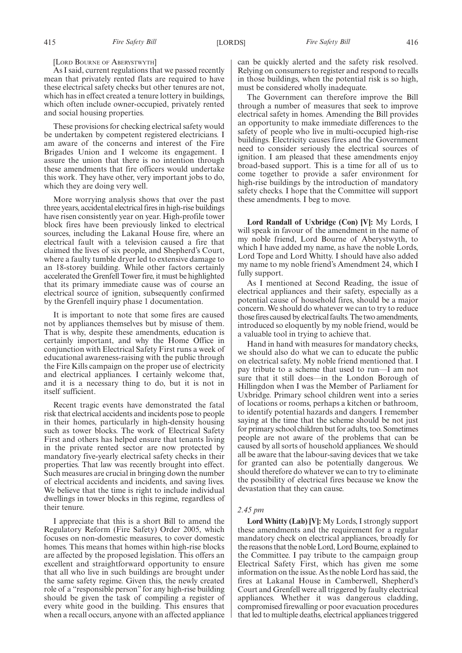As I said, current regulations that we passed recently mean that privately rented flats are required to have these electrical safety checks but other tenures are not, which has in effect created a tenure lottery in buildings, which often include owner-occupied, privately rented and social housing properties.

These provisions for checking electrical safety would be undertaken by competent registered electricians. I am aware of the concerns and interest of the Fire Brigades Union and I welcome its engagement. I assure the union that there is no intention through these amendments that fire officers would undertake this work. They have other, very important jobs to do, which they are doing very well.

More worrying analysis shows that over the past three years, accidental electrical fires in high-rise buildings have risen consistently year on year. High-profile tower block fires have been previously linked to electrical sources, including the Lakanal House fire, where an electrical fault with a television caused a fire that claimed the lives of six people, and Shepherd's Court, where a faulty tumble dryer led to extensive damage to an 18-storey building. While other factors certainly accelerated the Grenfell Tower fire, it must be highlighted that its primary immediate cause was of course an electrical source of ignition, subsequently confirmed by the Grenfell inquiry phase 1 documentation.

It is important to note that some fires are caused not by appliances themselves but by misuse of them. That is why, despite these amendments, education is certainly important, and why the Home Office in conjunction with Electrical Safety First runs a week of educational awareness-raising with the public through the Fire Kills campaign on the proper use of electricity and electrical appliances. I certainly welcome that, and it is a necessary thing to do, but it is not in itself sufficient.

Recent tragic events have demonstrated the fatal risk that electrical accidents and incidents pose to people in their homes, particularly in high-density housing such as tower blocks. The work of Electrical Safety First and others has helped ensure that tenants living in the private rented sector are now protected by mandatory five-yearly electrical safety checks in their properties. That law was recently brought into effect. Such measures are crucial in bringing down the number of electrical accidents and incidents, and saving lives. We believe that the time is right to include individual dwellings in tower blocks in this regime, regardless of their tenure.

I appreciate that this is a short Bill to amend the Regulatory Reform (Fire Safety) Order 2005, which focuses on non-domestic measures, to cover domestic homes. This means that homes within high-rise blocks are affected by the proposed legislation. This offers an excellent and straightforward opportunity to ensure that all who live in such buildings are brought under the same safety regime. Given this, the newly created role of a "responsible person" for any high-rise building should be given the task of compiling a register of every white good in the building. This ensures that when a recall occurs, anyone with an affected appliance can be quickly alerted and the safety risk resolved. Relying on consumers to register and respond to recalls in those buildings, when the potential risk is so high, must be considered wholly inadequate.

The Government can therefore improve the Bill through a number of measures that seek to improve electrical safety in homes. Amending the Bill provides an opportunity to make immediate differences to the safety of people who live in multi-occupied high-rise buildings. Electricity causes fires and the Government need to consider seriously the electrical sources of ignition. I am pleased that these amendments enjoy broad-based support. This is a time for all of us to come together to provide a safer environment for high-rise buildings by the introduction of mandatory safety checks. I hope that the Committee will support these amendments. I beg to move.

**Lord Randall of Uxbridge (Con) [V]:** My Lords, I will speak in favour of the amendment in the name of my noble friend, Lord Bourne of Aberystwyth, to which I have added my name, as have the noble Lords, Lord Tope and Lord Whitty. I should have also added my name to my noble friend's Amendment 24, which I fully support.

As I mentioned at Second Reading, the issue of electrical appliances and their safety, especially as a potential cause of household fires, should be a major concern. We should do whatever we can to try to reduce those fires caused by electrical faults. The two amendments, introduced so eloquently by my noble friend, would be a valuable tool in trying to achieve that.

Hand in hand with measures for mandatory checks, we should also do what we can to educate the public on electrical safety. My noble friend mentioned that. I pay tribute to a scheme that used to run—I am not sure that it still does—in the London Borough of Hillingdon when I was the Member of Parliament for Uxbridge. Primary school children went into a series of locations or rooms, perhaps a kitchen or bathroom, to identify potential hazards and dangers. I remember saying at the time that the scheme should be not just for primary school children but for adults, too. Sometimes people are not aware of the problems that can be caused by all sorts of household appliances. We should all be aware that the labour-saving devices that we take for granted can also be potentially dangerous. We should therefore do whatever we can to try to eliminate the possibility of electrical fires because we know the devastation that they can cause.

#### *2.45 pm*

**Lord Whitty (Lab) [V]:** My Lords, I strongly support these amendments and the requirement for a regular mandatory check on electrical appliances, broadly for the reasons that the noble Lord, Lord Bourne, explained to the Committee. I pay tribute to the campaign group Electrical Safety First, which has given me some information on the issue. As the noble Lord has said, the fires at Lakanal House in Camberwell, Shepherd's Court and Grenfell were all triggered by faulty electrical appliances. Whether it was dangerous cladding, compromised firewalling or poor evacuation procedures that led to multiple deaths, electrical appliances triggered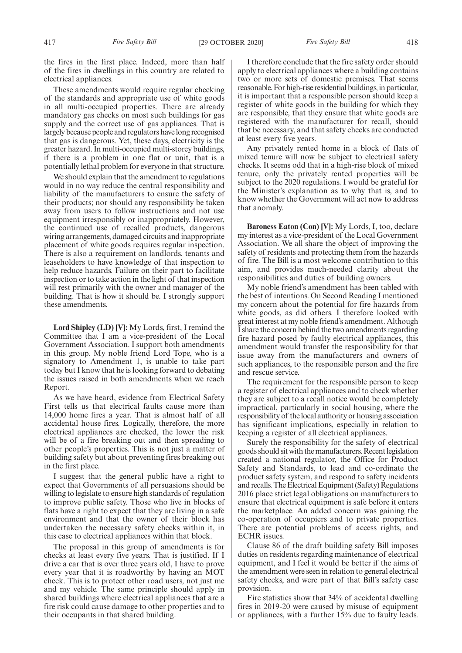the fires in the first place. Indeed, more than half of the fires in dwellings in this country are related to electrical appliances.

These amendments would require regular checking of the standards and appropriate use of white goods in all multi-occupied properties. There are already mandatory gas checks on most such buildings for gas supply and the correct use of gas appliances. That is largely because people and regulators have long recognised that gas is dangerous. Yet, these days, electricity is the greater hazard. In multi-occupied multi-storey buildings, if there is a problem in one flat or unit, that is a potentially lethal problem for everyone in that structure.

We should explain that the amendment to regulations would in no way reduce the central responsibility and liability of the manufacturers to ensure the safety of their products; nor should any responsibility be taken away from users to follow instructions and not use equipment irresponsibly or inappropriately. However, the continued use of recalled products, dangerous wiring arrangements, damaged circuits and inappropriate placement of white goods requires regular inspection. There is also a requirement on landlords, tenants and leaseholders to have knowledge of that inspection to help reduce hazards. Failure on their part to facilitate inspection or to take action in the light of that inspection will rest primarily with the owner and manager of the building. That is how it should be. I strongly support these amendments.

**Lord Shipley (LD) [V]:** My Lords, first, I remind the Committee that I am a vice-president of the Local Government Association. I support both amendments in this group. My noble friend Lord Tope, who is a signatory to Amendment 1, is unable to take part today but I know that he is looking forward to debating the issues raised in both amendments when we reach Report.

As we have heard, evidence from Electrical Safety First tells us that electrical faults cause more than 14,000 home fires a year. That is almost half of all accidental house fires. Logically, therefore, the more electrical appliances are checked, the lower the risk will be of a fire breaking out and then spreading to other people's properties. This is not just a matter of building safety but about preventing fires breaking out in the first place.

I suggest that the general public have a right to expect that Governments of all persuasions should be willing to legislate to ensure high standards of regulation to improve public safety. Those who live in blocks of flats have a right to expect that they are living in a safe environment and that the owner of their block has undertaken the necessary safety checks within it, in this case to electrical appliances within that block.

The proposal in this group of amendments is for checks at least every five years. That is justified. If I drive a car that is over three years old, I have to prove every year that it is roadworthy by having an MOT check. This is to protect other road users, not just me and my vehicle. The same principle should apply in shared buildings where electrical appliances that are a fire risk could cause damage to other properties and to their occupants in that shared building.

I therefore conclude that the fire safety order should apply to electrical appliances where a building contains two or more sets of domestic premises. That seems reasonable. For high-rise residential buildings, in particular, it is important that a responsible person should keep a register of white goods in the building for which they are responsible, that they ensure that white goods are registered with the manufacturer for recall, should that be necessary, and that safety checks are conducted at least every five years.

Any privately rented home in a block of flats of mixed tenure will now be subject to electrical safety checks. It seems odd that in a high-rise block of mixed tenure, only the privately rented properties will be subject to the 2020 regulations. I would be grateful for the Minister's explanation as to why that is, and to know whether the Government will act now to address that anomaly.

**Baroness Eaton (Con) [V]:** My Lords, I, too, declare my interest as a vice-president of the Local Government Association. We all share the object of improving the safety of residents and protecting them from the hazards of fire. The Bill is a most welcome contribution to this aim, and provides much-needed clarity about the responsibilities and duties of building owners.

My noble friend's amendment has been tabled with the best of intentions. On Second Reading I mentioned my concern about the potential for fire hazards from white goods, as did others. I therefore looked with great interest at my noble friend's amendment. Although I share the concern behind the two amendments regarding fire hazard posed by faulty electrical appliances, this amendment would transfer the responsibility for that issue away from the manufacturers and owners of such appliances, to the responsible person and the fire and rescue service.

The requirement for the responsible person to keep a register of electrical appliances and to check whether they are subject to a recall notice would be completely impractical, particularly in social housing, where the responsibility of the local authority or housing association has significant implications, especially in relation to keeping a register of all electrical appliances.

Surely the responsibility for the safety of electrical goods should sit with the manufacturers. Recent legislation created a national regulator, the Office for Product Safety and Standards, to lead and co-ordinate the product safety system, and respond to safety incidents and recalls. The Electrical Equipment (Safety) Regulations 2016 place strict legal obligations on manufacturers to ensure that electrical equipment is safe before it enters the marketplace. An added concern was gaining the co-operation of occupiers and to private properties. There are potential problems of access rights, and ECHR issues.

Clause 86 of the draft building safety Bill imposes duties on residents regarding maintenance of electrical equipment, and I feel it would be better if the aims of the amendment were seen in relation to general electrical safety checks, and were part of that Bill's safety case provision.

Fire statistics show that 34% of accidental dwelling fires in 2019-20 were caused by misuse of equipment or appliances, with a further 15% due to faulty leads.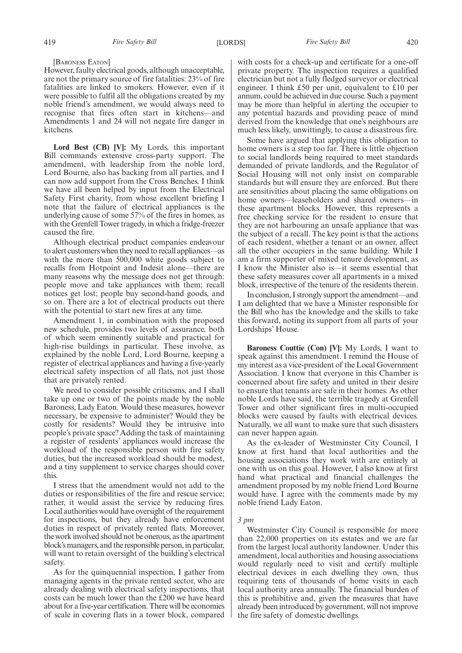#### [BARONESS EATON]

However, faulty electrical goods, although unacceptable, are not the primary source of fire fatalities: 23% of fire fatalities are linked to smokers. However, even if it were possible to fulfil all the obligations created by my noble friend's amendment, we would always need to recognise that fires often start in kitchens—and Amendments 1 and 24 will not negate fire danger in kitchens.

**Lord Best (CB) [V]:** My Lords, this important Bill commands extensive cross-party support. The amendment, with leadership from the noble lord, Lord Bourne, also has backing from all parties, and I can now add support from the Cross Benches. I think we have all been helped by input from the Electrical Safety First charity, from whose excellent briefing I note that the failure of electrical appliances is the underlying cause of some 57% of the fires in homes, as with the Grenfell Tower tragedy, in which a fridge-freezer caused the fire.

Although electrical product companies endeavour to alert customers when they need to recall appliances—as with the more than 500,000 white goods subject to recalls from Hotpoint and Indesit alone—there are many reasons why the message does not get through: people move and take appliances with them; recall notices get lost; people buy second-hand goods, and so on. There are a lot of electrical products out there with the potential to start new fires at any time.

Amendment 1, in combination with the proposed new schedule, provides two levels of assurance, both of which seem eminently suitable and practical for high-rise buildings in particular. These involve, as explained by the noble Lord, Lord Bourne, keeping a register of electrical appliances and having a five-yearly electrical safety inspection of all flats, not just those that are privately rented.

We need to consider possible criticisms, and I shall take up one or two of the points made by the noble Baroness, Lady Eaton. Would these measures, however necessary, be expensive to administer? Would they be costly for residents? Would they be intrusive into people's private space? Adding the task of maintaining a register of residents' appliances would increase the workload of the responsible person with fire safety duties, but the increased workload should be modest, and a tiny supplement to service charges should cover this.

I stress that the amendment would not add to the duties or responsibilities of the fire and rescue service; rather, it would assist the service by reducing fires. Local authorities would have oversight of the requirement for inspections, but they already have enforcement duties in respect of privately rented flats. Moreover, the work involved should not be onerous, as the apartment block's managers, and the responsible person, in particular, will want to retain oversight of the building's electrical safety.

As for the quinquennial inspection, I gather from managing agents in the private rented sector, who are already dealing with electrical safety inspections, that costs can be much lower than the £200 we have heard about for a five-year certification. There will be economies of scale in covering flats in a tower block, compared with costs for a check-up and certificate for a one-off private property. The inspection requires a qualified electrician but not a fully fledged surveyor or electrical engineer. I think £50 per unit, equivalent to £10 per annum, could be achieved in due course. Such a payment may be more than helpful in alerting the occupier to any potential hazards and providing peace of mind derived from the knowledge that one's neighbours are much less likely, unwittingly, to cause a disastrous fire.

Some have argued that applying this obligation to home owners is a step too far. There is little objection to social landlords being required to meet standards demanded of private landlords, and the Regulator of Social Housing will not only insist on comparable standards but will ensure they are enforced. But there are sensitivities about placing the same obligations on home owners—leaseholders and shared owners—in these apartment blocks. However, this represents a free checking service for the resident to ensure that they are not harbouring an unsafe appliance that was the subject of a recall. The key point is that the actions of each resident, whether a tenant or an owner, affect all the other occupiers in the same building. While I am a firm supporter of mixed tenure development, as I know the Minister also is—it seems essential that these safety measures cover all apartments in a mixed block, irrespective of the tenure of the residents therein.

In conclusion, I strongly support the amendment—and I am delighted that we have a Minister responsible for the Bill who has the knowledge and the skills to take this forward, noting its support from all parts of your Lordships' House.

**Baroness Couttie (Con) [V]:** My Lords, I want to speak against this amendment. I remind the House of my interest as a vice-president of the Local Government Association. I know that everyone in this Chamber is concerned about fire safety and united in their desire to ensure that tenants are safe in their homes. As other noble Lords have said, the terrible tragedy at Grenfell Tower and other significant fires in multi-occupied blocks were caused by faults with electrical devices. Naturally, we all want to make sure that such disasters can never happen again.

As the ex-leader of Westminster City Council, I know at first hand that local authorities and the housing associations they work with are entirely at one with us on this goal. However, I also know at first hand what practical and financial challenges the amendment proposed by my noble friend Lord Bourne would have. I agree with the comments made by my noble friend Lady Eaton.

#### *3 pm*

Westminster City Council is responsible for more than 22,000 properties on its estates and we are far from the largest local authority landowner. Under this amendment, local authorities and housing associations would regularly need to visit and certify multiple electrical devices in each dwelling they own, thus requiring tens of thousands of home visits in each local authority area annually. The financial burden of this is prohibitive and, given the measures that have already been introduced by government, will not improve the fire safety of domestic dwellings.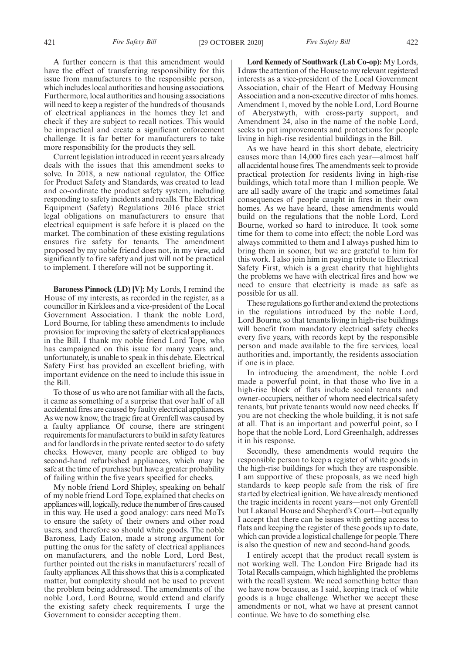A further concern is that this amendment would have the effect of transferring responsibility for this issue from manufacturers to the responsible person, which includes local authorities and housing associations. Furthermore, local authorities and housing associations will need to keep a register of the hundreds of thousands of electrical appliances in the homes they let and check if they are subject to recall notices. This would be impractical and create a significant enforcement challenge. It is far better for manufacturers to take more responsibility for the products they sell.

Current legislation introduced in recent years already deals with the issues that this amendment seeks to solve. In 2018, a new national regulator, the Office for Product Safety and Standards, was created to lead and co-ordinate the product safety system, including responding to safety incidents and recalls. The Electrical Equipment (Safety) Regulations 2016 place strict legal obligations on manufacturers to ensure that electrical equipment is safe before it is placed on the market. The combination of these existing regulations ensures fire safety for tenants. The amendment proposed by my noble friend does not, in my view, add significantly to fire safety and just will not be practical to implement. I therefore will not be supporting it.

**Baroness Pinnock (LD) [V]:** My Lords, I remind the House of my interests, as recorded in the register, as a councillor in Kirklees and a vice-president of the Local Government Association. I thank the noble Lord, Lord Bourne, for tabling these amendments to include provision for improving the safety of electrical appliances in the Bill. I thank my noble friend Lord Tope, who has campaigned on this issue for many years and, unfortunately, is unable to speak in this debate. Electrical Safety First has provided an excellent briefing, with important evidence on the need to include this issue in the Bill.

To those of us who are not familiar with all the facts, it came as something of a surprise that over half of all accidental fires are caused by faulty electrical appliances. As we now know, the tragic fire at Grenfell was caused by a faulty appliance. Of course, there are stringent requirements for manufacturers to build in safety features and for landlords in the private rented sector to do safety checks. However, many people are obliged to buy second-hand refurbished appliances, which may be safe at the time of purchase but have a greater probability of failing within the five years specified for checks.

My noble friend Lord Shipley, speaking on behalf of my noble friend Lord Tope, explained that checks on appliances will, logically, reduce the number of fires caused in this way. He used a good analogy: cars need MoTs to ensure the safety of their owners and other road users, and therefore so should white goods. The noble Baroness, Lady Eaton, made a strong argument for putting the onus for the safety of electrical appliances on manufacturers, and the noble Lord, Lord Best, further pointed out the risks in manufacturers' recall of faulty appliances. All this shows that this is a complicated matter, but complexity should not be used to prevent the problem being addressed. The amendments of the noble Lord, Lord Bourne, would extend and clarify the existing safety check requirements. I urge the Government to consider accepting them.

**Lord Kennedy of Southwark (Lab Co-op):** My Lords, I draw the attention of the House to my relevant registered interests as a vice-president of the Local Government Association, chair of the Heart of Medway Housing Association and a non-executive director of mhs homes. Amendment 1, moved by the noble Lord, Lord Bourne of Aberystwyth, with cross-party support, and Amendment 24, also in the name of the noble Lord, seeks to put improvements and protections for people living in high-rise residential buildings in the Bill.

As we have heard in this short debate, electricity causes more than 14,000 fires each year—almost half all accidental house fires. The amendments seek to provide practical protection for residents living in high-rise buildings, which total more than 1 million people. We are all sadly aware of the tragic and sometimes fatal consequences of people caught in fires in their own homes. As we have heard, these amendments would build on the regulations that the noble Lord, Lord Bourne, worked so hard to introduce. It took some time for them to come into effect; the noble Lord was always committed to them and I always pushed him to bring them in sooner, but we are grateful to him for this work. I also join him in paying tribute to Electrical Safety First, which is a great charity that highlights the problems we have with electrical fires and how we need to ensure that electricity is made as safe as possible for us all.

These regulations go further and extend the protections in the regulations introduced by the noble Lord, Lord Bourne, so that tenants living in high-rise buildings will benefit from mandatory electrical safety checks every five years, with records kept by the responsible person and made available to the fire services, local authorities and, importantly, the residents association if one is in place.

In introducing the amendment, the noble Lord made a powerful point, in that those who live in a high-rise block of flats include social tenants and owner-occupiers, neither of whom need electrical safety tenants, but private tenants would now need checks. If you are not checking the whole building, it is not safe at all. That is an important and powerful point, so I hope that the noble Lord, Lord Greenhalgh, addresses it in his response.

Secondly, these amendments would require the responsible person to keep a register of white goods in the high-rise buildings for which they are responsible. I am supportive of these proposals, as we need high standards to keep people safe from the risk of fire started by electrical ignition. We have already mentioned the tragic incidents in recent years—not only Grenfell but Lakanal House and Shepherd's Court—but equally I accept that there can be issues with getting access to flats and keeping the register of these goods up to date, which can provide a logistical challenge for people. There is also the question of new and second-hand goods.

I entirely accept that the product recall system is not working well. The London Fire Brigade had its Total Recalls campaign, which highlighted the problems with the recall system. We need something better than we have now because, as I said, keeping track of white goods is a huge challenge. Whether we accept these amendments or not, what we have at present cannot continue. We have to do something else.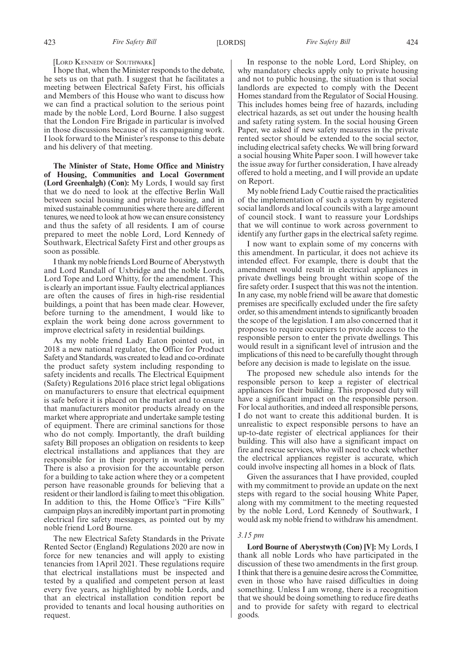#### [LORD KENNEDY OF SOUTHWARK]

I hope that, when the Minister responds to the debate, he sets us on that path. I suggest that he facilitates a meeting between Electrical Safety First, his officials and Members of this House who want to discuss how we can find a practical solution to the serious point made by the noble Lord, Lord Bourne. I also suggest that the London Fire Brigade in particular is involved in those discussions because of its campaigning work. I look forward to the Minister's response to this debate and his delivery of that meeting.

**The Minister of State, Home Office and Ministry of Housing, Communities and Local Government (Lord Greenhalgh) (Con):** My Lords, I would say first that we do need to look at the effective Berlin Wall between social housing and private housing, and in mixed sustainable communities where there are different tenures, we need to look at how we can ensure consistency and thus the safety of all residents. I am of course prepared to meet the noble Lord, Lord Kennedy of Southwark, Electrical Safety First and other groups as soon as possible.

I thank my noble friends Lord Bourne of Aberystwyth and Lord Randall of Uxbridge and the noble Lords, Lord Tope and Lord Whitty, for the amendment. This is clearly an important issue. Faulty electrical appliances are often the causes of fires in high-rise residential buildings, a point that has been made clear. However, before turning to the amendment, I would like to explain the work being done across government to improve electrical safety in residential buildings.

As my noble friend Lady Eaton pointed out, in 2018 a new national regulator, the Office for Product Safety and Standards, was created to lead and co-ordinate the product safety system including responding to safety incidents and recalls. The Electrical Equipment (Safety) Regulations 2016 place strict legal obligations on manufacturers to ensure that electrical equipment is safe before it is placed on the market and to ensure that manufacturers monitor products already on the market where appropriate and undertake sample testing of equipment. There are criminal sanctions for those who do not comply. Importantly, the draft building safety Bill proposes an obligation on residents to keep electrical installations and appliances that they are responsible for in their property in working order. There is also a provision for the accountable person for a building to take action where they or a competent person have reasonable grounds for believing that a resident or their landlord is failing to meet this obligation. In addition to this, the Home Office's "Fire Kills" campaign plays an incredibly important part in promoting electrical fire safety messages, as pointed out by my noble friend Lord Bourne.

The new Electrical Safety Standards in the Private Rented Sector (England) Regulations 2020 are now in force for new tenancies and will apply to existing tenancies from 1April 2021. These regulations require that electrical installations must be inspected and tested by a qualified and competent person at least every five years, as highlighted by noble Lords, and that an electrical installation condition report be provided to tenants and local housing authorities on request.

In response to the noble Lord, Lord Shipley, on why mandatory checks apply only to private housing and not to public housing, the situation is that social landlords are expected to comply with the Decent Homes standard from the Regulator of Social Housing. This includes homes being free of hazards, including electrical hazards, as set out under the housing health and safety rating system. In the social housing Green Paper, we asked if new safety measures in the private rented sector should be extended to the social sector, including electrical safety checks. We will bring forward a social housing White Paper soon. I will however take the issue away for further consideration, I have already offered to hold a meeting, and I will provide an update on Report.

My noble friend Lady Couttie raised the practicalities of the implementation of such a system by registered social landlords and local councils with a large amount of council stock. I want to reassure your Lordships that we will continue to work across government to identify any further gaps in the electrical safety regime.

I now want to explain some of my concerns with this amendment. In particular, it does not achieve its intended effect. For example, there is doubt that the amendment would result in electrical appliances in private dwellings being brought within scope of the fire safety order. I suspect that this was not the intention. In any case, my noble friend will be aware that domestic premises are specifically excluded under the fire safety order, so this amendment intends to significantly broaden the scope of the legislation. I am also concerned that it proposes to require occupiers to provide access to the responsible person to enter the private dwellings. This would result in a significant level of intrusion and the implications of this need to be carefully thought through before any decision is made to legislate on the issue.

The proposed new schedule also intends for the responsible person to keep a register of electrical appliances for their building. This proposed duty will have a significant impact on the responsible person. For local authorities, and indeed all responsible persons, I do not want to create this additional burden. It is unrealistic to expect responsible persons to have an up-to-date register of electrical appliances for their building. This will also have a significant impact on fire and rescue services, who will need to check whether the electrical appliances register is accurate, which could involve inspecting all homes in a block of flats.

Given the assurances that I have provided, coupled with my commitment to provide an update on the next steps with regard to the social housing White Paper, along with my commitment to the meeting requested by the noble Lord, Lord Kennedy of Southwark, I would ask my noble friend to withdraw his amendment.

#### *3.15 pm*

**Lord Bourne of Aberystwyth (Con) [V]:** My Lords, I thank all noble Lords who have participated in the discussion of these two amendments in the first group. I think that there is a genuine desire across the Committee, even in those who have raised difficulties in doing something. Unless I am wrong, there is a recognition that we should be doing something to reduce fire deaths and to provide for safety with regard to electrical goods.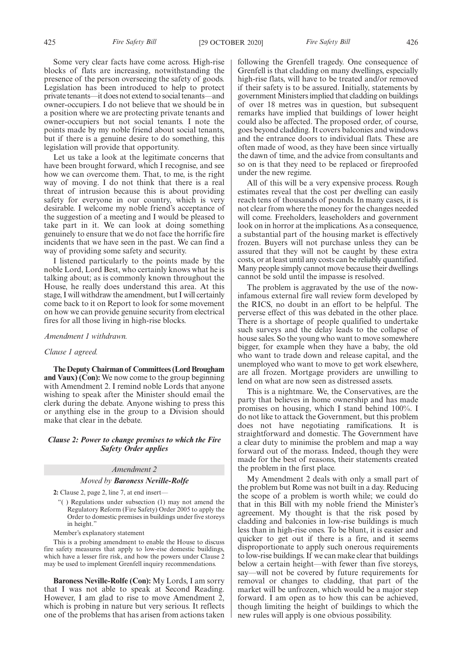Some very clear facts have come across. High-rise blocks of flats are increasing, notwithstanding the presence of the person overseeing the safety of goods. Legislation has been introduced to help to protect private tenants—it does not extend to social tenants—and owner-occupiers. I do not believe that we should be in a position where we are protecting private tenants and owner-occupiers but not social tenants. I note the points made by my noble friend about social tenants, but if there is a genuine desire to do something, this legislation will provide that opportunity.

Let us take a look at the legitimate concerns that have been brought forward, which I recognise, and see how we can overcome them. That, to me, is the right way of moving. I do not think that there is a real threat of intrusion because this is about providing safety for everyone in our country, which is very desirable. I welcome my noble friend's acceptance of the suggestion of a meeting and I would be pleased to take part in it. We can look at doing something genuinely to ensure that we do not face the horrific fire incidents that we have seen in the past. We can find a way of providing some safety and security.

I listened particularly to the points made by the noble Lord, Lord Best, who certainly knows what he is talking about; as is commonly known throughout the House, he really does understand this area. At this stage, I will withdraw the amendment, but I will certainly come back to it on Report to look for some movement on how we can provide genuine security from electrical fires for all those living in high-rise blocks.

#### *Amendment 1 withdrawn.*

#### *Clause 1 agreed.*

**The Deputy Chairman of Committees (Lord Brougham and Vaux) (Con):** We now come to the group beginning with Amendment 2. I remind noble Lords that anyone wishing to speak after the Minister should email the clerk during the debate. Anyone wishing to press this or anything else in the group to a Division should make that clear in the debate.

### *Clause 2: Power to change premises to which the Fire Safety Order applies*

#### *Amendment 2*

#### *Moved by Baroness Neville-Rolfe*

**2:** Clause 2, page 2, line 7, at end insert—

"( ) Regulations under subsection (1) may not amend the Regulatory Reform (Fire Safety) Order 2005 to apply the Order to domestic premises in buildings under five storeys in height."

Member's explanatory statement

This is a probing amendment to enable the House to discuss fire safety measures that apply to low-rise domestic buildings, which have a lesser fire risk, and how the powers under Clause 2 may be used to implement Grenfell inquiry recommendations.

**Baroness Neville-Rolfe (Con):** My Lords, I am sorry that I was not able to speak at Second Reading. However, I am glad to rise to move Amendment 2, which is probing in nature but very serious. It reflects one of the problems that has arisen from actions taken following the Grenfell tragedy. One consequence of Grenfell is that cladding on many dwellings, especially high-rise flats, will have to be treated and/or removed if their safety is to be assured. Initially, statements by government Ministers implied that cladding on buildings of over 18 metres was in question, but subsequent remarks have implied that buildings of lower height could also be affected. The proposed order, of course, goes beyond cladding. It covers balconies and windows and the entrance doors to individual flats. These are often made of wood, as they have been since virtually the dawn of time, and the advice from consultants and so on is that they need to be replaced or fireproofed under the new regime.

All of this will be a very expensive process. Rough estimates reveal that the cost per dwelling can easily reach tens of thousands of pounds. In many cases, it is not clear from where the money for the changes needed will come. Freeholders, leaseholders and government look on in horror at the implications. As a consequence, a substantial part of the housing market is effectively frozen. Buyers will not purchase unless they can be assured that they will not be caught by these extra costs, or at least until any costs can be reliably quantified. Many people simply cannot move because their dwellings cannot be sold until the impasse is resolved.

The problem is aggravated by the use of the nowinfamous external fire wall review form developed by the RICS, no doubt in an effort to be helpful. The perverse effect of this was debated in the other place. There is a shortage of people qualified to undertake such surveys and the delay leads to the collapse of house sales. So the young who want to move somewhere bigger, for example when they have a baby, the old who want to trade down and release capital, and the unemployed who want to move to get work elsewhere, are all frozen. Mortgage providers are unwilling to lend on what are now seen as distressed assets.

This is a nightmare. We, the Conservatives, are the party that believes in home ownership and has made promises on housing, which I stand behind 100%. I do not like to attack the Government, but this problem does not have negotiating ramifications. It is straightforward and domestic. The Government have a clear duty to minimise the problem and map a way forward out of the morass. Indeed, though they were made for the best of reasons, their statements created the problem in the first place.

My Amendment 2 deals with only a small part of the problem but Rome was not built in a day. Reducing the scope of a problem is worth while; we could do that in this Bill with my noble friend the Minister's agreement. My thought is that the risk posed by cladding and balconies in low-rise buildings is much less than in high-rise ones. To be blunt, it is easier and quicker to get out if there is a fire, and it seems disproportionate to apply such onerous requirements to low-rise buildings. If we can make clear that buildings below a certain height—with fewer than five storeys, say—will not be covered by future requirements for removal or changes to cladding, that part of the market will be unfrozen, which would be a major step forward. I am open as to how this can be achieved, though limiting the height of buildings to which the new rules will apply is one obvious possibility.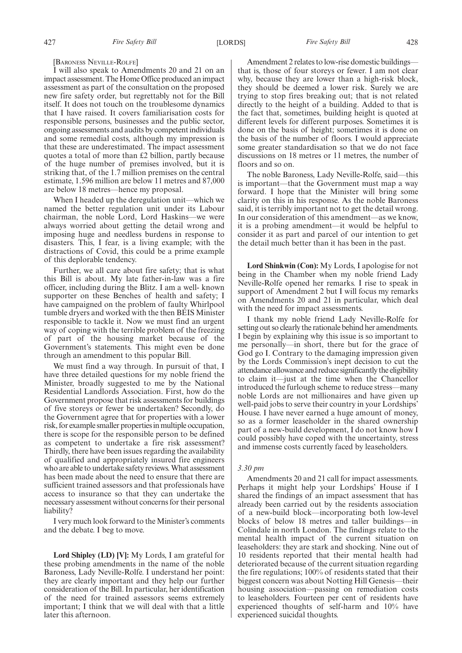[BARONESS NEVILLE-ROLFE]

I will also speak to Amendments 20 and 21 on an impact assessment. The Home Office produced an impact assessment as part of the consultation on the proposed new fire safety order, but regrettably not for the Bill itself. It does not touch on the troublesome dynamics that I have raised. It covers familiarisation costs for responsible persons, businesses and the public sector, ongoing assessments and audits by competent individuals and some remedial costs, although my impression is that these are underestimated. The impact assessment quotes a total of more than £2 billion, partly because of the huge number of premises involved, but it is striking that, of the 1.7 million premises on the central estimate, 1.596 million are below 11 metres and 87,000 are below 18 metres—hence my proposal.

When I headed up the deregulation unit—which we named the better regulation unit under its Labour chairman, the noble Lord, Lord Haskins—we were always worried about getting the detail wrong and imposing huge and needless burdens in response to disasters. This, I fear, is a living example; with the distractions of Covid, this could be a prime example of this deplorable tendency.

Further, we all care about fire safety; that is what this Bill is about. My late father-in-law was a fire officer, including during the Blitz. I am a well- known supporter on these Benches of health and safety; I have campaigned on the problem of faulty Whirlpool tumble dryers and worked with the then BEIS Minister responsible to tackle it. Now we must find an urgent way of coping with the terrible problem of the freezing of part of the housing market because of the Government's statements. This might even be done through an amendment to this popular Bill.

We must find a way through. In pursuit of that, I have three detailed questions for my noble friend the Minister, broadly suggested to me by the National Residential Landlords Association. First, how do the Government propose that risk assessments for buildings of five storeys or fewer be undertaken? Secondly, do the Government agree that for properties with a lower risk, for example smaller properties in multiple occupation, there is scope for the responsible person to be defined as competent to undertake a fire risk assessment? Thirdly, there have been issues regarding the availability of qualified and appropriately insured fire engineers who are able to undertake safety reviews. What assessment has been made about the need to ensure that there are sufficient trained assessors and that professionals have access to insurance so that they can undertake the necessary assessment without concerns for their personal liability?

I very much look forward to the Minister's comments and the debate. I beg to move.

**Lord Shipley (LD) [V]:** My Lords, I am grateful for these probing amendments in the name of the noble Baroness, Lady Neville-Rolfe. I understand her point: they are clearly important and they help our further consideration of the Bill. In particular, her identification of the need for trained assessors seems extremely important; I think that we will deal with that a little later this afternoon.

Amendment 2 relates to low-rise domestic buildings that is, those of four storeys or fewer. I am not clear why, because they are lower than a high-risk block, they should be deemed a lower risk. Surely we are trying to stop fires breaking out; that is not related directly to the height of a building. Added to that is the fact that, sometimes, building height is quoted at different levels for different purposes. Sometimes it is done on the basis of height; sometimes it is done on the basis of the number of floors. I would appreciate some greater standardisation so that we do not face discussions on 18 metres or 11 metres, the number of floors and so on.

The noble Baroness, Lady Neville-Rolfe, said—this is important—that the Government must map a way forward. I hope that the Minister will bring some clarity on this in his response. As the noble Baroness said, it is terribly important not to get the detail wrong. In our consideration of this amendment—as we know, it is a probing amendment—it would be helpful to consider it as part and parcel of our intention to get the detail much better than it has been in the past.

**Lord Shinkwin (Con):** My Lords, I apologise for not being in the Chamber when my noble friend Lady Neville-Rolfe opened her remarks. I rise to speak in support of Amendment 2 but I will focus my remarks on Amendments 20 and 21 in particular, which deal with the need for impact assessments.

I thank my noble friend Lady Neville-Rolfe for setting out so clearly the rationale behind her amendments. I begin by explaining why this issue is so important to me personally—in short, there but for the grace of God go I. Contrary to the damaging impression given by the Lords Commission's inept decision to cut the attendance allowance and reduce significantly the eligibility to claim it—just at the time when the Chancellor introduced the furlough scheme to reduce stress—many noble Lords are not millionaires and have given up well-paid jobs to serve their country in your Lordships' House. I have never earned a huge amount of money, so as a former leaseholder in the shared ownership part of a new-build development, I do not know how I could possibly have coped with the uncertainty, stress and immense costs currently faced by leaseholders.

#### *3.30 pm*

Amendments 20 and 21 call for impact assessments. Perhaps it might help your Lordships' House if I shared the findings of an impact assessment that has already been carried out by the residents association of a new-build block—incorporating both low-level blocks of below 18 metres and taller buildings—in Colindale in north London. The findings relate to the mental health impact of the current situation on leaseholders: they are stark and shocking. Nine out of 10 residents reported that their mental health had deteriorated because of the current situation regarding the fire regulations; 100% of residents stated that their biggest concern was about Notting Hill Genesis—their housing association—passing on remediation costs to leaseholders. Fourteen per cent of residents have experienced thoughts of self-harm and 10% have experienced suicidal thoughts.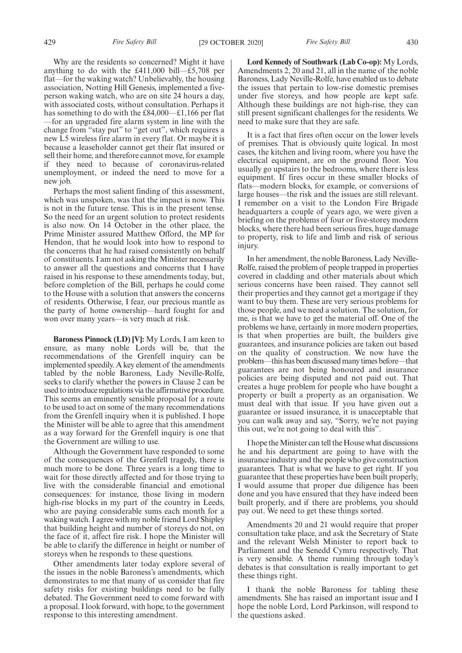Why are the residents so concerned? Might it have anything to do with the £411,000 bill—£5,708 per flat—for the waking watch? Unbelievably, the housing association, Notting Hill Genesis, implemented a fiveperson waking watch, who are on site 24 hours a day, with associated costs, without consultation. Perhaps it has something to do with the £84,000—£1,166 per flat —for an upgraded fire alarm system in line with the change from "stay put" to "get out", which requires a new L5 wireless fire alarm in every flat. Or maybe it is because a leaseholder cannot get their flat insured or sell their home, and therefore cannot move, for example if they need to because of coronavirus-related unemployment, or indeed the need to move for a new job.

Perhaps the most salient finding of this assessment, which was unspoken, was that the impact is now. This is not in the future tense. This is in the present tense. So the need for an urgent solution to protect residents is also now. On 14 October in the other place, the Prime Minister assured Matthew Offord, the MP for Hendon, that he would look into how to respond to the concerns that he had raised consistently on behalf of constituents. I am not asking the Minister necessarily to answer all the questions and concerns that I have raised in his response to these amendments today, but, before completion of the Bill, perhaps he could come to the House with a solution that answers the concerns of residents. Otherwise, I fear, our precious mantle as the party of home ownership—hard fought for and won over many years—is very much at risk.

**Baroness Pinnock (LD) [V]:** My Lords, I am keen to ensure, as many noble Lords will be, that the recommendations of the Grenfell inquiry can be implemented speedily. A key element of the amendments tabled by the noble Baroness, Lady Neville-Rolfe, seeks to clarify whether the powers in Clause 2 can be used to introduce regulations via the affirmative procedure. This seems an eminently sensible proposal for a route to be used to act on some of the many recommendations from the Grenfell inquiry when it is published. I hope the Minister will be able to agree that this amendment as a way forward for the Grenfell inquiry is one that the Government are willing to use.

Although the Government have responded to some of the consequences of the Grenfell tragedy, there is much more to be done. Three years is a long time to wait for those directly affected and for those trying to live with the considerable financial and emotional consequences: for instance, those living in modern high-rise blocks in my part of the country in Leeds, who are paying considerable sums each month for a waking watch. I agree with my noble friend Lord Shipley that building height and number of storeys do not, on the face of it, affect fire risk. I hope the Minister will be able to clarify the difference in height or number of storeys when he responds to these questions.

Other amendments later today explore several of the issues in the noble Baroness's amendments, which demonstrates to me that many of us consider that fire safety risks for existing buildings need to be fully debated. The Government need to come forward with a proposal. I look forward, with hope, to the government response to this interesting amendment.

**Lord Kennedy of Southwark (Lab Co-op):** My Lords, Amendments 2, 20 and 21, all in the name of the noble Baroness, Lady Neville-Rolfe, have enabled us to debate the issues that pertain to low-rise domestic premises under five storeys, and how people are kept safe. Although these buildings are not high-rise, they can still present significant challenges for the residents. We need to make sure that they are safe.

It is a fact that fires often occur on the lower levels of premises. That is obviously quite logical. In most cases, the kitchen and living room, where you have the electrical equipment, are on the ground floor. You usually go upstairs to the bedrooms, where there is less equipment. If fires occur in these smaller blocks of flats—modern blocks, for example, or conversions of large houses—the risk and the issues are still relevant. I remember on a visit to the London Fire Brigade headquarters a couple of years ago, we were given a briefing on the problems of four or five-storey modern blocks, where there had been serious fires, huge damage to property, risk to life and limb and risk of serious injury.

In her amendment, the noble Baroness, Lady Neville-Rolfe, raised the problem of people trapped in properties covered in cladding and other materials about which serious concerns have been raised. They cannot sell their properties and they cannot get a mortgage if they want to buy them. These are very serious problems for those people, and we need a solution. The solution, for me, is that we have to get the material off. One of the problems we have, certainly in more modern properties, is that when properties are built, the builders give guarantees, and insurance policies are taken out based on the quality of construction. We now have the problem—this has been discussed many times before—that guarantees are not being honoured and insurance policies are being disputed and not paid out. That creates a huge problem for people who have bought a property or built a property as an organisation. We must deal with that issue. If you have given out a guarantee or issued insurance, it is unacceptable that you can walk away and say, "Sorry, we're not paying this out, we're not going to deal with this".

I hope the Minister can tell the House what discussions he and his department are going to have with the insurance industry and the people who give construction guarantees. That is what we have to get right. If you guarantee that these properties have been built properly, I would assume that proper due diligence has been done and you have ensured that they have indeed been built properly, and if there are problems, you should pay out. We need to get these things sorted.

Amendments 20 and 21 would require that proper consultation take place, and ask the Secretary of State and the relevant Welsh Minister to report back to Parliament and the Senedd Cymru respectively. That is very sensible. A theme running through today's debates is that consultation is really important to get these things right.

I thank the noble Baroness for tabling these amendments. She has raised an important issue and I hope the noble Lord, Lord Parkinson, will respond to the questions asked.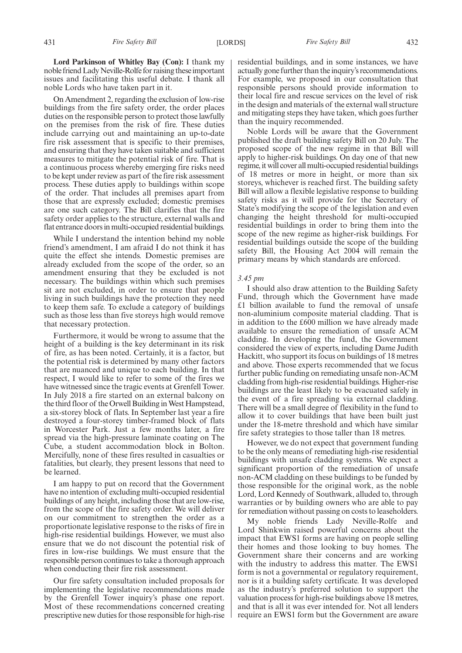On Amendment 2, regarding the exclusion of low-rise buildings from the fire safety order, the order places duties on the responsible person to protect those lawfully on the premises from the risk of fire. These duties include carrying out and maintaining an up-to-date fire risk assessment that is specific to their premises, and ensuring that they have taken suitable and sufficient measures to mitigate the potential risk of fire. That is a continuous process whereby emerging fire risks need to be kept under review as part of the fire risk assessment process. These duties apply to buildings within scope of the order. That includes all premises apart from those that are expressly excluded; domestic premises are one such category. The Bill clarifies that the fire safety order applies to the structure, external walls and flat entrance doors in multi-occupied residential buildings.

While I understand the intention behind my noble friend's amendment, I am afraid I do not think it has quite the effect she intends. Domestic premises are already excluded from the scope of the order, so an amendment ensuring that they be excluded is not necessary. The buildings within which such premises sit are not excluded, in order to ensure that people living in such buildings have the protection they need to keep them safe. To exclude a category of buildings such as those less than five storeys high would remove that necessary protection.

Furthermore, it would be wrong to assume that the height of a building is the key determinant in its risk of fire, as has been noted. Certainly, it is a factor, but the potential risk is determined by many other factors that are nuanced and unique to each building. In that respect, I would like to refer to some of the fires we have witnessed since the tragic events at Grenfell Tower. In July 2018 a fire started on an external balcony on the third floor of the Orwell Building in West Hampstead, a six-storey block of flats. In September last year a fire destroyed a four-storey timber-framed block of flats in Worcester Park. Just a few months later, a fire spread via the high-pressure laminate coating on The Cube, a student accommodation block in Bolton. Mercifully, none of these fires resulted in casualties or fatalities, but clearly, they present lessons that need to be learned.

I am happy to put on record that the Government have no intention of excluding multi-occupied residential buildings of any height, including those that are low-rise, from the scope of the fire safety order. We will deliver on our commitment to strengthen the order as a proportionate legislative response to the risks of fire in high-rise residential buildings. However, we must also ensure that we do not discount the potential risk of fires in low-rise buildings. We must ensure that the responsible person continues to take a thorough approach when conducting their fire risk assessment.

Our fire safety consultation included proposals for implementing the legislative recommendations made by the Grenfell Tower inquiry's phase one report. Most of these recommendations concerned creating prescriptive new duties for those responsible for high-rise

431 *Fire Safety Bill* [LORDS] *Fire Safety Bill* 432

residential buildings, and in some instances, we have actually gone further than the inquiry's recommendations. For example, we proposed in our consultation that responsible persons should provide information to their local fire and rescue services on the level of risk in the design and materials of the external wall structure and mitigating steps they have taken, which goes further than the inquiry recommended.

Noble Lords will be aware that the Government published the draft building safety Bill on 20 July. The proposed scope of the new regime in that Bill will apply to higher-risk buildings. On day one of that new regime, it will cover all multi-occupied residential buildings of 18 metres or more in height, or more than six storeys, whichever is reached first. The building safety Bill will allow a flexible legislative response to building safety risks as it will provide for the Secretary of State's modifying the scope of the legislation and even changing the height threshold for multi-occupied residential buildings in order to bring them into the scope of the new regime as higher-risk buildings. For residential buildings outside the scope of the building safety Bill, the Housing Act 2004 will remain the primary means by which standards are enforced.

#### *3.45 pm*

I should also draw attention to the Building Safety Fund, through which the Government have made £1 billion available to fund the removal of unsafe non-aluminium composite material cladding. That is in addition to the £600 million we have already made available to ensure the remediation of unsafe ACM cladding. In developing the fund, the Government considered the view of experts, including Dame Judith Hackitt, who support its focus on buildings of 18 metres and above. Those experts recommended that we focus further public funding on remediating unsafe non-ACM cladding from high-rise residential buildings. Higher-rise buildings are the least likely to be evacuated safely in the event of a fire spreading via external cladding. There will be a small degree of flexibility in the fund to allow it to cover buildings that have been built just under the 18-metre threshold and which have similar fire safety strategies to those taller than 18 metres.

However, we do not expect that government funding to be the only means of remediating high-rise residential buildings with unsafe cladding systems. We expect a significant proportion of the remediation of unsafe non-ACM cladding on these buildings to be funded by those responsible for the original work, as the noble Lord, Lord Kennedy of Southwark, alluded to, through warranties or by building owners who are able to pay for remediation without passing on costs to leaseholders.

My noble friends Lady Neville-Rolfe and Lord Shinkwin raised powerful concerns about the impact that EWS1 forms are having on people selling their homes and those looking to buy homes. The Government share their concerns and are working with the industry to address this matter. The EWS1 form is not a governmental or regulatory requirement, nor is it a building safety certificate. It was developed as the industry's preferred solution to support the valuation process for high-rise buildings above 18 metres, and that is all it was ever intended for. Not all lenders require an EWS1 form but the Government are aware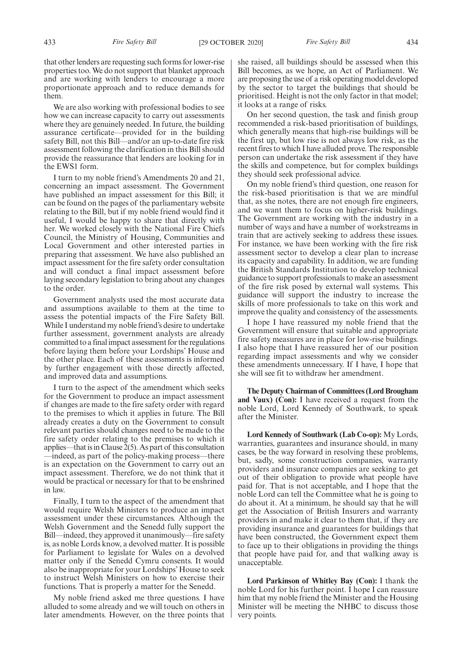that other lenders are requesting such forms for lower-rise properties too. We do not support that blanket approach and are working with lenders to encourage a more proportionate approach and to reduce demands for them.

We are also working with professional bodies to see how we can increase capacity to carry out assessments where they are genuinely needed. In future, the building assurance certificate—provided for in the building safety Bill, not this Bill—and/or an up-to-date fire risk assessment following the clarification in this Bill should provide the reassurance that lenders are looking for in the EWS1 form.

I turn to my noble friend's Amendments 20 and 21, concerning an impact assessment. The Government have published an impact assessment for this Bill; it can be found on the pages of the parliamentary website relating to the Bill, but if my noble friend would find it useful, I would be happy to share that directly with her. We worked closely with the National Fire Chiefs Council, the Ministry of Housing, Communities and Local Government and other interested parties in preparing that assessment. We have also published an impact assessment for the fire safety order consultation and will conduct a final impact assessment before laying secondary legislation to bring about any changes to the order.

Government analysts used the most accurate data and assumptions available to them at the time to assess the potential impacts of the Fire Safety Bill. While I understand my noble friend's desire to undertake further assessment, government analysts are already committed to a final impact assessment for the regulations before laying them before your Lordships' House and the other place. Each of these assessments is informed by further engagement with those directly affected, and improved data and assumptions.

I turn to the aspect of the amendment which seeks for the Government to produce an impact assessment if changes are made to the fire safety order with regard to the premises to which it applies in future. The Bill already creates a duty on the Government to consult relevant parties should changes need to be made to the fire safety order relating to the premises to which it applies—that is in Clause 2(5). As part of this consultation —indeed, as part of the policy-making process—there is an expectation on the Government to carry out an impact assessment. Therefore, we do not think that it would be practical or necessary for that to be enshrined in law.

Finally, I turn to the aspect of the amendment that would require Welsh Ministers to produce an impact assessment under these circumstances. Although the Welsh Government and the Senedd fully support the Bill—indeed, they approved it unanimously—fire safety is, as noble Lords know, a devolved matter. It is possible for Parliament to legislate for Wales on a devolved matter only if the Senedd Cymru consents. It would also be inappropriate for your Lordships' House to seek to instruct Welsh Ministers on how to exercise their functions. That is properly a matter for the Senedd.

My noble friend asked me three questions. I have alluded to some already and we will touch on others in later amendments. However, on the three points that she raised, all buildings should be assessed when this Bill becomes, as we hope, an Act of Parliament. We are proposing the use of a risk operating model developed by the sector to target the buildings that should be prioritised. Height is not the only factor in that model; it looks at a range of risks.

On her second question, the task and finish group recommended a risk-based prioritisation of buildings, which generally means that high-rise buildings will be the first up, but low rise is not always low risk, as the recent fires to which I have alluded prove. The responsible person can undertake the risk assessment if they have the skills and competence, but for complex buildings they should seek professional advice.

On my noble friend's third question, one reason for the risk-based prioritisation is that we are mindful that, as she notes, there are not enough fire engineers, and we want them to focus on higher-risk buildings. The Government are working with the industry in a number of ways and have a number of workstreams in train that are actively seeking to address these issues. For instance, we have been working with the fire risk assessment sector to develop a clear plan to increase its capacity and capability. In addition, we are funding the British Standards Institution to develop technical guidance to support professionals to make an assessment of the fire risk posed by external wall systems. This guidance will support the industry to increase the skills of more professionals to take on this work and improve the quality and consistency of the assessments.

I hope I have reassured my noble friend that the Government will ensure that suitable and appropriate fire safety measures are in place for low-rise buildings. I also hope that I have reassured her of our position regarding impact assessments and why we consider these amendments unnecessary. If I have, I hope that she will see fit to withdraw her amendment.

**The Deputy Chairman of Committees (Lord Brougham and Vaux) (Con):** I have received a request from the noble Lord, Lord Kennedy of Southwark, to speak after the Minister.

**Lord Kennedy of Southwark (Lab Co-op):** My Lords, warranties, guarantees and insurance should, in many cases, be the way forward in resolving these problems, but, sadly, some construction companies, warranty providers and insurance companies are seeking to get out of their obligation to provide what people have paid for. That is not acceptable, and I hope that the noble Lord can tell the Committee what he is going to do about it. At a minimum, he should say that he will get the Association of British Insurers and warranty providers in and make it clear to them that, if they are providing insurance and guarantees for buildings that have been constructed, the Government expect them to face up to their obligations in providing the things that people have paid for, and that walking away is unacceptable.

**Lord Parkinson of Whitley Bay (Con):** I thank the noble Lord for his further point. I hope I can reassure him that my noble friend the Minister and the Housing Minister will be meeting the NHBC to discuss those very points.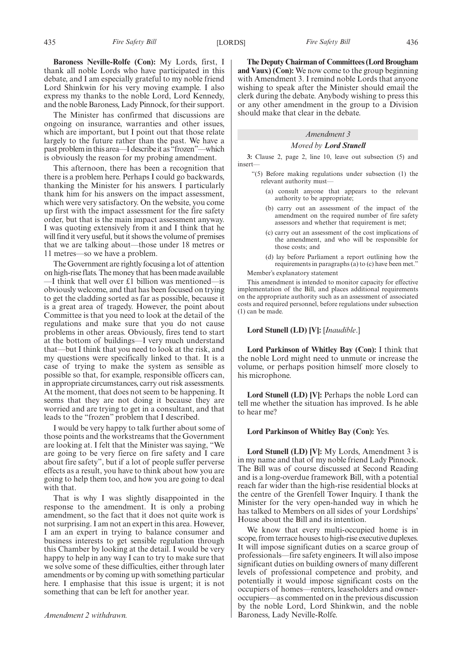**Baroness Neville-Rolfe (Con):** My Lords, first, I thank all noble Lords who have participated in this debate, and I am especially grateful to my noble friend Lord Shinkwin for his very moving example. I also express my thanks to the noble Lord, Lord Kennedy, and the noble Baroness, Lady Pinnock, for their support.

The Minister has confirmed that discussions are ongoing on insurance, warranties and other issues, which are important, but I point out that those relate largely to the future rather than the past. We have a past problem in this area—I describe it as "frozen"—which is obviously the reason for my probing amendment.

This afternoon, there has been a recognition that there is a problem here. Perhaps I could go backwards, thanking the Minister for his answers. I particularly thank him for his answers on the impact assessment, which were very satisfactory. On the website, you come up first with the impact assessment for the fire safety order, but that is the main impact assessment anyway. I was quoting extensively from it and I think that he will find it very useful, but it shows the volume of premises that we are talking about—those under 18 metres or 11 metres—so we have a problem.

The Government are rightly focusing a lot of attention on high-rise flats. The money that has been made available —I think that well over £1 billion was mentioned—is obviously welcome, and that has been focused on trying to get the cladding sorted as far as possible, because it is a great area of tragedy. However, the point about Committee is that you need to look at the detail of the regulations and make sure that you do not cause problems in other areas. Obviously, fires tend to start at the bottom of buildings—I very much understand that—but I think that you need to look at the risk, and my questions were specifically linked to that. It is a case of trying to make the system as sensible as possible so that, for example, responsible officers can, in appropriate circumstances, carry out risk assessments. At the moment, that does not seem to be happening. It seems that they are not doing it because they are worried and are trying to get in a consultant, and that leads to the "frozen" problem that I described.

I would be very happy to talk further about some of those points and the workstreams that the Government are looking at. I felt that the Minister was saying, "We are going to be very fierce on fire safety and I care about fire safety", but if a lot of people suffer perverse effects as a result, you have to think about how you are going to help them too, and how you are going to deal with that.

That is why I was slightly disappointed in the response to the amendment. It is only a probing amendment, so the fact that it does not quite work is not surprising. I am not an expert in this area. However, I am an expert in trying to balance consumer and business interests to get sensible regulation through this Chamber by looking at the detail. I would be very happy to help in any way I can to try to make sure that we solve some of these difficulties, either through later amendments or by coming up with something particular here. I emphasise that this issue is urgent; it is not something that can be left for another year.

**The Deputy Chairman of Committees (Lord Brougham and Vaux) (Con):** We now come to the group beginning with Amendment 3. I remind noble Lords that anyone wishing to speak after the Minister should email the clerk during the debate. Anybody wishing to press this or any other amendment in the group to a Division should make that clear in the debate.

### *Amendment 3*

#### *Moved by Lord Stunell*

**3:** Clause 2, page 2, line 10, leave out subsection (5) and insert—

- "(5) Before making regulations under subsection (1) the relevant authority must—
	- (a) consult anyone that appears to the relevant authority to be appropriate;
	- (b) carry out an assessment of the impact of the amendment on the required number of fire safety assessors and whether that requirement is met;
	- (c) carry out an assessment of the cost implications of the amendment, and who will be responsible for those costs; and
	- (d) lay before Parliament a report outlining how the requirements in paragraphs (a) to (c) have been met."

Member's explanatory statement

This amendment is intended to monitor capacity for effective implementation of the Bill, and places additional requirements on the appropriate authority such as an assessment of associated costs and required personnel, before regulations under subsection (1) can be made.

#### **Lord Stunell (LD) [V]:** [*Inaudible*.]

**Lord Parkinson of Whitley Bay (Con):** I think that the noble Lord might need to unmute or increase the volume, or perhaps position himself more closely to his microphone.

**Lord Stunell (LD) [V]:** Perhaps the noble Lord can tell me whether the situation has improved. Is he able to hear me?

#### **Lord Parkinson of Whitley Bay (Con):** Yes.

**Lord Stunell (LD) [V]:** My Lords, Amendment 3 is in my name and that of my noble friend Lady Pinnock. The Bill was of course discussed at Second Reading and is a long-overdue framework Bill, with a potential reach far wider than the high-rise residential blocks at the centre of the Grenfell Tower Inquiry. I thank the Minister for the very open-handed way in which he has talked to Members on all sides of your Lordships' House about the Bill and its intention.

We know that every multi-occupied home is in scope, from terrace houses to high-rise executive duplexes. It will impose significant duties on a scarce group of professionals—fire safety engineers. It will also impose significant duties on building owners of many different levels of professional competence and probity, and potentially it would impose significant costs on the occupiers of homes—renters, leaseholders and owneroccupiers—as commented on in the previous discussion by the noble Lord, Lord Shinkwin, and the noble Baroness, Lady Neville-Rolfe.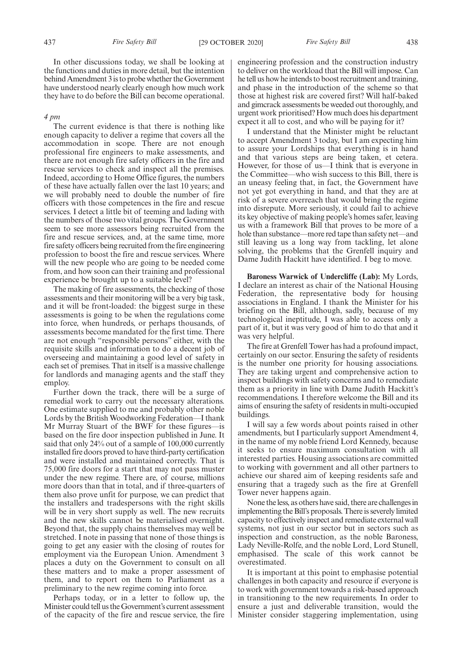In other discussions today, we shall be looking at the functions and duties in more detail, but the intention behind Amendment 3 is to probe whether the Government have understood nearly clearly enough how much work they have to do before the Bill can become operational.

#### *4 pm*

The current evidence is that there is nothing like enough capacity to deliver a regime that covers all the accommodation in scope. There are not enough professional fire engineers to make assessments, and there are not enough fire safety officers in the fire and rescue services to check and inspect all the premises. Indeed, according to Home Office figures, the numbers of these have actually fallen over the last 10 years; and we will probably need to double the number of fire officers with those competences in the fire and rescue services. I detect a little bit of teeming and lading with the numbers of those two vital groups. The Government seem to see more assessors being recruited from the fire and rescue services, and, at the same time, more fire safety officers being recruited from the fire engineering profession to boost the fire and rescue services. Where will the new people who are going to be needed come from, and how soon can their training and professional experience be brought up to a suitable level?

The making of fire assessments, the checking of those assessments and their monitoring will be a very big task, and it will be front-loaded: the biggest surge in these assessments is going to be when the regulations come into force, when hundreds, or perhaps thousands, of assessments become mandated for the first time. There are not enough "responsible persons" either, with the requisite skills and information to do a decent job of overseeing and maintaining a good level of safety in each set of premises. That in itself is a massive challenge for landlords and managing agents and the staff they employ.

Further down the track, there will be a surge of remedial work to carry out the necessary alterations. One estimate supplied to me and probably other noble Lords by the British Woodworking Federation—I thank Mr Murray Stuart of the BWF for these figures—is based on the fire door inspection published in June. It said that only 24% out of a sample of 100,000 currently installed fire doors proved to have third-party certification and were installed and maintained correctly. That is 75,000 fire doors for a start that may not pass muster under the new regime. There are, of course, millions more doors than that in total, and if three-quarters of them also prove unfit for purpose, we can predict that the installers and tradespersons with the right skills will be in very short supply as well. The new recruits and the new skills cannot be materialised overnight. Beyond that, the supply chains themselves may well be stretched. I note in passing that none of those things is going to get any easier with the closing of routes for employment via the European Union. Amendment 3 places a duty on the Government to consult on all these matters and to make a proper assessment of them, and to report on them to Parliament as a preliminary to the new regime coming into force.

Perhaps today, or in a letter to follow up, the Minister could tell us the Government's current assessment of the capacity of the fire and rescue service, the fire engineering profession and the construction industry to deliver on the workload that the Bill will impose. Can he tell us how he intends to boost recruitment and training, and phase in the introduction of the scheme so that those at highest risk are covered first? Will half-baked and gimcrack assessments be weeded out thoroughly, and urgent work prioritised? How much does his department expect it all to cost, and who will be paying for it?

I understand that the Minister might be reluctant to accept Amendment 3 today, but I am expecting him to assure your Lordships that everything is in hand and that various steps are being taken, et cetera. However, for those of us—I think that is everyone in the Committee—who wish success to this Bill, there is an uneasy feeling that, in fact, the Government have not yet got everything in hand, and that they are at risk of a severe overreach that would bring the regime into disrepute. More seriously, it could fail to achieve its key objective of making people's homes safer, leaving us with a framework Bill that proves to be more of a hole than substance—more red tape than safety net—and still leaving us a long way from tackling, let alone solving, the problems that the Grenfell inquiry and Dame Judith Hackitt have identified. I beg to move.

**Baroness Warwick of Undercliffe (Lab):** My Lords, I declare an interest as chair of the National Housing Federation, the representative body for housing associations in England. I thank the Minister for his briefing on the Bill, although, sadly, because of my technological ineptitude, I was able to access only a part of it, but it was very good of him to do that and it was very helpful.

The fire at Grenfell Tower has had a profound impact, certainly on our sector. Ensuring the safety of residents is the number one priority for housing associations. They are taking urgent and comprehensive action to inspect buildings with safety concerns and to remediate them as a priority in line with Dame Judith Hackitt's recommendations. I therefore welcome the Bill and its aims of ensuring the safety of residents in multi-occupied buildings.

I will say a few words about points raised in other amendments, but I particularly support Amendment 4, in the name of my noble friend Lord Kennedy, because it seeks to ensure maximum consultation with all interested parties. Housing associations are committed to working with government and all other partners to achieve our shared aim of keeping residents safe and ensuring that a tragedy such as the fire at Grenfell Tower never happens again.

None the less, as others have said, there are challenges in implementing the Bill's proposals. There is severely limited capacity to effectively inspect and remediate external wall systems, not just in our sector but in sectors such as inspection and construction, as the noble Baroness, Lady Neville-Rolfe, and the noble Lord, Lord Stunell, emphasised. The scale of this work cannot be overestimated.

It is important at this point to emphasise potential challenges in both capacity and resource if everyone is to work with government towards a risk-based approach in transitioning to the new requirements. In order to ensure a just and deliverable transition, would the Minister consider staggering implementation, using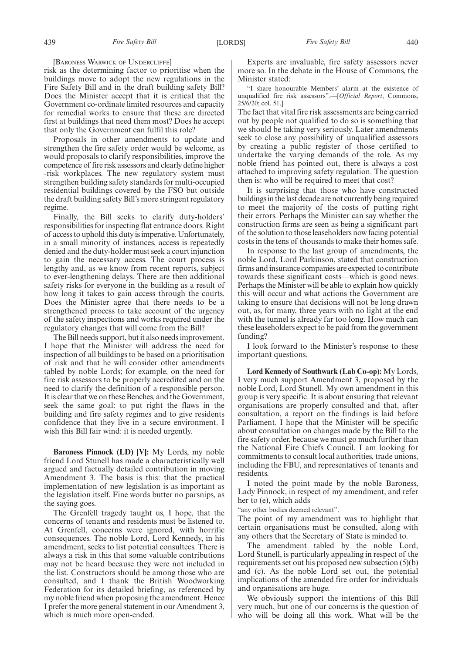[BARONESS WARWICK OF UNDERCLIFFE]

risk as the determining factor to prioritise when the buildings move to adopt the new regulations in the Fire Safety Bill and in the draft building safety Bill? Does the Minister accept that it is critical that the Government co-ordinate limited resources and capacity for remedial works to ensure that these are directed first at buildings that need them most? Does he accept that only the Government can fulfil this role?

Proposals in other amendments to update and strengthen the fire safety order would be welcome, as would proposals to clarify responsibilities, improve the competence of fire risk assessors and clearly define higher -risk workplaces. The new regulatory system must strengthen building safety standards for multi-occupied residential buildings covered by the FSO but outside the draft building safety Bill's more stringent regulatory regime.

Finally, the Bill seeks to clarify duty-holders' responsibilities for inspecting flat entrance doors. Right of access to uphold this duty is imperative. Unfortunately, in a small minority of instances, access is repeatedly denied and the duty-holder must seek a court injunction to gain the necessary access. The court process is lengthy and, as we know from recent reports, subject to ever-lengthening delays. There are then additional safety risks for everyone in the building as a result of how long it takes to gain access through the courts. Does the Minister agree that there needs to be a strengthened process to take account of the urgency of the safety inspections and works required under the regulatory changes that will come from the Bill?

The Bill needs support, but it also needs improvement. I hope that the Minister will address the need for inspection of all buildings to be based on a prioritisation of risk and that he will consider other amendments tabled by noble Lords; for example, on the need for fire risk assessors to be properly accredited and on the need to clarify the definition of a responsible person. It is clear that we on these Benches, and the Government, seek the same goal: to put right the flaws in the building and fire safety regimes and to give residents confidence that they live in a secure environment. I wish this Bill fair wind: it is needed urgently.

**Baroness Pinnock (LD) [V]:** My Lords, my noble friend Lord Stunell has made a characteristically well argued and factually detailed contribution in moving Amendment 3. The basis is this: that the practical implementation of new legislation is as important as the legislation itself. Fine words butter no parsnips, as the saying goes.

The Grenfell tragedy taught us, I hope, that the concerns of tenants and residents must be listened to. At Grenfell, concerns were ignored, with horrific consequences. The noble Lord, Lord Kennedy, in his amendment, seeks to list potential consultees. There is always a risk in this that some valuable contributions may not be heard because they were not included in the list. Constructors should be among those who are consulted, and I thank the British Woodworking Federation for its detailed briefing, as referenced by my noble friend when proposing the amendment. Hence I prefer the more general statement in our Amendment 3, which is much more open-ended.

Experts are invaluable, fire safety assessors never more so. In the debate in the House of Commons, the Minister stated:

"I share honourable Members' alarm at the existence of unqualified fire risk assessors".—[*Official Report*, Commons, 25/6/20; col. 51.]

The fact that vital fire risk assessments are being carried out by people not qualified to do so is something that we should be taking very seriously. Later amendments seek to close any possibility of unqualified assessors by creating a public register of those certified to undertake the varying demands of the role. As my noble friend has pointed out, there is always a cost attached to improving safety regulation. The question then is: who will be required to meet that cost?

It is surprising that those who have constructed buildings in the last decade are not currently being required to meet the majority of the costs of putting right their errors. Perhaps the Minister can say whether the construction firms are seen as being a significant part of the solution to those leaseholders now facing potential costs in the tens of thousands to make their homes safe.

In response to the last group of amendments, the noble Lord, Lord Parkinson, stated that construction firms and insurance companies are expected to contribute towards these significant costs—which is good news. Perhaps the Minister will be able to explain how quickly this will occur and what actions the Government are taking to ensure that decisions will not be long drawn out, as, for many, three years with no light at the end with the tunnel is already far too long. How much can these leaseholders expect to be paid from the government funding?

I look forward to the Minister's response to these important questions.

**Lord Kennedy of Southwark (Lab Co-op):** My Lords, I very much support Amendment 3, proposed by the noble Lord, Lord Stunell. My own amendment in this group is very specific. It is about ensuring that relevant organisations are properly consulted and that, after consultation, a report on the findings is laid before Parliament. I hope that the Minister will be specific about consultation on changes made by the Bill to the fire safety order, because we must go much further than the National Fire Chiefs Council. I am looking for commitments to consult local authorities, trade unions, including the FBU, and representatives of tenants and residents.

I noted the point made by the noble Baroness, Lady Pinnock, in respect of my amendment, and refer her to (e), which adds

"any other bodies deemed relevant".

The point of my amendment was to highlight that certain organisations must be consulted, along with any others that the Secretary of State is minded to.

The amendment tabled by the noble Lord, Lord Stunell, is particularly appealing in respect of the requirements set out his proposed new subsection (5)(b) and (c). As the noble Lord set out, the potential implications of the amended fire order for individuals and organisations are huge.

We obviously support the intentions of this Bill very much, but one of our concerns is the question of who will be doing all this work. What will be the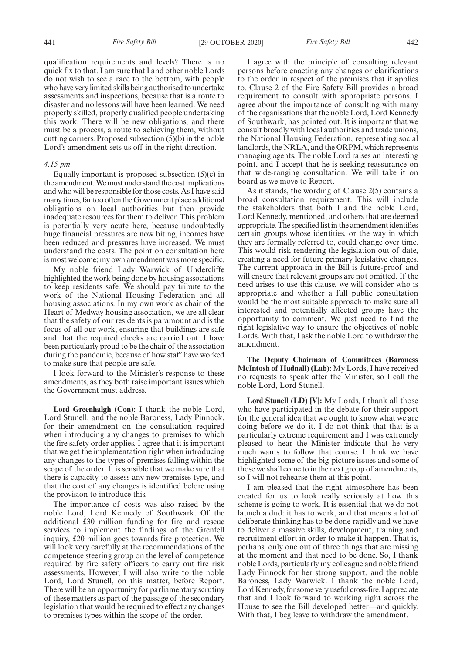qualification requirements and levels? There is no quick fix to that. I am sure that I and other noble Lords do not wish to see a race to the bottom, with people who have very limited skills being authorised to undertake assessments and inspections, because that is a route to disaster and no lessons will have been learned. We need properly skilled, properly qualified people undertaking this work. There will be new obligations, and there must be a process, a route to achieving them, without cutting corners. Proposed subsection (5)(b) in the noble Lord's amendment sets us off in the right direction.

#### *4.15 pm*

Equally important is proposed subsection (5)(c) in the amendment. We must understand the cost implications and who will be responsible for those costs. As I have said many times, far too often the Government place additional obligations on local authorities but then provide inadequate resources for them to deliver. This problem is potentially very acute here, because undoubtedly huge financial pressures are now biting, incomes have been reduced and pressures have increased. We must understand the costs. The point on consultation here is most welcome; my own amendment was more specific.

My noble friend Lady Warwick of Undercliffe highlighted the work being done by housing associations to keep residents safe. We should pay tribute to the work of the National Housing Federation and all housing associations. In my own work as chair of the Heart of Medway housing association, we are all clear that the safety of our residents is paramount and is the focus of all our work, ensuring that buildings are safe and that the required checks are carried out. I have been particularly proud to be the chair of the association during the pandemic, because of how staff have worked to make sure that people are safe.

I look forward to the Minister's response to these amendments, as they both raise important issues which the Government must address.

**Lord Greenhalgh (Con):** I thank the noble Lord, Lord Stunell, and the noble Baroness, Lady Pinnock, for their amendment on the consultation required when introducing any changes to premises to which the fire safety order applies. I agree that it is important that we get the implementation right when introducing any changes to the types of premises falling within the scope of the order. It is sensible that we make sure that there is capacity to assess any new premises type, and that the cost of any changes is identified before using the provision to introduce this.

The importance of costs was also raised by the noble Lord, Lord Kennedy of Southwark. Of the additional £30 million funding for fire and rescue services to implement the findings of the Grenfell inquiry, £20 million goes towards fire protection. We will look very carefully at the recommendations of the competence steering group on the level of competence required by fire safety officers to carry out fire risk assessments. However, I will also write to the noble Lord, Lord Stunell, on this matter, before Report. There will be an opportunity for parliamentary scrutiny of these matters as part of the passage of the secondary legislation that would be required to effect any changes to premises types within the scope of the order.

I agree with the principle of consulting relevant persons before enacting any changes or clarifications to the order in respect of the premises that it applies to. Clause 2 of the Fire Safety Bill provides a broad requirement to consult with appropriate persons. I agree about the importance of consulting with many of the organisations that the noble Lord, Lord Kennedy of Southwark, has pointed out. It is important that we consult broadly with local authorities and trade unions, the National Housing Federation, representing social landlords, the NRLA, and the ORPM, which represents managing agents. The noble Lord raises an interesting point, and I accept that he is seeking reassurance on that wide-ranging consultation. We will take it on board as we move to Report.

As it stands, the wording of Clause 2(5) contains a broad consultation requirement. This will include the stakeholders that both I and the noble Lord, Lord Kennedy, mentioned, and others that are deemed appropriate. The specified list in the amendment identifies certain groups whose identities, or the way in which they are formally referred to, could change over time. This would risk rendering the legislation out of date, creating a need for future primary legislative changes. The current approach in the Bill is future-proof and will ensure that relevant groups are not omitted. If the need arises to use this clause, we will consider who is appropriate and whether a full public consultation would be the most suitable approach to make sure all interested and potentially affected groups have the opportunity to comment. We just need to find the right legislative way to ensure the objectives of noble Lords. With that, I ask the noble Lord to withdraw the amendment.

**The Deputy Chairman of Committees (Baroness McIntosh of Hudnall) (Lab):** My Lords, I have received no requests to speak after the Minister, so I call the noble Lord, Lord Stunell.

**Lord Stunell (LD) [V]:** My Lords, I thank all those who have participated in the debate for their support for the general idea that we ought to know what we are doing before we do it. I do not think that that is a particularly extreme requirement and I was extremely pleased to hear the Minister indicate that he very much wants to follow that course. I think we have highlighted some of the big-picture issues and some of those we shall come to in the next group of amendments, so I will not rehearse them at this point.

I am pleased that the right atmosphere has been created for us to look really seriously at how this scheme is going to work. It is essential that we do not launch a dud: it has to work, and that means a lot of deliberate thinking has to be done rapidly and we have to deliver a massive skills, development, training and recruitment effort in order to make it happen. That is, perhaps, only one out of three things that are missing at the moment and that need to be done. So, I thank noble Lords, particularly my colleague and noble friend Lady Pinnock for her strong support, and the noble Baroness, Lady Warwick. I thank the noble Lord, Lord Kennedy, for some very useful cross-fire. I appreciate that and I look forward to working right across the House to see the Bill developed better—and quickly. With that, I beg leave to withdraw the amendment.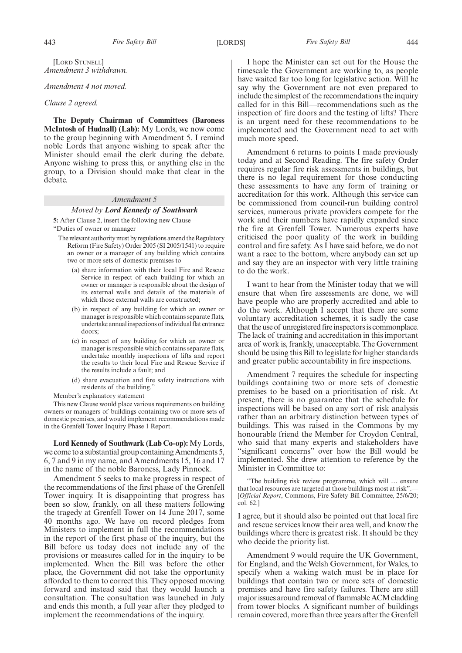#### *Amendment 4 not moved.*

#### *Clause 2 agreed.*

**The Deputy Chairman of Committees (Baroness McIntosh of Hudnall) (Lab):** My Lords, we now come to the group beginning with Amendment 5. I remind noble Lords that anyone wishing to speak after the Minister should email the clerk during the debate. Anyone wishing to press this, or anything else in the group, to a Division should make that clear in the debate.

# *Amendment 5*

## *Moved by Lord Kennedy of Southwark*

**5:** After Clause 2, insert the following new Clause— "Duties of owner or manager

The relevant authority must by regulations amend the Regulatory Reform (Fire Safety) Order 2005 (SI 2005/1541) to require an owner or a manager of any building which contains two or more sets of domestic premises to—

- (a) share information with their local Fire and Rescue Service in respect of each building for which an owner or manager is responsible about the design of its external walls and details of the materials of which those external walls are constructed;
- (b) in respect of any building for which an owner or manager is responsible which contains separate flats, undertake annual inspections of individual flat entrance doors;
- (c) in respect of any building for which an owner or manager is responsible which contains separate flats, undertake monthly inspections of lifts and report the results to their local Fire and Rescue Service if the results include a fault; and
- (d) share evacuation and fire safety instructions with residents of the building."
- Member's explanatory statement

This new Clause would place various requirements on building owners or managers of buildings containing two or more sets of domestic premises, and would implement recommendations made in the Grenfell Tower Inquiry Phase 1 Report.

**Lord Kennedy of Southwark (Lab Co-op):** My Lords, we come to a substantial group containing Amendments 5, 6, 7 and 9 in my name, and Amendments 15, 16 and 17 in the name of the noble Baroness, Lady Pinnock.

Amendment 5 seeks to make progress in respect of the recommendations of the first phase of the Grenfell Tower inquiry. It is disappointing that progress has been so slow, frankly, on all these matters following the tragedy at Grenfell Tower on 14 June 2017, some 40 months ago. We have on record pledges from Ministers to implement in full the recommendations in the report of the first phase of the inquiry, but the Bill before us today does not include any of the provisions or measures called for in the inquiry to be implemented. When the Bill was before the other place, the Government did not take the opportunity afforded to them to correct this. They opposed moving forward and instead said that they would launch a consultation. The consultation was launched in July and ends this month, a full year after they pledged to implement the recommendations of the inquiry.

I hope the Minister can set out for the House the timescale the Government are working to, as people have waited far too long for legislative action. Will he say why the Government are not even prepared to include the simplest of the recommendations the inquiry called for in this Bill—recommendations such as the inspection of fire doors and the testing of lifts? There is an urgent need for these recommendations to be implemented and the Government need to act with much more speed.

Amendment 6 returns to points I made previously today and at Second Reading. The fire safety Order requires regular fire risk assessments in buildings, but there is no legal requirement for those conducting these assessments to have any form of training or accreditation for this work. Although this service can be commissioned from council-run building control services, numerous private providers compete for the work and their numbers have rapidly expanded since the fire at Grenfell Tower. Numerous experts have criticised the poor quality of the work in building control and fire safety. As I have said before, we do not want a race to the bottom, where anybody can set up and say they are an inspector with very little training to do the work.

I want to hear from the Minister today that we will ensure that when fire assessments are done, we will have people who are properly accredited and able to do the work. Although I accept that there are some voluntary accreditation schemes, it is sadly the case that the use of unregistered fire inspectors is commonplace. The lack of training and accreditation in this important area of work is, frankly, unacceptable. The Government should be using this Bill to legislate for higher standards and greater public accountability in fire inspections.

Amendment 7 requires the schedule for inspecting buildings containing two or more sets of domestic premises to be based on a prioritisation of risk. At present, there is no guarantee that the schedule for inspections will be based on any sort of risk analysis rather than an arbitrary distinction between types of buildings. This was raised in the Commons by my honourable friend the Member for Croydon Central, who said that many experts and stakeholders have "significant concerns" over how the Bill would be implemented. She drew attention to reference by the Minister in Committee to:

"The building risk review programme, which will … ensure that local resources are targeted at those buildings most at risk".— [*Official Report*, Commons, Fire Safety Bill Committee, 25/6/20; col. 62.]

I agree, but it should also be pointed out that local fire and rescue services know their area well, and know the buildings where there is greatest risk. It should be they who decide the priority list.

Amendment 9 would require the UK Government, for England, and the Welsh Government, for Wales, to specify when a waking watch must be in place for buildings that contain two or more sets of domestic premises and have fire safety failures. There are still major issues around removal of flammable ACM cladding from tower blocks. A significant number of buildings remain covered, more than three years after the Grenfell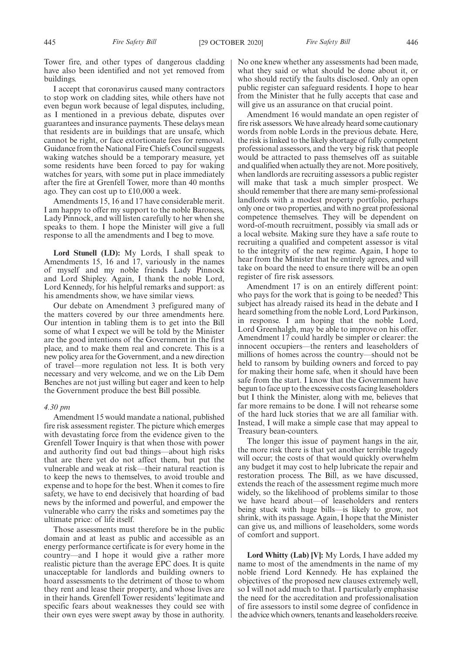Tower fire, and other types of dangerous cladding have also been identified and not yet removed from buildings.

I accept that coronavirus caused many contractors to stop work on cladding sites, while others have not even begun work because of legal disputes, including, as I mentioned in a previous debate, disputes over guarantees and insurance payments. These delays mean that residents are in buildings that are unsafe, which cannot be right, or face extortionate fees for removal. Guidance from the National Fire Chiefs Council suggests waking watches should be a temporary measure, yet some residents have been forced to pay for waking watches for years, with some put in place immediately after the fire at Grenfell Tower, more than 40 months ago. They can cost up to £10,000 a week.

Amendments 15, 16 and 17 have considerable merit. I am happy to offer my support to the noble Baroness, Lady Pinnock, and will listen carefully to her when she speaks to them. I hope the Minister will give a full response to all the amendments and I beg to move.

**Lord Stunell (LD):** My Lords, I shall speak to Amendments 15, 16 and 17, variously in the names of myself and my noble friends Lady Pinnock and Lord Shipley. Again, I thank the noble Lord, Lord Kennedy, for his helpful remarks and support: as his amendments show, we have similar views.

Our debate on Amendment 3 prefigured many of the matters covered by our three amendments here. Our intention in tabling them is to get into the Bill some of what I expect we will be told by the Minister are the good intentions of the Government in the first place, and to make them real and concrete. This is a new policy area for the Government, and a new direction of travel—more regulation not less. It is both very necessary and very welcome, and we on the Lib Dem Benches are not just willing but eager and keen to help the Government produce the best Bill possible.

### *4.30 pm*

Amendment 15 would mandate a national, published fire risk assessment register. The picture which emerges with devastating force from the evidence given to the Grenfell Tower Inquiry is that when those with power and authority find out bad things—about high risks that are there yet do not affect them, but put the vulnerable and weak at risk—their natural reaction is to keep the news to themselves, to avoid trouble and expense and to hope for the best. When it comes to fire safety, we have to end decisively that hoarding of bad news by the informed and powerful, and empower the vulnerable who carry the risks and sometimes pay the ultimate price: of life itself.

Those assessments must therefore be in the public domain and at least as public and accessible as an energy performance certificate is for every home in the country—and I hope it would give a rather more realistic picture than the average EPC does. It is quite unacceptable for landlords and building owners to hoard assessments to the detriment of those to whom they rent and lease their property, and whose lives are in their hands. Grenfell Tower residents' legitimate and specific fears about weaknesses they could see with their own eyes were swept away by those in authority.

No one knew whether any assessments had been made, what they said or what should be done about it, or who should rectify the faults disclosed. Only an open public register can safeguard residents. I hope to hear from the Minister that he fully accepts that case and will give us an assurance on that crucial point.

Amendment 16 would mandate an open register of fire risk assessors. We have already heard some cautionary words from noble Lords in the previous debate. Here, the risk is linked to the likely shortage of fully competent professional assessors, and the very big risk that people would be attracted to pass themselves off as suitable and qualified when actually they are not. More positively, when landlords are recruiting assessors a public register will make that task a much simpler prospect. We should remember that there are many semi-professional landlords with a modest property portfolio, perhaps only one or two properties, and with no great professional competence themselves. They will be dependent on word-of-mouth recruitment, possibly via small ads or a local website. Making sure they have a safe route to recruiting a qualified and competent assessor is vital to the integrity of the new regime. Again, I hope to hear from the Minister that he entirely agrees, and will take on board the need to ensure there will be an open register of fire risk assessors.

Amendment 17 is on an entirely different point: who pays for the work that is going to be needed? This subject has already raised its head in the debate and I heard something from the noble Lord, Lord Parkinson, in response. I am hoping that the noble Lord, Lord Greenhalgh, may be able to improve on his offer. Amendment 17 could hardly be simpler or clearer: the innocent occupiers—the renters and leaseholders of millions of homes across the country—should not be held to ransom by building owners and forced to pay for making their home safe, when it should have been safe from the start. I know that the Government have begun to face up to the excessive costs facing leaseholders but I think the Minister, along with me, believes that far more remains to be done. I will not rehearse some of the hard luck stories that we are all familiar with. Instead, I will make a simple case that may appeal to Treasury bean-counters.

The longer this issue of payment hangs in the air, the more risk there is that yet another terrible tragedy will occur; the costs of that would quickly overwhelm any budget it may cost to help lubricate the repair and restoration process. The Bill, as we have discussed, extends the reach of the assessment regime much more widely, so the likelihood of problems similar to those we have heard about—of leaseholders and renters being stuck with huge bills—is likely to grow, not shrink, with its passage. Again, I hope that the Minister can give us, and millions of leaseholders, some words of comfort and support.

**Lord Whitty (Lab) [V]:** My Lords, I have added my name to most of the amendments in the name of my noble friend Lord Kennedy. He has explained the objectives of the proposed new clauses extremely well, so I will not add much to that. I particularly emphasise the need for the accreditation and professionalisation of fire assessors to instil some degree of confidence in the advice which owners, tenants and leaseholders receive.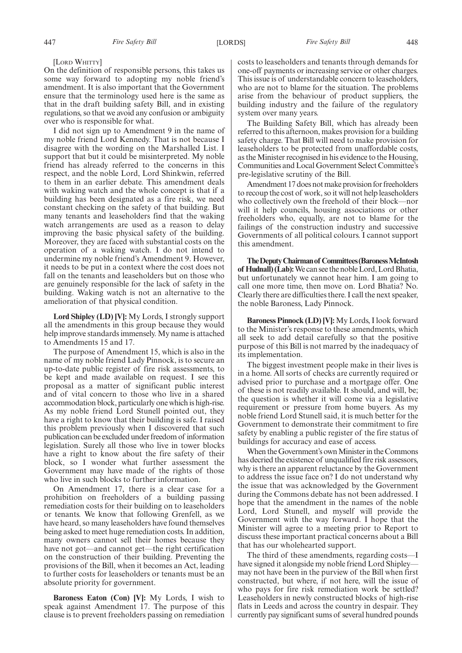[LORD WHITTY]

On the definition of responsible persons, this takes us some way forward to adopting my noble friend's amendment. It is also important that the Government ensure that the terminology used here is the same as that in the draft building safety Bill, and in existing regulations, so that we avoid any confusion or ambiguity over who is responsible for what.

I did not sign up to Amendment 9 in the name of my noble friend Lord Kennedy. That is not because I disagree with the wording on the Marshalled List. I support that but it could be misinterpreted. My noble friend has already referred to the concerns in this respect, and the noble Lord, Lord Shinkwin, referred to them in an earlier debate. This amendment deals with waking watch and the whole concept is that if a building has been designated as a fire risk, we need constant checking on the safety of that building. But many tenants and leaseholders find that the waking watch arrangements are used as a reason to delay improving the basic physical safety of the building. Moreover, they are faced with substantial costs on the operation of a waking watch. I do not intend to undermine my noble friend's Amendment 9. However, it needs to be put in a context where the cost does not fall on the tenants and leaseholders but on those who are genuinely responsible for the lack of safety in the building. Waking watch is not an alternative to the amelioration of that physical condition.

**Lord Shipley (LD) [V]:** My Lords, I strongly support all the amendments in this group because they would help improve standards immensely. My name is attached to Amendments 15 and 17.

The purpose of Amendment 15, which is also in the name of my noble friend Lady Pinnock, is to secure an up-to-date public register of fire risk assessments, to be kept and made available on request. I see this proposal as a matter of significant public interest and of vital concern to those who live in a shared accommodation block, particularly one which is high-rise. As my noble friend Lord Stunell pointed out, they have a right to know that their building is safe. I raised this problem previously when I discovered that such publication can be excluded under freedom of information legislation. Surely all those who live in tower blocks have a right to know about the fire safety of their block, so I wonder what further assessment the Government may have made of the rights of those who live in such blocks to further information.

On Amendment 17, there is a clear case for a prohibition on freeholders of a building passing remediation costs for their building on to leaseholders or tenants. We know that following Grenfell, as we have heard, so many leaseholders have found themselves being asked to meet huge remediation costs. In addition, many owners cannot sell their homes because they have not got—and cannot get—the right certification on the construction of their building. Preventing the provisions of the Bill, when it becomes an Act, leading to further costs for leaseholders or tenants must be an absolute priority for government.

**Baroness Eaton (Con) [V]:** My Lords, I wish to speak against Amendment 17. The purpose of this clause is to prevent freeholders passing on remediation costs to leaseholders and tenants through demands for one-off payments or increasing service or other charges. This issue is of understandable concern to leaseholders, who are not to blame for the situation. The problems arise from the behaviour of product suppliers, the building industry and the failure of the regulatory system over many years.

The Building Safety Bill, which has already been referred to this afternoon, makes provision for a building safety charge. That Bill will need to make provision for leaseholders to be protected from unaffordable costs, as the Minister recognised in his evidence to the Housing, Communities and Local Government Select Committee's pre-legislative scrutiny of the Bill.

Amendment 17 does not make provision for freeholders to recoup the cost of work, so it will not help leaseholders who collectively own the freehold of their block—nor will it help councils, housing associations or other freeholders who, equally, are not to blame for the failings of the construction industry and successive Governments of all political colours. I cannot support this amendment.

**TheDeputyChairmanof Committees(BaronessMcIntosh of Hudnall)(Lab):**WecanseethenobleLord,LordBhatia, but unfortunately we cannot hear him. I am going to call one more time, then move on. Lord Bhatia? No. Clearly there are difficulties there. I call the next speaker, the noble Baroness, Lady Pinnock.

**Baroness Pinnock (LD) [V]:** My Lords, I look forward to the Minister's response to these amendments, which all seek to add detail carefully so that the positive purpose of this Bill is not marred by the inadequacy of its implementation.

The biggest investment people make in their lives is in a home. All sorts of checks are currently required or advised prior to purchase and a mortgage offer. One of these is not readily available. It should, and will, be; the question is whether it will come via a legislative requirement or pressure from home buyers. As my noble friend Lord Stunell said, it is much better for the Government to demonstrate their commitment to fire safety by enabling a public register of the fire status of buildings for accuracy and ease of access.

When the Government's own Minister in the Commons has decried the existence of unqualified fire risk assessors, why is there an apparent reluctance by the Government to address the issue face on? I do not understand why the issue that was acknowledged by the Government during the Commons debate has not been addressed. I hope that the amendment in the names of the noble Lord, Lord Stunell, and myself will provide the Government with the way forward. I hope that the Minister will agree to a meeting prior to Report to discuss these important practical concerns about a Bill that has our wholehearted support.

The third of these amendments, regarding costs—I have signed it alongside my noble friend Lord Shipley may not have been in the purview of the Bill when first constructed, but where, if not here, will the issue of who pays for fire risk remediation work be settled? Leaseholders in newly constructed blocks of high-rise flats in Leeds and across the country in despair. They currently pay significant sums of several hundred pounds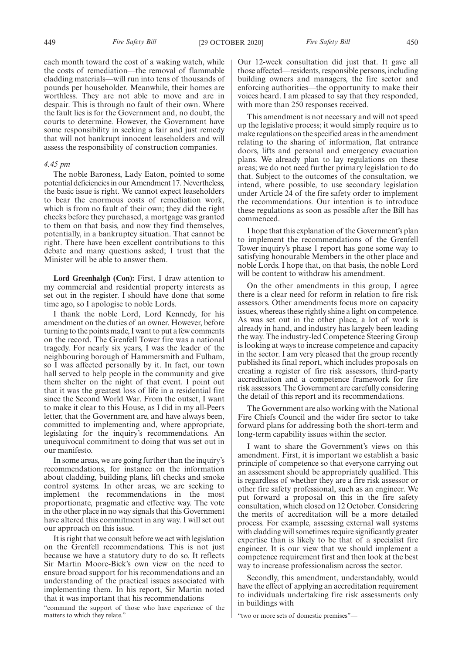each month toward the cost of a waking watch, while the costs of remediation—the removal of flammable cladding materials—will run into tens of thousands of pounds per householder. Meanwhile, their homes are worthless. They are not able to move and are in despair. This is through no fault of their own. Where the fault lies is for the Government and, no doubt, the courts to determine. However, the Government have some responsibility in seeking a fair and just remedy that will not bankrupt innocent leaseholders and will assess the responsibility of construction companies.

### *4.45 pm*

The noble Baroness, Lady Eaton, pointed to some potential deficiencies in our Amendment 17. Nevertheless, the basic issue is right. We cannot expect leaseholders to bear the enormous costs of remediation work, which is from no fault of their own; they did the right checks before they purchased, a mortgage was granted to them on that basis, and now they find themselves, potentially, in a bankruptcy situation. That cannot be right. There have been excellent contributions to this debate and many questions asked; I trust that the Minister will be able to answer them.

**Lord Greenhalgh (Con):** First, I draw attention to my commercial and residential property interests as set out in the register. I should have done that some time ago, so I apologise to noble Lords.

I thank the noble Lord, Lord Kennedy, for his amendment on the duties of an owner. However, before turning to the points made, I want to put a few comments on the record. The Grenfell Tower fire was a national tragedy. For nearly six years, I was the leader of the neighbouring borough of Hammersmith and Fulham, so I was affected personally by it. In fact, our town hall served to help people in the community and give them shelter on the night of that event. I point out that it was the greatest loss of life in a residential fire since the Second World War. From the outset, I want to make it clear to this House, as I did in my all-Peers letter, that the Government are, and have always been, committed to implementing and, where appropriate, legislating for the inquiry's recommendations. An unequivocal commitment to doing that was set out in our manifesto.

In some areas, we are going further than the inquiry's recommendations, for instance on the information about cladding, building plans, lift checks and smoke control systems. In other areas, we are seeking to implement the recommendations in the most proportionate, pragmatic and effective way. The vote in the other place in no way signals that this Government have altered this commitment in any way. I will set out our approach on this issue.

It is right that we consult before we act with legislation on the Grenfell recommendations. This is not just because we have a statutory duty to do so. It reflects Sir Martin Moore-Bick's own view on the need to ensure broad support for his recommendations and an understanding of the practical issues associated with implementing them. In his report, Sir Martin noted that it was important that his recommendations

"command the support of those who have experience of the matters to which they relate."

Our 12-week consultation did just that. It gave all those affected—residents, responsible persons, including building owners and managers, the fire sector and enforcing authorities—the opportunity to make their voices heard. I am pleased to say that they responded, with more than 250 responses received.

This amendment is not necessary and will not speed up the legislative process; it would simply require us to make regulations on the specified areas in the amendment relating to the sharing of information, flat entrance doors, lifts and personal and emergency evacuation plans. We already plan to lay regulations on these areas; we do not need further primary legislation to do that. Subject to the outcomes of the consultation, we intend, where possible, to use secondary legislation under Article 24 of the fire safety order to implement the recommendations. Our intention is to introduce these regulations as soon as possible after the Bill has commenced.

I hope that this explanation of the Government's plan to implement the recommendations of the Grenfell Tower inquiry's phase 1 report has gone some way to satisfying honourable Members in the other place and noble Lords. I hope that, on that basis, the noble Lord will be content to withdraw his amendment.

On the other amendments in this group, I agree there is a clear need for reform in relation to fire risk assessors. Other amendments focus more on capacity issues, whereas these rightly shine a light on competence. As was set out in the other place, a lot of work is already in hand, and industry has largely been leading the way. The industry-led Competence Steering Group is looking at ways to increase competence and capacity in the sector. I am very pleased that the group recently published its final report, which includes proposals on creating a register of fire risk assessors, third-party accreditation and a competence framework for fire risk assessors. The Government are carefully considering the detail of this report and its recommendations.

The Government are also working with the National Fire Chiefs Council and the wider fire sector to take forward plans for addressing both the short-term and long-term capability issues within the sector.

I want to share the Government's views on this amendment. First, it is important we establish a basic principle of competence so that everyone carrying out an assessment should be appropriately qualified. This is regardless of whether they are a fire risk assessor or other fire safety professional, such as an engineer. We put forward a proposal on this in the fire safety consultation, which closed on 12 October. Considering the merits of accreditation will be a more detailed process. For example, assessing external wall systems with cladding will sometimes require significantly greater expertise than is likely to be that of a specialist fire engineer. It is our view that we should implement a competence requirement first and then look at the best way to increase professionalism across the sector.

Secondly, this amendment, understandably, would have the effect of applying an accreditation requirement to individuals undertaking fire risk assessments only in buildings with

<sup>&</sup>quot;two or more sets of domestic premises"—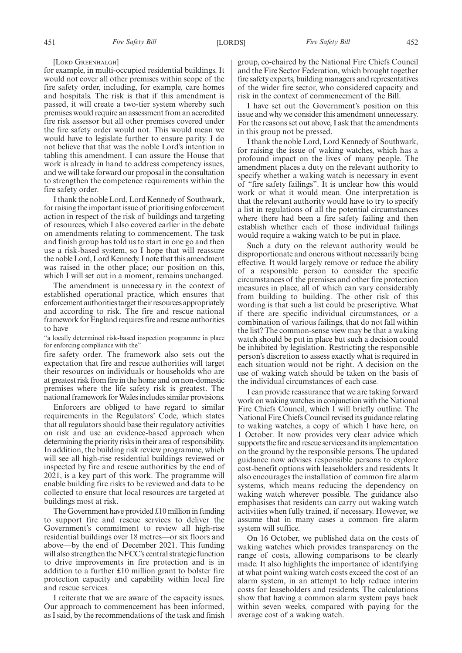#### [LORD GREENHALGH]

for example, in multi-occupied residential buildings. It would not cover all other premises within scope of the fire safety order, including, for example, care homes and hospitals. The risk is that if this amendment is passed, it will create a two-tier system whereby such premises would require an assessment from an accredited fire risk assessor but all other premises covered under the fire safety order would not. This would mean we would have to legislate further to ensure parity. I do not believe that that was the noble Lord's intention in tabling this amendment. I can assure the House that work is already in hand to address competency issues, and we will take forward our proposal in the consultation to strengthen the competence requirements within the fire safety order.

I thank the noble Lord, Lord Kennedy of Southwark, for raising the important issue of prioritising enforcement action in respect of the risk of buildings and targeting of resources, which I also covered earlier in the debate on amendments relating to commencement. The task and finish group has told us to start in one go and then use a risk-based system, so I hope that will reassure the noble Lord, Lord Kennedy. I note that this amendment was raised in the other place; our position on this, which I will set out in a moment, remains unchanged.

The amendment is unnecessary in the context of established operational practice, which ensures that enforcement authorities target their resources appropriately and according to risk. The fire and rescue national framework for England requires fire and rescue authorities to have

"a locally determined risk-based inspection programme in place for enforcing compliance with the"

fire safety order. The framework also sets out the expectation that fire and rescue authorities will target their resources on individuals or households who are at greatest risk from fire in the home and on non-domestic premises where the life safety risk is greatest. The national framework for Wales includes similar provisions.

Enforcers are obliged to have regard to similar requirements in the Regulators' Code, which states that all regulators should base their regulatory activities on risk and use an evidence-based approach when determining the priority risks in their area of responsibility. In addition, the building risk review programme, which will see all high-rise residential buildings reviewed or inspected by fire and rescue authorities by the end of 2021, is a key part of this work. The programme will enable building fire risks to be reviewed and data to be collected to ensure that local resources are targeted at buildings most at risk.

The Government have provided £10 million in funding to support fire and rescue services to deliver the Government's commitment to review all high-rise residential buildings over 18 metres—or six floors and above—by the end of December 2021. This funding will also strengthen the NFCC's central strategic function to drive improvements in fire protection and is in addition to a further £10 million grant to bolster fire protection capacity and capability within local fire and rescue services.

I reiterate that we are aware of the capacity issues. Our approach to commencement has been informed, as I said, by the recommendations of the task and finish group, co-chaired by the National Fire Chiefs Council and the Fire Sector Federation, which brought together fire safety experts, building managers and representatives of the wider fire sector, who considered capacity and risk in the context of commencement of the Bill.

I have set out the Government's position on this issue and why we consider this amendment unnecessary. For the reasons set out above, I ask that the amendments in this group not be pressed.

I thank the noble Lord, Lord Kennedy of Southwark, for raising the issue of waking watches, which has a profound impact on the lives of many people. The amendment places a duty on the relevant authority to specify whether a waking watch is necessary in event of "fire safety failings". It is unclear how this would work or what it would mean. One interpretation is that the relevant authority would have to try to specify a list in regulations of all the potential circumstances where there had been a fire safety failing and then establish whether each of those individual failings would require a waking watch to be put in place.

Such a duty on the relevant authority would be disproportionate and onerous without necessarily being effective. It would largely remove or reduce the ability of a responsible person to consider the specific circumstances of the premises and other fire protection measures in place, all of which can vary considerably from building to building. The other risk of this wording is that such a list could be prescriptive. What if there are specific individual circumstances, or a combination of various failings, that do not fall within the list? The common-sense view may be that a waking watch should be put in place but such a decision could be inhibited by legislation. Restricting the responsible person's discretion to assess exactly what is required in each situation would not be right. A decision on the use of waking watch should be taken on the basis of the individual circumstances of each case.

I can provide reassurance that we are taking forward work on waking watches in conjunction with the National Fire Chiefs Council, which I will briefly outline. The National Fire Chiefs Council revised its guidance relating to waking watches, a copy of which I have here, on 1 October. It now provides very clear advice which supports the fire and rescue services and its implementation on the ground by the responsible persons. The updated guidance now advises responsible persons to explore cost-benefit options with leaseholders and residents. It also encourages the installation of common fire alarm systems, which means reducing the dependency on waking watch wherever possible. The guidance also emphasises that residents can carry out waking watch activities when fully trained, if necessary. However, we assume that in many cases a common fire alarm system will suffice.

On 16 October, we published data on the costs of waking watches which provides transparency on the range of costs, allowing comparisons to be clearly made. It also highlights the importance of identifying at what point waking watch costs exceed the cost of an alarm system, in an attempt to help reduce interim costs for leaseholders and residents. The calculations show that having a common alarm system pays back within seven weeks, compared with paying for the average cost of a waking watch.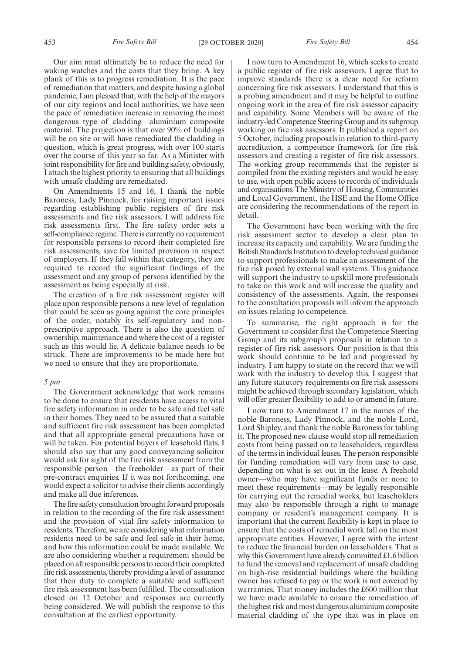Our aim must ultimately be to reduce the need for waking watches and the costs that they bring. A key plank of this is to progress remediation. It is the pace of remediation that matters, and despite having a global pandemic, I am pleased that, with the help of the mayors of our city regions and local authorities, we have seen the pace of remediation increase in removing the most dangerous type of cladding—aluminium composite material. The projection is that over 90% of buildings will be on site or will have remediated the cladding in question, which is great progress, with over 100 starts over the course of this year so far. As a Minister with joint responsibility for fire and building safety, obviously, I attach the highest priority to ensuring that all buildings with unsafe cladding are remediated.

On Amendments 15 and 16, I thank the noble Baroness, Lady Pinnock, for raising important issues regarding establishing public registers of fire risk assessments and fire risk assessors. I will address fire risk assessments first. The fire safety order sets a self-compliance regime. There is currently no requirement for responsible persons to record their completed fire risk assessments, save for limited provision in respect of employers. If they fall within that category, they are required to record the significant findings of the assessment and any group of persons identified by the assessment as being especially at risk.

The creation of a fire risk assessment register will place upon responsible persons a new level of regulation that could be seen as going against the core principles of the order, notably its self-regulatory and nonprescriptive approach. There is also the question of ownership, maintenance and where the cost of a register such as this would lie. A delicate balance needs to be struck. There are improvements to be made here but we need to ensure that they are proportionate.

#### *5 pm*

The Government acknowledge that work remains to be done to ensure that residents have access to vital fire safety information in order to be safe and feel safe in their homes. They need to be assured that a suitable and sufficient fire risk assessment has been completed and that all appropriate general precautions have or will be taken. For potential buyers of leasehold flats, I should also say that any good conveyancing solicitor would ask for sight of the fire risk assessment from the responsible person—the freeholder—as part of their pre-contract enquiries. If it was not forthcoming, one would expect a solicitor to advise their clients accordingly and make all due inferences.

The fire safety consultation brought forward proposals in relation to the recording of the fire risk assessment and the provision of vital fire safety information to residents. Therefore, we are considering what information residents need to be safe and feel safe in their home, and how this information could be made available. We are also considering whether a requirement should be placed on all responsible persons to record their completed fire risk assessments, thereby providing a level of assurance that their duty to complete a suitable and sufficient fire risk assessment has been fulfilled. The consultation closed on 12 October and responses are currently being considered. We will publish the response to this consultation at the earliest opportunity.

I now turn to Amendment 16, which seeks to create a public register of fire risk assessors. I agree that to improve standards there is a clear need for reform concerning fire risk assessors. I understand that this is a probing amendment and it may be helpful to outline ongoing work in the area of fire risk assessor capacity and capability. Some Members will be aware of the industry-led Competence Steering Group and its subgroup working on fire risk assessors. It published a report on 5 October, including proposals in relation to third-party accreditation, a competence framework for fire risk assessors and creating a register of fire risk assessors. The working group recommends that the register is compiled from the existing registers and would be easy to use, with open public access to records of individuals and organisations. The Ministry of Housing, Communities and Local Government, the HSE and the Home Office are considering the recommendations of the report in detail.

The Government have been working with the fire risk assessment sector to develop a clear plan to increase its capacity and capability. We are funding the British Standards Institution to develop technical guidance to support professionals to make an assessment of the fire risk posed by external wall systems. This guidance will support the industry to upskill more professionals to take on this work and will increase the quality and consistency of the assessments. Again, the responses to the consultation proposals will inform the approach on issues relating to competence.

To summarise, the right approach is for the Government to consider first the Competence Steering Group and its subgroup's proposals in relation to a register of fire risk assessors. Our position is that this work should continue to be led and progressed by industry. I am happy to state on the record that we will work with the industry to develop this. I suggest that any future statutory requirements on fire risk assessors might be achieved through secondary legislation, which will offer greater flexibility to add to or amend in future.

I now turn to Amendment 17 in the names of the noble Baroness, Lady Pinnock, and the noble Lord, Lord Shipley, and thank the noble Baroness for tabling it. The proposed new clause would stop all remediation costs from being passed on to leaseholders, regardless of the terms in individual leases. The person responsible for funding remediation will vary from case to case, depending on what is set out in the lease. A freehold owner—who may have significant funds or none to meet these requirements—may be legally responsible for carrying out the remedial works, but leaseholders may also be responsible through a right to manage company or resident's management company. It is important that the current flexibility is kept in place to ensure that the costs of remedial work fall on the most appropriate entities. However, I agree with the intent to reduce the financial burden on leaseholders. That is why this Government have already committed £1.6 billion to fund the removal and replacement of unsafe cladding on high-rise residential buildings where the building owner has refused to pay or the work is not covered by warranties. That money includes the £600 million that we have made available to ensure the remediation of the highest risk and most dangerous aluminium composite material cladding of the type that was in place on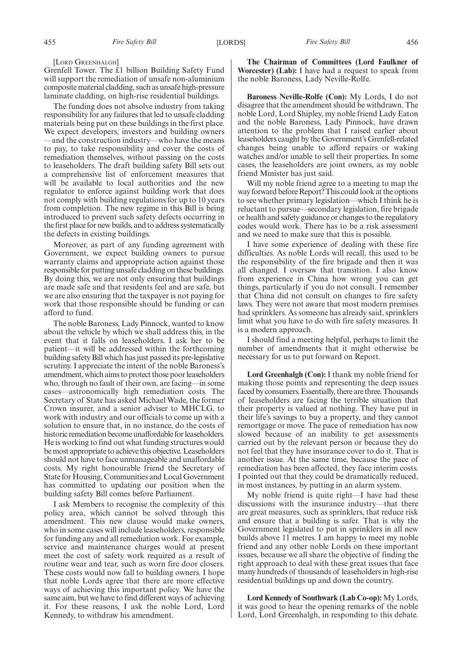[LORD GREENHALGH]

Grenfell Tower. The £1 billion Building Safety Fund will support the remediation of unsafe non-aluminium composite material cladding, such as unsafe high-pressure laminate cladding, on high-rise residential buildings.

The funding does not absolve industry from taking responsibility for any failures that led to unsafe cladding materials being put on these buildings in the first place. We expect developers, investors and building owners —and the construction industry—who have the means to pay, to take responsibility and cover the costs of remediation themselves, without passing on the costs to leaseholders. The draft building safety Bill sets out a comprehensive list of enforcement measures that will be available to local authorities and the new regulator to enforce against building work that does not comply with building regulations for up to 10 years from completion. The new regime in this Bill is being introduced to prevent such safety defects occurring in the first place for new builds, and to address systematically the defects in existing buildings.

Moreover, as part of any funding agreement with Government, we expect building owners to pursue warranty claims and appropriate action against those responsible for putting unsafe cladding on these buildings. By doing this, we are not only ensuring that buildings are made safe and that residents feel and are safe, but we are also ensuring that the taxpayer is not paying for work that those responsible should be funding or can afford to fund.

The noble Baroness, Lady Pinnock, wanted to know about the vehicle by which we shall address this, in the event that it falls on leaseholders. I ask her to be patient—it will be addressed within the forthcoming building safety Bill which has just passed its pre-legislative scrutiny. I appreciate the intent of the noble Baroness's amendment, which aims to protect those poor leaseholders who, through no fault of their own, are facing—in some cases—astronomically high remediation costs. The Secretary of State has asked Michael Wade, the former Crown insurer, and a senior adviser to MHCLG, to work with industry and our officials to come up with a solution to ensure that, in no instance, do the costs of historic remediation become unaffordable for leaseholders. He is working to find out what funding structures would be most appropriate to achieve this objective. Leaseholders should not have to face unmanageable and unaffordable costs. My right honourable friend the Secretary of State for Housing, Communities and Local Government has committed to updating our position when the building safety Bill comes before Parliament.

I ask Members to recognise the complexity of this policy area, which cannot be solved through this amendment. This new clause would make owners, who in some cases will include leaseholders, responsible for funding any and all remediation work. For example, service and maintenance charges would at present meet the cost of safety work required as a result of routine wear and tear, such as worn fire door closers. These costs would now fall to building owners. I hope that noble Lords agree that there are more effective ways of achieving this important policy. We have the same aim, but we have to find different ways of achieving it. For these reasons, I ask the noble Lord, Lord Kennedy, to withdraw his amendment.

**The Chairman of Committees (Lord Faulkner of Worcester) (Lab):** I have had a request to speak from the noble Baroness, Lady Neville-Rolfe.

**Baroness Neville-Rolfe (Con):** My Lords, I do not disagree that the amendment should be withdrawn. The noble Lord, Lord Shipley, my noble friend Lady Eaton and the noble Baroness, Lady Pinnock, have drawn attention to the problem that I raised earlier about leaseholders caught by the Government's Grenfell-related changes being unable to afford repairs or waking watches and/or unable to sell their properties. In some cases, the leaseholders are joint owners, as my noble friend Minister has just said.

Will my noble friend agree to a meeting to map the way forward before Report? This could look at the options to see whether primary legislation—which I think he is reluctant to pursue—secondary legislation, fire brigade or health and safety guidance or changes to the regulatory codes would work. There has to be a risk assessment and we need to make sure that this is possible.

I have some experience of dealing with these fire difficulties. As noble Lords will recall, this used to be the responsibility of the fire brigade and then it was all changed. I oversaw that transition. I also know from experience in China how wrong you can get things, particularly if you do not consult. I remember that China did not consult on changes to fire safety laws. They were not aware that most modern premises had sprinklers. As someone has already said, sprinklers limit what you have to do with fire safety measures. It is a modern approach.

I should find a meeting helpful, perhaps to limit the number of amendments that it might otherwise be necessary for us to put forward on Report.

**Lord Greenhalgh (Con):** I thank my noble friend for making those points and representing the deep issues faced by consumers. Essentially, there are three. Thousands of leaseholders are facing the terrible situation that their property is valued at nothing. They have put in their life's savings to buy a property, and they cannot remortgage or move. The pace of remediation has now slowed because of an inability to get assessments carried out by the relevant person or because they do not feel that they have insurance cover to do it. That is another issue. At the same time, because the pace of remediation has been affected, they face interim costs. I pointed out that they could be dramatically reduced, in most instances, by putting in an alarm system.

My noble friend is quite right—I have had these discussions with the insurance industry—that there are great measures, such as sprinklers, that reduce risk and ensure that a building is safer. That is why the Government legislated to put in sprinklers in all new builds above 11 metres. I am happy to meet my noble friend and any other noble Lords on these important issues, because we all share the objective of finding the right approach to deal with these great issues that face many hundreds of thousands of leaseholders in high-rise residential buildings up and down the country.

**Lord Kennedy of Southwark (Lab Co-op):** My Lords, it was good to hear the opening remarks of the noble Lord, Lord Greenhalgh, in responding to this debate.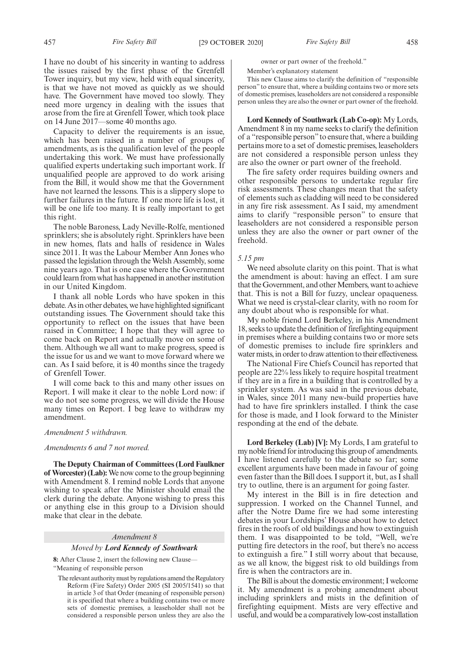I have no doubt of his sincerity in wanting to address the issues raised by the first phase of the Grenfell Tower inquiry, but my view, held with equal sincerity, is that we have not moved as quickly as we should have. The Government have moved too slowly. They need more urgency in dealing with the issues that arose from the fire at Grenfell Tower, which took place on 14 June 2017—some 40 months ago.

Capacity to deliver the requirements is an issue, which has been raised in a number of groups of amendments, as is the qualification level of the people undertaking this work. We must have professionally qualified experts undertaking such important work. If unqualified people are approved to do work arising from the Bill, it would show me that the Government have not learned the lessons. This is a slippery slope to further failures in the future. If one more life is lost, it will be one life too many. It is really important to get this right.

The noble Baroness, Lady Neville-Rolfe, mentioned sprinklers; she is absolutely right. Sprinklers have been in new homes, flats and halls of residence in Wales since 2011. It was the Labour Member Ann Jones who passed the legislation through the Welsh Assembly, some nine years ago. That is one case where the Government could learn from what has happened in another institution in our United Kingdom.

I thank all noble Lords who have spoken in this debate. As in other debates, we have highlighted significant outstanding issues. The Government should take this opportunity to reflect on the issues that have been raised in Committee; I hope that they will agree to come back on Report and actually move on some of them. Although we all want to make progress, speed is the issue for us and we want to move forward where we can. As I said before, it is 40 months since the tragedy of Grenfell Tower.

I will come back to this and many other issues on Report. I will make it clear to the noble Lord now: if we do not see some progress, we will divide the House many times on Report. I beg leave to withdraw my amendment.

## *Amendment 5 withdrawn.*

## *Amendments 6 and 7 not moved.*

**The Deputy Chairman of Committees (Lord Faulkner of Worcester) (Lab):**We now come to the group beginning with Amendment 8. I remind noble Lords that anyone wishing to speak after the Minister should email the clerk during the debate. Anyone wishing to press this or anything else in this group to a Division should make that clear in the debate.

#### *Amendment 8*

#### *Moved by Lord Kennedy of Southwark*

**8:** After Clause 2, insert the following new Clause— "Meaning of responsible person

The relevant authority must by regulations amend the Regulatory Reform (Fire Safety) Order 2005 (SI 2005/1541) so that in article 3 of that Order (meaning of responsible person) it is specified that where a building contains two or more sets of domestic premises, a leaseholder shall not be considered a responsible person unless they are also the owner or part owner of the freehold."

Member's explanatory statement

This new Clause aims to clarify the definition of "responsible person" to ensure that, where a building contains two or more sets of domestic premises, leaseholders are not considered a responsible person unless they are also the owner or part owner of the freehold.

**Lord Kennedy of Southwark (Lab Co-op):** My Lords, Amendment 8 in my name seeks to clarify the definition of a "responsible person"to ensure that, where a building pertains more to a set of domestic premises, leaseholders are not considered a responsible person unless they are also the owner or part owner of the freehold.

The fire safety order requires building owners and other responsible persons to undertake regular fire risk assessments. These changes mean that the safety of elements such as cladding will need to be considered in any fire risk assessment. As I said, my amendment aims to clarify "responsible person" to ensure that leaseholders are not considered a responsible person unless they are also the owner or part owner of the freehold.

#### *5.15 pm*

We need absolute clarity on this point. That is what the amendment is about: having an effect. I am sure that the Government, and other Members, want to achieve that. This is not a Bill for fuzzy, unclear opaqueness. What we need is crystal-clear clarity, with no room for any doubt about who is responsible for what.

My noble friend Lord Berkeley, in his Amendment 18, seeks to update the definition of firefighting equipment in premises where a building contains two or more sets of domestic premises to include fire sprinklers and water mists, in order to draw attention to their effectiveness.

The National Fire Chiefs Council has reported that people are 22% less likely to require hospital treatment if they are in a fire in a building that is controlled by a sprinkler system. As was said in the previous debate, in Wales, since 2011 many new-build properties have had to have fire sprinklers installed. I think the case for those is made, and I look forward to the Minister responding at the end of the debate.

**Lord Berkeley (Lab) [V]:** My Lords, I am grateful to my noble friend for introducing this group of amendments. I have listened carefully to the debate so far; some excellent arguments have been made in favour of going even faster than the Bill does. I support it, but, as I shall try to outline, there is an argument for going faster.

My interest in the Bill is in fire detection and suppression. I worked on the Channel Tunnel, and after the Notre Dame fire we had some interesting debates in your Lordships' House about how to detect fires in the roofs of old buildings and how to extinguish them. I was disappointed to be told, "Well, we're putting fire detectors in the roof, but there's no access to extinguish a fire." I still worry about that because, as we all know, the biggest risk to old buildings from fire is when the contractors are in.

The Bill is about the domestic environment; I welcome it. My amendment is a probing amendment about including sprinklers and mists in the definition of firefighting equipment. Mists are very effective and useful, and would be a comparatively low-cost installation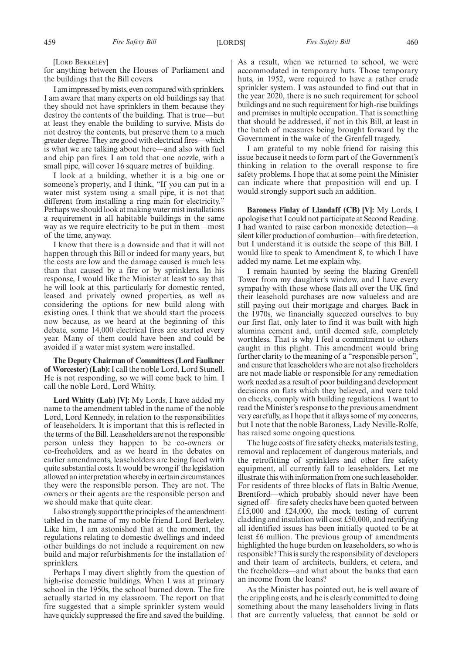[LORD BERKELEY]

for anything between the Houses of Parliament and the buildings that the Bill covers.

I am impressed by mists, even compared with sprinklers. I am aware that many experts on old buildings say that they should not have sprinklers in them because they destroy the contents of the building. That is true—but at least they enable the building to survive. Mists do not destroy the contents, but preserve them to a much greater degree. They are good with electrical fires—which is what we are talking about here—and also with fuel and chip pan fires. I am told that one nozzle, with a small pipe, will cover 16 square metres of building.

I look at a building, whether it is a big one or someone's property, and I think, "If you can put in a water mist system using a small pipe, it is not that different from installing a ring main for electricity." Perhaps we should look at making water mist installations a requirement in all habitable buildings in the same way as we require electricity to be put in them—most of the time, anyway.

I know that there is a downside and that it will not happen through this Bill or indeed for many years, but the costs are low and the damage caused is much less than that caused by a fire or by sprinklers. In his response, I would like the Minister at least to say that he will look at this, particularly for domestic rented, leased and privately owned properties, as well as considering the options for new build along with existing ones. I think that we should start the process now because, as we heard at the beginning of this debate, some 14,000 electrical fires are started every year. Many of them could have been and could be avoided if a water mist system were installed.

**The Deputy Chairman of Committees (Lord Faulkner of Worcester) (Lab):**I call the noble Lord, Lord Stunell. He is not responding, so we will come back to him. I call the noble Lord, Lord Whitty.

**Lord Whitty (Lab) [V]:** My Lords, I have added my name to the amendment tabled in the name of the noble Lord, Lord Kennedy, in relation to the responsibilities of leaseholders. It is important that this is reflected in the terms of the Bill. Leaseholders are not the responsible person unless they happen to be co-owners or co-freeholders, and as we heard in the debates on earlier amendments, leaseholders are being faced with quite substantial costs. It would be wrong if the legislation allowed an interpretation whereby in certain circumstances they were the responsible person. They are not. The owners or their agents are the responsible person and we should make that quite clear.

I also strongly support the principles of the amendment tabled in the name of my noble friend Lord Berkeley. Like him, I am astonished that at the moment, the regulations relating to domestic dwellings and indeed other buildings do not include a requirement on new build and major refurbishments for the installation of sprinklers.

Perhaps I may divert slightly from the question of high-rise domestic buildings. When I was at primary school in the 1950s, the school burned down. The fire actually started in my classroom. The report on that fire suggested that a simple sprinkler system would have quickly suppressed the fire and saved the building.

As a result, when we returned to school, we were accommodated in temporary huts. Those temporary huts, in 1952, were required to have a rather crude sprinkler system. I was astounded to find out that in the year 2020, there is no such requirement for school buildings and no such requirement for high-rise buildings and premises in multiple occupation. That is something that should be addressed, if not in this Bill, at least in the batch of measures being brought forward by the Government in the wake of the Grenfell tragedy.

I am grateful to my noble friend for raising this issue because it needs to form part of the Government's thinking in relation to the overall response to fire safety problems. I hope that at some point the Minister can indicate where that proposition will end up. I would strongly support such an addition.

**Baroness Finlay of Llandaff (CB) [V]:** My Lords, I apologise that I could not participate at Second Reading. I had wanted to raise carbon monoxide detection—a silent killer production of combustion—with fire detection, but I understand it is outside the scope of this Bill. I would like to speak to Amendment 8, to which I have added my name. Let me explain why.

I remain haunted by seeing the blazing Grenfell Tower from my daughter's window, and I have every sympathy with those whose flats all over the UK find their leasehold purchases are now valueless and are still paying out their mortgage and charges. Back in the 1970s, we financially squeezed ourselves to buy our first flat, only later to find it was built with high alumina cement and, until deemed safe, completely worthless. That is why I feel a commitment to others caught in this plight. This amendment would bring further clarity to the meaning of a "responsible person" and ensure that leaseholders who are not also freeholders are not made liable or responsible for any remediation work needed as a result of poor building and development decisions on flats which they believed, and were told on checks, comply with building regulations. I want to read the Minister's response to the previous amendment very carefully, as I hope that it allays some of my concerns, but I note that the noble Baroness, Lady Neville-Rolfe, has raised some ongoing questions.

The huge costs of fire safety checks, materials testing, removal and replacement of dangerous materials, and the retrofitting of sprinklers and other fire safety equipment, all currently fall to leaseholders. Let me illustrate this with information from one such leaseholder. For residents of three blocks of flats in Baltic Avenue, Brentford—which probably should never have been signed off—fire safety checks have been quoted between £15,000 and £24,000, the mock testing of current cladding and insulation will cost £50,000, and rectifying all identified issues has been initially quoted to be at least £6 million. The previous group of amendments highlighted the huge burden on leaseholders, so who is responsible? This is surely the responsibility of developers and their team of architects, builders, et cetera, and the freeholders—and what about the banks that earn an income from the loans?

As the Minister has pointed out, he is well aware of the crippling costs, and he is clearly committed to doing something about the many leaseholders living in flats that are currently valueless, that cannot be sold or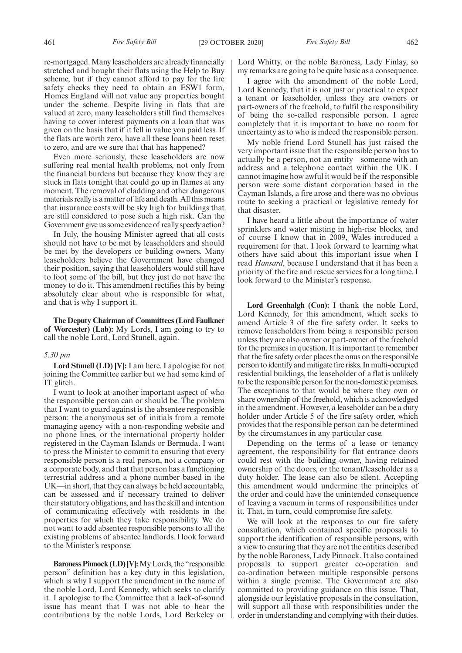re-mortgaged. Many leaseholders are already financially stretched and bought their flats using the Help to Buy scheme, but if they cannot afford to pay for the fire safety checks they need to obtain an ESW1 form, Homes England will not value any properties bought under the scheme. Despite living in flats that are valued at zero, many leaseholders still find themselves having to cover interest payments on a loan that was given on the basis that if it fell in value you paid less. If the flats are worth zero, have all these loans been reset to zero, and are we sure that that has happened?

Even more seriously, these leaseholders are now suffering real mental health problems, not only from the financial burdens but because they know they are stuck in flats tonight that could go up in flames at any moment. The removal of cladding and other dangerous materials really is a matter of life and death. All this means that insurance costs will be sky high for buildings that are still considered to pose such a high risk. Can the Government give us some evidence of really speedy action?

In July, the housing Minister agreed that all costs should not have to be met by leaseholders and should be met by the developers or building owners. Many leaseholders believe the Government have changed their position, saying that leaseholders would still have to foot some of the bill, but they just do not have the money to do it. This amendment rectifies this by being absolutely clear about who is responsible for what, and that is why I support it.

**The Deputy Chairman of Committees (Lord Faulkner of Worcester) (Lab):** My Lords, I am going to try to call the noble Lord, Lord Stunell, again.

#### *5.30 pm*

**Lord Stunell (LD) [V]:** I am here. I apologise for not joining the Committee earlier but we had some kind of IT glitch.

I want to look at another important aspect of who the responsible person can or should be. The problem that I want to guard against is the absentee responsible person: the anonymous set of initials from a remote managing agency with a non-responding website and no phone lines, or the international property holder registered in the Cayman Islands or Bermuda. I want to press the Minister to commit to ensuring that every responsible person is a real person, not a company or a corporate body, and that that person has a functioning terrestrial address and a phone number based in the UK—in short, that they can always be held accountable, can be assessed and if necessary trained to deliver their statutory obligations, and has the skill and intention of communicating effectively with residents in the properties for which they take responsibility. We do not want to add absentee responsible persons to all the existing problems of absentee landlords. I look forward to the Minister's response.

**Baroness Pinnock (LD) [V]:**My Lords, the "responsible person" definition has a key duty in this legislation, which is why I support the amendment in the name of the noble Lord, Lord Kennedy, which seeks to clarify it. I apologise to the Committee that a lack-of-sound issue has meant that I was not able to hear the contributions by the noble Lords, Lord Berkeley or Lord Whitty, or the noble Baroness, Lady Finlay, so my remarks are going to be quite basic as a consequence.

I agree with the amendment of the noble Lord, Lord Kennedy, that it is not just or practical to expect a tenant or leaseholder, unless they are owners or part-owners of the freehold, to fulfil the responsibility of being the so-called responsible person. I agree completely that it is important to have no room for uncertainty as to who is indeed the responsible person.

My noble friend Lord Stunell has just raised the very important issue that the responsible person has to actually be a person, not an entity—someone with an address and a telephone contact within the UK. I cannot imagine how awful it would be if the responsible person were some distant corporation based in the Cayman Islands, a fire arose and there was no obvious route to seeking a practical or legislative remedy for that disaster.

I have heard a little about the importance of water sprinklers and water misting in high-rise blocks, and of course I know that in 2009, Wales introduced a requirement for that. I look forward to learning what others have said about this important issue when I read *Hansard*, because I understand that it has been a priority of the fire and rescue services for a long time. I look forward to the Minister's response.

**Lord Greenhalgh (Con):** I thank the noble Lord, Lord Kennedy, for this amendment, which seeks to amend Article 3 of the fire safety order. It seeks to remove leaseholders from being a responsible person unless they are also owner or part-owner of the freehold for the premises in question. It is important to remember that the fire safety order places the onus on the responsible person to identify and mitigate fire risks. In multi-occupied residential buildings, the leaseholder of a flat is unlikely to be the responsible person for the non-domestic premises. The exceptions to that would be where they own or share ownership of the freehold, which is acknowledged in the amendment. However, a leaseholder can be a duty holder under Article 5 of the fire safety order, which provides that the responsible person can be determined by the circumstances in any particular case.

Depending on the terms of a lease or tenancy agreement, the responsibility for flat entrance doors could rest with the building owner, having retained ownership of the doors, or the tenant/leaseholder as a duty holder. The lease can also be silent. Accepting this amendment would undermine the principles of the order and could have the unintended consequence of leaving a vacuum in terms of responsibilities under it. That, in turn, could compromise fire safety.

We will look at the responses to our fire safety consultation, which contained specific proposals to support the identification of responsible persons, with a view to ensuring that they are not the entities described by the noble Baroness, Lady Pinnock. It also contained proposals to support greater co-operation and co-ordination between multiple responsible persons within a single premise. The Government are also committed to providing guidance on this issue. That, alongside our legislative proposals in the consultation, will support all those with responsibilities under the order in understanding and complying with their duties.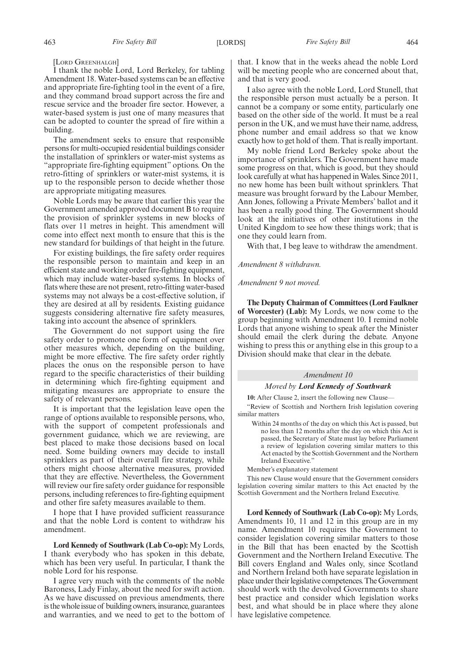[LORD GREENHALGH]

I thank the noble Lord, Lord Berkeley, for tabling Amendment 18. Water-based systems can be an effective and appropriate fire-fighting tool in the event of a fire, and they command broad support across the fire and rescue service and the broader fire sector. However, a water-based system is just one of many measures that can be adopted to counter the spread of fire within a building.

The amendment seeks to ensure that responsible persons for multi-occupied residential buildings consider the installation of sprinklers or water-mist systems as "appropriate fire-fighting equipment" options. On the retro-fitting of sprinklers or water-mist systems, it is up to the responsible person to decide whether those are appropriate mitigating measures.

Noble Lords may be aware that earlier this year the Government amended approved document B to require the provision of sprinkler systems in new blocks of flats over 11 metres in height. This amendment will come into effect next month to ensure that this is the new standard for buildings of that height in the future.

For existing buildings, the fire safety order requires the responsible person to maintain and keep in an efficient state and working order fire-fighting equipment, which may include water-based systems. In blocks of flats where these are not present, retro-fitting water-based systems may not always be a cost-effective solution, if they are desired at all by residents. Existing guidance suggests considering alternative fire safety measures, taking into account the absence of sprinklers.

The Government do not support using the fire safety order to promote one form of equipment over other measures which, depending on the building, might be more effective. The fire safety order rightly places the onus on the responsible person to have regard to the specific characteristics of their building in determining which fire-fighting equipment and mitigating measures are appropriate to ensure the safety of relevant persons.

It is important that the legislation leave open the range of options available to responsible persons, who, with the support of competent professionals and government guidance, which we are reviewing, are best placed to make those decisions based on local need. Some building owners may decide to install sprinklers as part of their overall fire strategy, while others might choose alternative measures, provided that they are effective. Nevertheless, the Government will review our fire safety order guidance for responsible persons, including references to fire-fighting equipment and other fire safety measures available to them.

I hope that I have provided sufficient reassurance and that the noble Lord is content to withdraw his amendment.

**Lord Kennedy of Southwark (Lab Co-op):** My Lords, I thank everybody who has spoken in this debate, which has been very useful. In particular, I thank the noble Lord for his response.

I agree very much with the comments of the noble Baroness, Lady Finlay, about the need for swift action. As we have discussed on previous amendments, there is the whole issue of building owners, insurance, guarantees and warranties, and we need to get to the bottom of that. I know that in the weeks ahead the noble Lord will be meeting people who are concerned about that, and that is very good.

I also agree with the noble Lord, Lord Stunell, that the responsible person must actually be a person. It cannot be a company or some entity, particularly one based on the other side of the world. It must be a real person in the UK, and we must have their name, address, phone number and email address so that we know exactly how to get hold of them. That is really important.

My noble friend Lord Berkeley spoke about the importance of sprinklers. The Government have made some progress on that, which is good, but they should look carefully at what has happened in Wales. Since 2011, no new home has been built without sprinklers. That measure was brought forward by the Labour Member, Ann Jones, following a Private Members' ballot and it has been a really good thing. The Government should look at the initiatives of other institutions in the United Kingdom to see how these things work; that is one they could learn from.

With that, I beg leave to withdraw the amendment.

## *Amendment 8 withdrawn.*

#### *Amendment 9 not moved.*

**The Deputy Chairman of Committees (Lord Faulkner of Worcester) (Lab):** My Lords, we now come to the group beginning with Amendment 10. I remind noble Lords that anyone wishing to speak after the Minister should email the clerk during the debate. Anyone wishing to press this or anything else in this group to a Division should make that clear in the debate.

## *Amendment 10*

## *Moved by Lord Kennedy of Southwark*

**10:** After Clause 2, insert the following new Clause—

"Review of Scottish and Northern Irish legislation covering similar matters

Within 24 months of the day on which this Act is passed, but no less than 12 months after the day on which this Act is passed, the Secretary of State must lay before Parliament a review of legislation covering similar matters to this Act enacted by the Scottish Government and the Northern Ireland Executive."

Member's explanatory statement

This new Clause would ensure that the Government considers legislation covering similar matters to this Act enacted by the Scottish Government and the Northern Ireland Executive.

**Lord Kennedy of Southwark (Lab Co-op):** My Lords, Amendments 10, 11 and 12 in this group are in my name. Amendment 10 requires the Government to consider legislation covering similar matters to those in the Bill that has been enacted by the Scottish Government and the Northern Ireland Executive. The Bill covers England and Wales only, since Scotland and Northern Ireland both have separate legislation in place under their legislative competences. The Government should work with the devolved Governments to share best practice and consider which legislation works best, and what should be in place where they alone have legislative competence.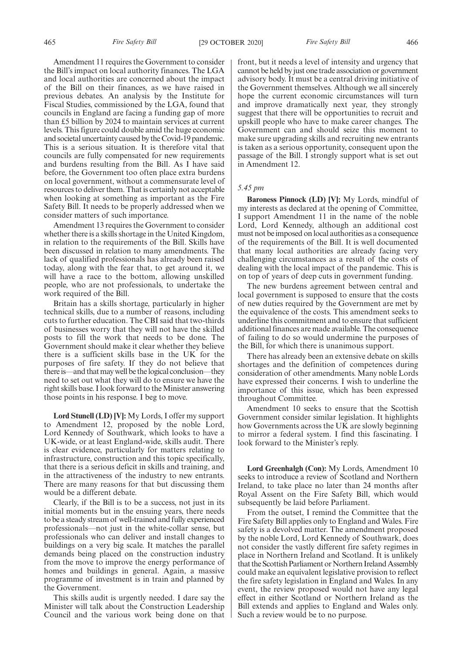Amendment 11 requires the Government to consider the Bill's impact on local authority finances. The LGA and local authorities are concerned about the impact of the Bill on their finances, as we have raised in previous debates. An analysis by the Institute for Fiscal Studies, commissioned by the LGA, found that councils in England are facing a funding gap of more than £5 billion by 2024 to maintain services at current levels. This figure could double amid the huge economic and societal uncertainty caused by the Covid-19 pandemic. This is a serious situation. It is therefore vital that councils are fully compensated for new requirements and burdens resulting from the Bill. As I have said before, the Government too often place extra burdens on local government, without a commensurate level of resources to deliver them. That is certainly not acceptable when looking at something as important as the Fire Safety Bill. It needs to be properly addressed when we consider matters of such importance.

Amendment 13 requires the Government to consider whether there is a skills shortage in the United Kingdom, in relation to the requirements of the Bill. Skills have been discussed in relation to many amendments. The lack of qualified professionals has already been raised today, along with the fear that, to get around it, we will have a race to the bottom, allowing unskilled people, who are not professionals, to undertake the work required of the Bill.

Britain has a skills shortage, particularly in higher technical skills, due to a number of reasons, including cuts to further education. The CBI said that two-thirds of businesses worry that they will not have the skilled posts to fill the work that needs to be done. The Government should make it clear whether they believe there is a sufficient skills base in the UK for the purposes of fire safety. If they do not believe that there is—and that may well be the logical conclusion—they need to set out what they will do to ensure we have the right skills base. I look forward to the Minister answering those points in his response. I beg to move.

**Lord Stunell (LD) [V]:** My Lords, I offer my support to Amendment 12, proposed by the noble Lord, Lord Kennedy of Southwark, which looks to have a UK-wide, or at least England-wide, skills audit. There is clear evidence, particularly for matters relating to infrastructure, construction and this topic specifically, that there is a serious deficit in skills and training, and in the attractiveness of the industry to new entrants. There are many reasons for that but discussing them would be a different debate.

Clearly, if the Bill is to be a success, not just in its initial moments but in the ensuing years, there needs to be a steady stream of well-trained and fully experienced professionals—not just in the white-collar sense, but professionals who can deliver and install changes to buildings on a very big scale. It matches the parallel demands being placed on the construction industry from the move to improve the energy performance of homes and buildings in general. Again, a massive programme of investment is in train and planned by the Government.

This skills audit is urgently needed. I dare say the Minister will talk about the Construction Leadership Council and the various work being done on that front, but it needs a level of intensity and urgency that cannot be held by just one trade association or government advisory body. It must be a central driving initiative of the Government themselves. Although we all sincerely hope the current economic circumstances will turn and improve dramatically next year, they strongly suggest that there will be opportunities to recruit and upskill people who have to make career changes. The Government can and should seize this moment to make sure upgrading skills and recruiting new entrants is taken as a serious opportunity, consequent upon the passage of the Bill. I strongly support what is set out in Amendment 12.

#### *5.45 pm*

**Baroness Pinnock (LD) [V]:** My Lords, mindful of my interests as declared at the opening of Committee, I support Amendment 11 in the name of the noble Lord, Lord Kennedy, although an additional cost must not be imposed on local authorities as a consequence of the requirements of the Bill. It is well documented that many local authorities are already facing very challenging circumstances as a result of the costs of dealing with the local impact of the pandemic. This is on top of years of deep cuts in government funding.

The new burdens agreement between central and local government is supposed to ensure that the costs of new duties required by the Government are met by the equivalence of the costs. This amendment seeks to underline this commitment and to ensure that sufficient additional finances are made available. The consequence of failing to do so would undermine the purposes of the Bill, for which there is unanimous support.

There has already been an extensive debate on skills shortages and the definition of competences during consideration of other amendments. Many noble Lords have expressed their concerns. I wish to underline the importance of this issue, which has been expressed throughout Committee.

Amendment 10 seeks to ensure that the Scottish Government consider similar legislation. It highlights how Governments across the UK are slowly beginning to mirror a federal system. I find this fascinating. I look forward to the Minister's reply.

**Lord Greenhalgh (Con):** My Lords, Amendment 10 seeks to introduce a review of Scotland and Northern Ireland, to take place no later than 24 months after Royal Assent on the Fire Safety Bill, which would subsequently be laid before Parliament.

From the outset, I remind the Committee that the Fire Safety Bill applies only to England and Wales. Fire safety is a devolved matter. The amendment proposed by the noble Lord, Lord Kennedy of Southwark, does not consider the vastly different fire safety regimes in place in Northern Ireland and Scotland. It is unlikely that the Scottish Parliament or Northern Ireland Assembly could make an equivalent legislative provision to reflect the fire safety legislation in England and Wales. In any event, the review proposed would not have any legal effect in either Scotland or Northern Ireland as the Bill extends and applies to England and Wales only. Such a review would be to no purpose.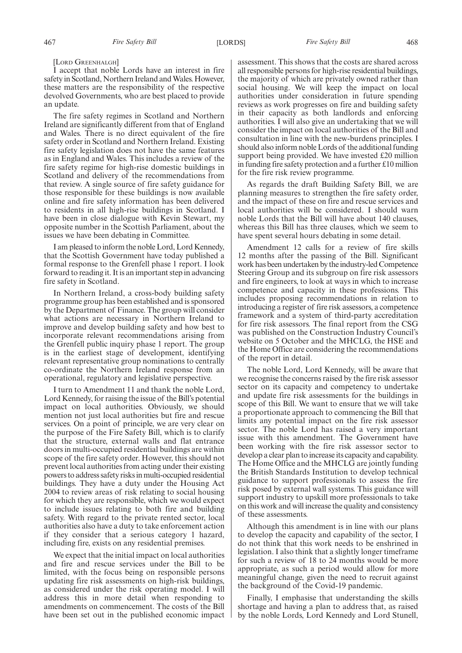I accept that noble Lords have an interest in fire safety in Scotland, Northern Ireland and Wales. However, these matters are the responsibility of the respective devolved Governments, who are best placed to provide an update.

The fire safety regimes in Scotland and Northern Ireland are significantly different from that of England and Wales. There is no direct equivalent of the fire safety order in Scotland and Northern Ireland. Existing fire safety legislation does not have the same features as in England and Wales. This includes a review of the fire safety regime for high-rise domestic buildings in Scotland and delivery of the recommendations from that review. A single source of fire safety guidance for those responsible for these buildings is now available online and fire safety information has been delivered to residents in all high-rise buildings in Scotland. I have been in close dialogue with Kevin Stewart, my opposite number in the Scottish Parliament, about the issues we have been debating in Committee.

I am pleased to inform the noble Lord, Lord Kennedy, that the Scottish Government have today published a formal response to the Grenfell phase 1 report. I look forward to reading it. It is an important step in advancing fire safety in Scotland.

In Northern Ireland, a cross-body building safety programme group has been established and is sponsored by the Department of Finance. The group will consider what actions are necessary in Northern Ireland to improve and develop building safety and how best to incorporate relevant recommendations arising from the Grenfell public inquiry phase 1 report. The group is in the earliest stage of development, identifying relevant representative group nominations to centrally co-ordinate the Northern Ireland response from an operational, regulatory and legislative perspective.

I turn to Amendment 11 and thank the noble Lord, Lord Kennedy, for raising the issue of the Bill's potential impact on local authorities. Obviously, we should mention not just local authorities but fire and rescue services. On a point of principle, we are very clear on the purpose of the Fire Safety Bill, which is to clarify that the structure, external walls and flat entrance doors in multi-occupied residential buildings are within scope of the fire safety order. However, this should not prevent local authorities from acting under their existing powers to address safety risks in multi-occupied residential buildings. They have a duty under the Housing Act 2004 to review areas of risk relating to social housing for which they are responsible, which we would expect to include issues relating to both fire and building safety. With regard to the private rented sector, local authorities also have a duty to take enforcement action if they consider that a serious category 1 hazard, including fire, exists on any residential premises.

We expect that the initial impact on local authorities and fire and rescue services under the Bill to be limited, with the focus being on responsible persons updating fire risk assessments on high-risk buildings, as considered under the risk operating model. I will address this in more detail when responding to amendments on commencement. The costs of the Bill have been set out in the published economic impact assessment. This shows that the costs are shared across all responsible persons for high-rise residential buildings, the majority of which are privately owned rather than social housing. We will keep the impact on local authorities under consideration in future spending reviews as work progresses on fire and building safety in their capacity as both landlords and enforcing authorities. I will also give an undertaking that we will consider the impact on local authorities of the Bill and consultation in line with the new-burdens principles. I should also inform noble Lords of the additional funding support being provided. We have invested £20 million in funding fire safety protection and a further £10 million for the fire risk review programme.

As regards the draft Building Safety Bill, we are planning measures to strengthen the fire safety order, and the impact of these on fire and rescue services and local authorities will be considered. I should warn noble Lords that the Bill will have about 140 clauses, whereas this Bill has three clauses, which we seem to have spent several hours debating in some detail.

Amendment 12 calls for a review of fire skills 12 months after the passing of the Bill. Significant work has been undertaken by the industry-led Competence Steering Group and its subgroup on fire risk assessors and fire engineers, to look at ways in which to increase competence and capacity in these professions. This includes proposing recommendations in relation to introducing a register of fire risk assessors, a competence framework and a system of third-party accreditation for fire risk assessors. The final report from the CSG was published on the Construction Industry Council's website on 5 October and the MHCLG, the HSE and the Home Office are considering the recommendations of the report in detail.

The noble Lord, Lord Kennedy, will be aware that we recognise the concerns raised by the fire risk assessor sector on its capacity and competency to undertake and update fire risk assessments for the buildings in scope of this Bill. We want to ensure that we will take a proportionate approach to commencing the Bill that limits any potential impact on the fire risk assessor sector. The noble Lord has raised a very important issue with this amendment. The Government have been working with the fire risk assessor sector to develop a clear plan to increase its capacity and capability. The Home Office and the MHCLG are jointly funding the British Standards Institution to develop technical guidance to support professionals to assess the fire risk posed by external wall systems. This guidance will support industry to upskill more professionals to take on this work and will increase the quality and consistency of these assessments.

Although this amendment is in line with our plans to develop the capacity and capability of the sector, I do not think that this work needs to be enshrined in legislation. I also think that a slightly longer timeframe for such a review of 18 to 24 months would be more appropriate, as such a period would allow for more meaningful change, given the need to recruit against the background of the Covid-19 pandemic.

Finally, I emphasise that understanding the skills shortage and having a plan to address that, as raised by the noble Lords, Lord Kennedy and Lord Stunell,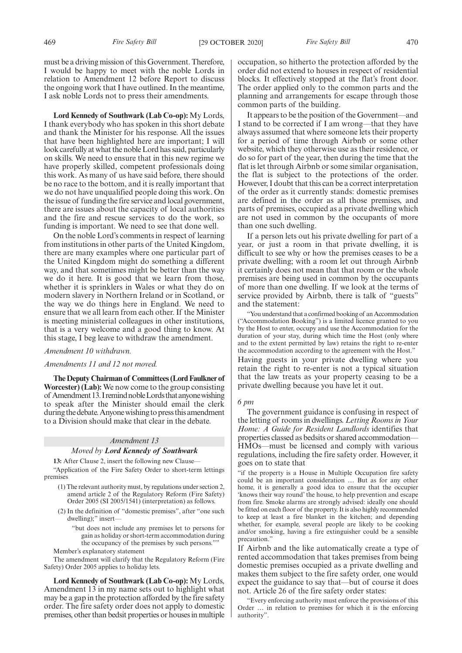must be a driving mission of this Government. Therefore, I would be happy to meet with the noble Lords in relation to Amendment 12 before Report to discuss the ongoing work that I have outlined. In the meantime, I ask noble Lords not to press their amendments.

**Lord Kennedy of Southwark (Lab Co-op):** My Lords, I thank everybody who has spoken in this short debate and thank the Minister for his response. All the issues that have been highlighted here are important; I will look carefully at what the noble Lord has said, particularly on skills. We need to ensure that in this new regime we have properly skilled, competent professionals doing this work. As many of us have said before, there should be no race to the bottom, and it is really important that we do not have unqualified people doing this work. On the issue of funding the fire service and local government, there are issues about the capacity of local authorities and the fire and rescue services to do the work, so funding is important. We need to see that done well.

On the noble Lord's comments in respect of learning from institutions in other parts of the United Kingdom, there are many examples where one particular part of the United Kingdom might do something a different way, and that sometimes might be better than the way we do it here. It is good that we learn from those, whether it is sprinklers in Wales or what they do on modern slavery in Northern Ireland or in Scotland, or the way we do things here in England. We need to ensure that we all learn from each other. If the Minister is meeting ministerial colleagues in other institutions, that is a very welcome and a good thing to know. At this stage, I beg leave to withdraw the amendment.

## *Amendment 10 withdrawn.*

#### *Amendments 11 and 12 not moved.*

**The Deputy Chairman of Committees (Lord Faulkner of Worcester) (Lab):** We now come to the group consisting of Amendment 13. I remind noble Lords that anyone wishing to speak after the Minister should email the clerk during the debate. Anyone wishing to press this amendment to a Division should make that clear in the debate.

#### *Amendment 13*

#### *Moved by Lord Kennedy of Southwark*

**13:** After Clause 2, insert the following new Clause—

"Application of the Fire Safety Order to short-term lettings premises

- (1) The relevant authority must, by regulations under section 2, amend article 2 of the Regulatory Reform (Fire Safety) Order 2005 (SI 2005/1541) (interpretation) as follows.
- (2) In the definition of "domestic premises", after "one such dwelling);" insert—
	- "but does not include any premises let to persons for gain as holiday or short-term accommodation during the occupancy of the premises by such persons."
- Member's explanatory statement

The amendment will clarify that the Regulatory Reform (Fire Safety) Order 2005 applies to holiday lets.

**Lord Kennedy of Southwark (Lab Co-op):** My Lords, Amendment 13 in my name sets out to highlight what may be a gap in the protection afforded by the fire safety order. The fire safety order does not apply to domestic premises, other than bedsit properties or houses in multiple occupation, so hitherto the protection afforded by the order did not extend to houses in respect of residential blocks. It effectively stopped at the flat's front door. The order applied only to the common parts and the planning and arrangements for escape through those common parts of the building.

It appears to be the position of the Government—and I stand to be corrected if I am wrong—that they have always assumed that where someone lets their property for a period of time through Airbnb or some other website, which they otherwise use as their residence, or do so for part of the year, then during the time that the flat is let through Airbnb or some similar organisation, the flat is subject to the protections of the order. However, I doubt that this can be a correct interpretation of the order as it currently stands: domestic premises are defined in the order as all those premises, and parts of premises, occupied as a private dwelling which are not used in common by the occupants of more than one such dwelling.

If a person lets out his private dwelling for part of a year, or just a room in that private dwelling, it is difficult to see why or how the premises ceases to be a private dwelling; with a room let out through Airbnb it certainly does not mean that that room or the whole premises are being used in common by the occupants of more than one dwelling. If we look at the terms of service provided by Airbnb, there is talk of "guests" and the statement:

"You understand that a confirmed booking of an Accommodation ("Accommodation Booking") is a limited licence granted to you by the Host to enter, occupy and use the Accommodation for the duration of your stay, during which time the Host (only where and to the extent permitted by law) retains the right to re-enter the accommodation according to the agreement with the Host."

Having guests in your private dwelling where you retain the right to re-enter is not a typical situation that the law treats as your property ceasing to be a private dwelling because you have let it out.

## *6 pm*

The government guidance is confusing in respect of the letting of rooms in dwellings. *Letting Rooms in Your Home: A Guide for Resident Landlords* identifies that properties classed as bedsits or shared accommodation— HMOs—must be licensed and comply with various regulations, including the fire safety order. However, it goes on to state that

"if the property is a House in Multiple Occupation fire safety could be an important consideration … But as for any other home, it is generally a good idea to ensure that the occupier 'knows their way round' the house, to help prevention and escape from fire. Smoke alarms are strongly advised: ideally one should be fitted on each floor of the property. It is also highly recommended to keep at least a fire blanket in the kitchen; and depending whether, for example, several people are likely to be cooking and/or smoking, having a fire extinguisher could be a sensible precaution."

If Airbnb and the like automatically create a type of rented accommodation that takes premises from being domestic premises occupied as a private dwelling and makes them subject to the fire safety order, one would expect the guidance to say that—but of course it does not. Article 26 of the fire safety order states:

"Every enforcing authority must enforce the provisions of this Order … in relation to premises for which it is the enforcing authority".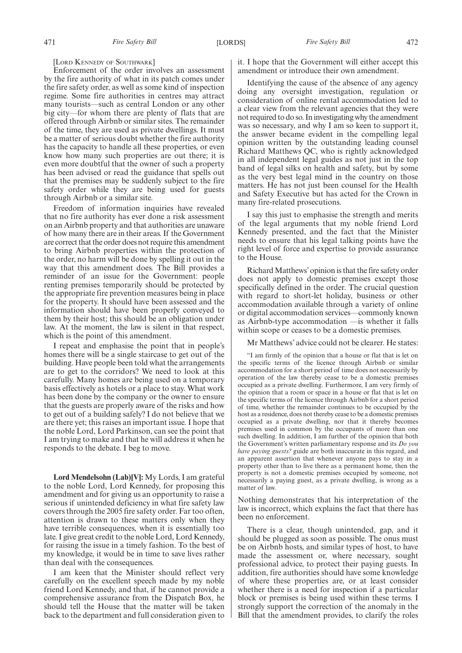[LORD KENNEDY OF SOUTHWARK]

Enforcement of the order involves an assessment by the fire authority of what in its patch comes under the fire safety order, as well as some kind of inspection regime. Some fire authorities in centres may attract many tourists—such as central London or any other big city—for whom there are plenty of flats that are offered through Airbnb or similar sites. The remainder of the time, they are used as private dwellings. It must be a matter of serious doubt whether the fire authority has the capacity to handle all these properties, or even know how many such properties are out there; it is even more doubtful that the owner of such a property has been advised or read the guidance that spells out that the premises may be suddenly subject to the fire safety order while they are being used for guests through Airbnb or a similar site.

Freedom of information inquiries have revealed that no fire authority has ever done a risk assessment on an Airbnb property and that authorities are unaware of how many there are in their areas. If the Government are correct that the order does not require this amendment to bring Airbnb properties within the protection of the order, no harm will be done by spelling it out in the way that this amendment does. The Bill provides a reminder of an issue for the Government: people renting premises temporarily should be protected by the appropriate fire prevention measures being in place for the property. It should have been assessed and the information should have been properly conveyed to them by their host; this should be an obligation under law. At the moment, the law is silent in that respect, which is the point of this amendment.

I repeat and emphasise the point that in people's homes there will be a single staircase to get out of the building. Have people been told what the arrangements are to get to the corridors? We need to look at this carefully. Many homes are being used on a temporary basis effectively as hotels or a place to stay. What work has been done by the company or the owner to ensure that the guests are properly aware of the risks and how to get out of a building safely? I do not believe that we are there yet; this raises an important issue. I hope that the noble Lord, Lord Parkinson, can see the point that I am trying to make and that he will address it when he responds to the debate. I beg to move.

**Lord Mendelsohn (Lab)[V]:** My Lords, I am grateful to the noble Lord, Lord Kennedy, for proposing this amendment and for giving us an opportunity to raise a serious if unintended deficiency in what fire safety law covers through the 2005 fire safety order. Far too often, attention is drawn to these matters only when they have terrible consequences, when it is essentially too late. I give great credit to the noble Lord, Lord Kennedy, for raising the issue in a timely fashion. To the best of my knowledge, it would be in time to save lives rather than deal with the consequences.

I am keen that the Minister should reflect very carefully on the excellent speech made by my noble friend Lord Kennedy, and that, if he cannot provide a comprehensive assurance from the Dispatch Box, he should tell the House that the matter will be taken back to the department and full consideration given to it. I hope that the Government will either accept this amendment or introduce their own amendment.

Identifying the cause of the absence of any agency doing any oversight investigation, regulation or consideration of online rental accommodation led to a clear view from the relevant agencies that they were not required to do so. In investigating why the amendment was so necessary, and why I am so keen to support it, the answer became evident in the compelling legal opinion written by the outstanding leading counsel Richard Matthews QC, who is rightly acknowledged in all independent legal guides as not just in the top band of legal silks on health and safety, but by some as the very best legal mind in the country on those matters. He has not just been counsel for the Health and Safety Executive but has acted for the Crown in many fire-related prosecutions.

I say this just to emphasise the strength and merits of the legal arguments that my noble friend Lord Kennedy presented, and the fact that the Minister needs to ensure that his legal talking points have the right level of force and expertise to provide assurance to the House.

Richard Matthews'opinion is that the fire safety order does not apply to domestic premises except those specifically defined in the order. The crucial question with regard to short-let holiday, business or other accommodation available through a variety of online or digital accommodation services—commonly known as Airbnb-type accommodation —is whether it falls within scope or ceases to be a domestic premises.

Mr Matthews' advice could not be clearer. He states:

"I am firmly of the opinion that a house or flat that is let on the specific terms of the licence through Airbnb or similar accommodation for a short period of time does not necessarily by operation of the law thereby cease to be a domestic premises occupied as a private dwelling. Furthermore, I am very firmly of the opinion that a room or space in a house or flat that is let on the specific terms of the licence through Airbnb for a short period of time, whether the remainder continues to be occupied by the host as a residence, does not thereby cease to be a domestic premises occupied as a private dwelling, nor that it thereby becomes premises used in common by the occupants of more than one such dwelling. In addition, I am further of the opinion that both the Government's written parliamentary response and its *Do you have paying guests?* guide are both inaccurate in this regard, and an apparent assertion that whenever anyone pays to stay in a property other than to live there as a permanent home, then the property is not a domestic premises occupied by someone, not necessarily a paying guest, as a private dwelling, is wrong as a matter of law.

Nothing demonstrates that his interpretation of the law is incorrect, which explains the fact that there has been no enforcement.

There is a clear, though unintended, gap, and it should be plugged as soon as possible. The onus must be on Airbnb hosts, and similar types of host, to have made the assessment or, where necessary, sought professional advice, to protect their paying guests. In addition, fire authorities should have some knowledge of where these properties are, or at least consider whether there is a need for inspection if a particular block or premises is being used within these terms. I strongly support the correction of the anomaly in the Bill that the amendment provides, to clarify the roles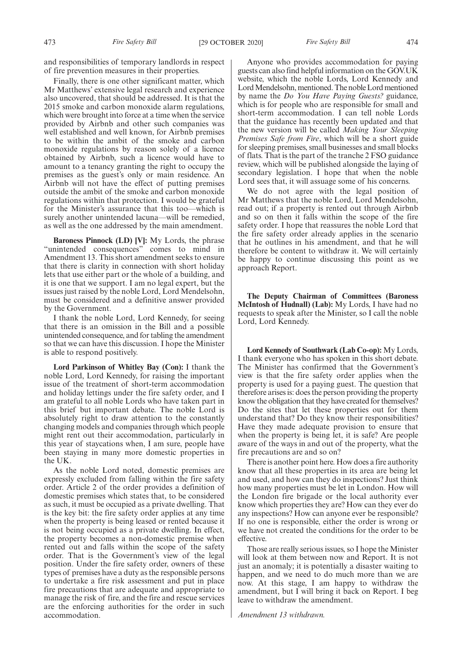and responsibilities of temporary landlords in respect of fire prevention measures in their properties.

Finally, there is one other significant matter, which Mr Matthews' extensive legal research and experience also uncovered, that should be addressed. It is that the 2015 smoke and carbon monoxide alarm regulations, which were brought into force at a time when the service provided by Airbnb and other such companies was well established and well known, for Airbnb premises to be within the ambit of the smoke and carbon monoxide regulations by reason solely of a licence obtained by Airbnb, such a licence would have to amount to a tenancy granting the right to occupy the premises as the guest's only or main residence. An Airbnb will not have the effect of putting premises outside the ambit of the smoke and carbon monoxide regulations within that protection. I would be grateful for the Minister's assurance that this too—which is surely another unintended lacuna—will be remedied, as well as the one addressed by the main amendment.

**Baroness Pinnock (LD) [V]:** My Lords, the phrase "unintended consequences" comes to mind in Amendment 13. This short amendment seeks to ensure that there is clarity in connection with short holiday lets that use either part or the whole of a building, and it is one that we support. I am no legal expert, but the issues just raised by the noble Lord, Lord Mendelsohn, must be considered and a definitive answer provided by the Government.

I thank the noble Lord, Lord Kennedy, for seeing that there is an omission in the Bill and a possible unintended consequence, and for tabling the amendment so that we can have this discussion. I hope the Minister is able to respond positively.

**Lord Parkinson of Whitley Bay (Con):** I thank the noble Lord, Lord Kennedy, for raising the important issue of the treatment of short-term accommodation and holiday lettings under the fire safety order, and I am grateful to all noble Lords who have taken part in this brief but important debate. The noble Lord is absolutely right to draw attention to the constantly changing models and companies through which people might rent out their accommodation, particularly in this year of staycations when, I am sure, people have been staying in many more domestic properties in the UK.

As the noble Lord noted, domestic premises are expressly excluded from falling within the fire safety order. Article 2 of the order provides a definition of domestic premises which states that, to be considered as such, it must be occupied as a private dwelling. That is the key bit: the fire safety order applies at any time when the property is being leased or rented because it is not being occupied as a private dwelling. In effect, the property becomes a non-domestic premise when rented out and falls within the scope of the safety order. That is the Government's view of the legal position. Under the fire safety order, owners of these types of premises have a duty as the responsible persons to undertake a fire risk assessment and put in place fire precautions that are adequate and appropriate to manage the risk of fire, and the fire and rescue services are the enforcing authorities for the order in such accommodation.

Anyone who provides accommodation for paying guests can also find helpful information on the GOV.UK website, which the noble Lords, Lord Kennedy and Lord Mendelsohn, mentioned. The noble Lord mentioned by name the *Do You Have Paying Guests?* guidance, which is for people who are responsible for small and short-term accommodation. I can tell noble Lords that the guidance has recently been updated and that the new version will be called *Making Your Sleeping Premises Safe from Fire*, which will be a short guide for sleeping premises, small businesses and small blocks of flats. That is the part of the tranche 2 FSO guidance review, which will be published alongside the laying of secondary legislation. I hope that when the noble Lord sees that, it will assuage some of his concerns.

We do not agree with the legal position of Mr Matthews that the noble Lord, Lord Mendelsohn, read out; if a property is rented out through Airbnb and so on then it falls within the scope of the fire safety order. I hope that reassures the noble Lord that the fire safety order already applies in the scenario that he outlines in his amendment, and that he will therefore be content to withdraw it. We will certainly be happy to continue discussing this point as we approach Report.

**The Deputy Chairman of Committees (Baroness McIntosh of Hudnall) (Lab):** My Lords, I have had no requests to speak after the Minister, so I call the noble Lord, Lord Kennedy.

**Lord Kennedy of Southwark (Lab Co-op):** My Lords, I thank everyone who has spoken in this short debate. The Minister has confirmed that the Government's view is that the fire safety order applies when the property is used for a paying guest. The question that therefore arises is: does the person providing the property know the obligation that they have created for themselves? Do the sites that let these properties out for them understand that? Do they know their responsibilities? Have they made adequate provision to ensure that when the property is being let, it is safe? Are people aware of the ways in and out of the property, what the fire precautions are and so on?

There is another point here. How does a fire authority know that all these properties in its area are being let and used, and how can they do inspections? Just think how many properties must be let in London. How will the London fire brigade or the local authority ever know which properties they are? How can they ever do any inspections? How can anyone ever be responsible? If no one is responsible, either the order is wrong or we have not created the conditions for the order to be effective.

Those are really serious issues, so I hope the Minister will look at them between now and Report. It is not just an anomaly; it is potentially a disaster waiting to happen, and we need to do much more than we are now. At this stage, I am happy to withdraw the amendment, but I will bring it back on Report. I beg leave to withdraw the amendment.

*Amendment 13 withdrawn.*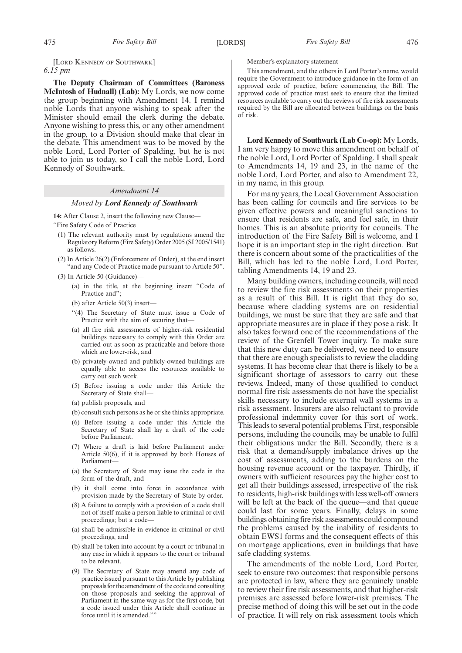[LORD KENNEDY OF SOUTHWARK] *6.15 pm*

**The Deputy Chairman of Committees (Baroness McIntosh of Hudnall) (Lab):** My Lords, we now come the group beginning with Amendment 14. I remind noble Lords that anyone wishing to speak after the Minister should email the clerk during the debate. Anyone wishing to press this, or any other amendment in the group, to a Division should make that clear in the debate. This amendment was to be moved by the noble Lord, Lord Porter of Spalding, but he is not able to join us today, so I call the noble Lord, Lord Kennedy of Southwark.

#### *Amendment 14*

#### *Moved by Lord Kennedy of Southwark*

**14:** After Clause 2, insert the following new Clause—

"Fire Safety Code of Practice

- (1) The relevant authority must by regulations amend the Regulatory Reform (Fire Safety) Order 2005 (SI 2005/1541) as follows.
- (2) In Article 26(2) (Enforcement of Order), at the end insert "and any Code of Practice made pursuant to Article 50".
- (3) In Article 50 (Guidance)—
	- (a) in the title, at the beginning insert "Code of Practice and";
	- (b) after Article 50(3) insert—
	- "(4) The Secretary of State must issue a Code of Practice with the aim of securing that-
	- (a) all fire risk assessments of higher-risk residential buildings necessary to comply with this Order are carried out as soon as practicable and before those which are lower-risk, and
	- (b) privately-owned and publicly-owned buildings are equally able to access the resources available to carry out such work.
	- (5) Before issuing a code under this Article the Secretary of State shall—
	- (a) publish proposals, and
	- (b) consult such persons as he or she thinks appropriate.
	- (6) Before issuing a code under this Article the Secretary of State shall lay a draft of the code before Parliament.
	- (7) Where a draft is laid before Parliament under Article 50(6), if it is approved by both Houses of Parliament
	- (a) the Secretary of State may issue the code in the form of the draft, and
	- (b) it shall come into force in accordance with provision made by the Secretary of State by order.
	- (8) A failure to comply with a provision of a code shall not of itself make a person liable to criminal or civil proceedings; but a code—
	- (a) shall be admissible in evidence in criminal or civil proceedings, and
	- (b) shall be taken into account by a court or tribunal in any case in which it appears to the court or tribunal to be relevant.
	- (9) The Secretary of State may amend any code of practice issued pursuant to this Article by publishing proposals for the amendment of the code and consulting on those proposals and seeking the approval of Parliament in the same way as for the first code, but a code issued under this Article shall continue in force until it is amended.""

Member's explanatory statement

This amendment, and the others in Lord Porter's name, would require the Government to introduce guidance in the form of an approved code of practice, before commencing the Bill. The approved code of practice must seek to ensure that the limited resources available to carry out the reviews of fire risk assessments required by the Bill are allocated between buildings on the basis of risk.

**Lord Kennedy of Southwark (Lab Co-op):** My Lords, I am very happy to move this amendment on behalf of the noble Lord, Lord Porter of Spalding. I shall speak to Amendments 14, 19 and 23, in the name of the noble Lord, Lord Porter, and also to Amendment 22, in my name, in this group.

For many years, the Local Government Association has been calling for councils and fire services to be given effective powers and meaningful sanctions to ensure that residents are safe, and feel safe, in their homes. This is an absolute priority for councils. The introduction of the Fire Safety Bill is welcome, and I hope it is an important step in the right direction. But there is concern about some of the practicalities of the Bill, which has led to the noble Lord, Lord Porter, tabling Amendments 14, 19 and 23.

Many building owners, including councils, will need to review the fire risk assessments on their properties as a result of this Bill. It is right that they do so, because where cladding systems are on residential buildings, we must be sure that they are safe and that appropriate measures are in place if they pose a risk. It also takes forward one of the recommendations of the review of the Grenfell Tower inquiry. To make sure that this new duty can be delivered, we need to ensure that there are enough specialists to review the cladding systems. It has become clear that there is likely to be a significant shortage of assessors to carry out these reviews. Indeed, many of those qualified to conduct normal fire risk assessments do not have the specialist skills necessary to include external wall systems in a risk assessment. Insurers are also reluctant to provide professional indemnity cover for this sort of work. This leads to several potential problems. First, responsible persons, including the councils, may be unable to fulfil their obligations under the Bill. Secondly, there is a risk that a demand/supply imbalance drives up the cost of assessments, adding to the burdens on the housing revenue account or the taxpayer. Thirdly, if owners with sufficient resources pay the higher cost to get all their buildings assessed, irrespective of the risk to residents, high-risk buildings with less well-off owners will be left at the back of the queue—and that queue could last for some years. Finally, delays in some buildings obtaining fire risk assessments could compound the problems caused by the inability of residents to obtain EWS1 forms and the consequent effects of this on mortgage applications, even in buildings that have safe cladding systems.

The amendments of the noble Lord, Lord Porter, seek to ensure two outcomes: that responsible persons are protected in law, where they are genuinely unable to review their fire risk assessments, and that higher-risk premises are assessed before lower-risk premises. The precise method of doing this will be set out in the code of practice. It will rely on risk assessment tools which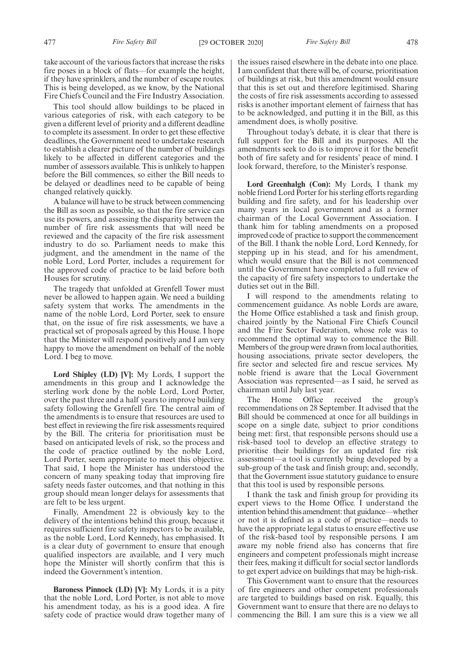take account of the various factors that increase the risks fire poses in a block of flats—for example the height, if they have sprinklers, and the number of escape routes. This is being developed, as we know, by the National Fire Chiefs Council and the Fire Industry Association.

This tool should allow buildings to be placed in various categories of risk, with each category to be given a different level of priority and a different deadline to complete its assessment. In order to get these effective deadlines, the Government need to undertake research to establish a clearer picture of the number of buildings likely to be affected in different categories and the number of assessors available. This is unlikely to happen before the Bill commences, so either the Bill needs to be delayed or deadlines need to be capable of being changed relatively quickly.

A balance will have to be struck between commencing the Bill as soon as possible, so that the fire service can use its powers, and assessing the disparity between the number of fire risk assessments that will need be reviewed and the capacity of the fire risk assessment industry to do so. Parliament needs to make this judgment, and the amendment in the name of the noble Lord, Lord Porter, includes a requirement for the approved code of practice to be laid before both Houses for scrutiny.

The tragedy that unfolded at Grenfell Tower must never be allowed to happen again. We need a building safety system that works. The amendments in the name of the noble Lord, Lord Porter, seek to ensure that, on the issue of fire risk assessments, we have a practical set of proposals agreed by this House. I hope that the Minister will respond positively and I am very happy to move the amendment on behalf of the noble Lord. I beg to move.

**Lord Shipley (LD) [V]:** My Lords, I support the amendments in this group and I acknowledge the sterling work done by the noble Lord, Lord Porter, over the past three and a half years to improve building safety following the Grenfell fire. The central aim of the amendments is to ensure that resources are used to best effect in reviewing the fire risk assessments required by the Bill. The criteria for prioritisation must be based on anticipated levels of risk, so the process and the code of practice outlined by the noble Lord, Lord Porter, seem appropriate to meet this objective. That said, I hope the Minister has understood the concern of many speaking today that improving fire safety needs faster outcomes, and that nothing in this group should mean longer delays for assessments that are felt to be less urgent.

Finally, Amendment 22 is obviously key to the delivery of the intentions behind this group, because it requires sufficient fire safety inspectors to be available, as the noble Lord, Lord Kennedy, has emphasised. It is a clear duty of government to ensure that enough qualified inspectors are available, and I very much hope the Minister will shortly confirm that this is indeed the Government's intention.

**Baroness Pinnock (LD) [V]:** My Lords, it is a pity that the noble Lord, Lord Porter, is not able to move his amendment today, as his is a good idea. A fire safety code of practice would draw together many of the issues raised elsewhere in the debate into one place. I am confident that there will be, of course, prioritisation of buildings at risk, but this amendment would ensure that this is set out and therefore legitimised. Sharing the costs of fire risk assessments according to assessed risks is another important element of fairness that has to be acknowledged, and putting it in the Bill, as this amendment does, is wholly positive.

Throughout today's debate, it is clear that there is full support for the Bill and its purposes. All the amendments seek to do is to improve it for the benefit both of fire safety and for residents' peace of mind. I look forward, therefore, to the Minister's response.

**Lord Greenhalgh (Con):** My Lords, I thank my noble friend Lord Porter for his sterling efforts regarding building and fire safety, and for his leadership over many years in local government and as a former chairman of the Local Government Association. I thank him for tabling amendments on a proposed improved code of practice to support the commencement of the Bill. I thank the noble Lord, Lord Kennedy, for stepping up in his stead, and for his amendment, which would ensure that the Bill is not commenced until the Government have completed a full review of the capacity of fire safety inspectors to undertake the duties set out in the Bill.

I will respond to the amendments relating to commencement guidance. As noble Lords are aware, the Home Office established a task and finish group, chaired jointly by the National Fire Chiefs Council and the Fire Sector Federation, whose role was to recommend the optimal way to commence the Bill. Members of the group were drawn from local authorities, housing associations, private sector developers, the fire sector and selected fire and rescue services. My noble friend is aware that the Local Government Association was represented—as I said, he served as chairman until July last year.

The Home Office received the group's recommendations on 28 September. It advised that the Bill should be commenced at once for all buildings in scope on a single date, subject to prior conditions being met: first, that responsible persons should use a risk-based tool to develop an effective strategy to prioritise their buildings for an updated fire risk assessment—a tool is currently being developed by a sub-group of the task and finish group; and, secondly, that the Government issue statutory guidance to ensure that this tool is used by responsible persons.

I thank the task and finish group for providing its expert views to the Home Office. I understand the intention behind this amendment: that guidance—whether or not it is defined as a code of practice—needs to have the appropriate legal status to ensure effective use of the risk-based tool by responsible persons. I am aware my noble friend also has concerns that fire engineers and competent professionals might increase their fees, making it difficult for social sector landlords to get expert advice on buildings that may be high-risk.

This Government want to ensure that the resources of fire engineers and other competent professionals are targeted to buildings based on risk. Equally, this Government want to ensure that there are no delays to commencing the Bill. I am sure this is a view we all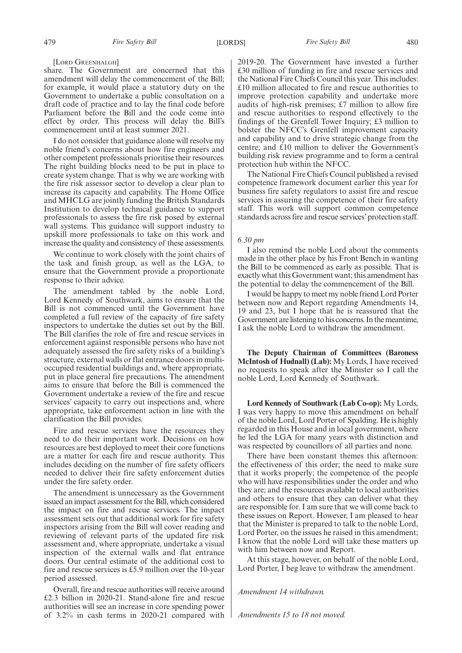[LORD GREENHALGH]

share. The Government are concerned that this amendment will delay the commencement of the Bill; for example, it would place a statutory duty on the Government to undertake a public consultation on a draft code of practice and to lay the final code before Parliament before the Bill and the code come into effect by order. This process will delay the Bill's commencement until at least summer 2021.

I do not consider that guidance alone will resolve my noble friend's concerns about how fire engineers and other competent professionals prioritise their resources. The right building blocks need to be put in place to create system change. That is why we are working with the fire risk assessor sector to develop a clear plan to increase its capacity and capability. The Home Office and MHCLG are jointly funding the British Standards Institution to develop technical guidance to support professionals to assess the fire risk posed by external wall systems. This guidance will support industry to upskill more professionals to take on this work and increase the quality and consistency of these assessments.

We continue to work closely with the joint chairs of the task and finish group, as well as the LGA, to ensure that the Government provide a proportionate response to their advice.

The amendment tabled by the noble Lord, Lord Kennedy of Southwark, aims to ensure that the Bill is not commenced until the Government have completed a full review of the capacity of fire safety inspectors to undertake the duties set out by the Bill. The Bill clarifies the role of fire and rescue services in enforcement against responsible persons who have not adequately assessed the fire safety risks of a building's structure, external walls or flat entrance doors in multioccupied residential buildings and, where appropriate, put in place general fire precautions. The amendment aims to ensure that before the Bill is commenced the Government undertake a review of the fire and rescue services' capacity to carry out inspections and, where appropriate, take enforcement action in line with the clarification the Bill provides.

Fire and rescue services have the resources they need to do their important work. Decisions on how resources are best deployed to meet their core functions are a matter for each fire and rescue authority. This includes deciding on the number of fire safety officers needed to deliver their fire safety enforcement duties under the fire safety order.

The amendment is unnecessary as the Government issued an impact assessment for the Bill, which considered the impact on fire and rescue services. The impact assessment sets out that additional work for fire safety inspectors arising from the Bill will cover reading and reviewing of relevant parts of the updated fire risk assessment and, where appropriate, undertake a visual inspection of the external walls and flat entrance doors. Our central estimate of the additional cost to fire and rescue services is £5.9 million over the 10-year period assessed.

Overall, fire and rescue authorities will receive around £2.3 billion in 2020-21. Stand-alone fire and rescue authorities will see an increase in core spending power of 3.2% in cash terms in 2020-21 compared with 2019-20. The Government have invested a further £30 million of funding in fire and rescue services and the National Fire Chiefs Council this year. This includes: £10 million allocated to fire and rescue authorities to improve protection capability and undertake more audits of high-risk premises; £7 million to allow fire and rescue authorities to respond effectively to the findings of the Grenfell Tower Inquiry; £3 million to bolster the NFCC's Grenfell improvement capacity and capability and to drive strategic change from the centre; and £10 million to deliver the Government's building risk review programme and to form a central protection hub within the NFCC.

The National Fire Chiefs Council published a revised competence framework document earlier this year for business fire safety regulators to assist fire and rescue services in assuring the competence of their fire safety staff. This work will support common competence standards across fire and rescue services'protection staff.

#### *6.30 pm*

I also remind the noble Lord about the comments made in the other place by his Front Bench in wanting the Bill to be commenced as early as possible. That is exactly what this Government want; this amendment has the potential to delay the commencement of the Bill.

I would be happy to meet my noble friend Lord Porter between now and Report regarding Amendments 14, 19 and 23, but I hope that he is reassured that the Government are listening to his concerns. In the meantime, I ask the noble Lord to withdraw the amendment.

**The Deputy Chairman of Committees (Baroness McIntosh of Hudnall) (Lab):** My Lords, I have received no requests to speak after the Minister so I call the noble Lord, Lord Kennedy of Southwark.

**Lord Kennedy of Southwark (Lab Co-op):** My Lords, I was very happy to move this amendment on behalf of the noble Lord, Lord Porter of Spalding. He is highly regarded in this House and in local government, where he led the LGA for many years with distinction and was respected by councillors of all parties and none.

There have been constant themes this afternoon: the effectiveness of this order; the need to make sure that it works properly; the competence of the people who will have responsibilities under the order and who they are; and the resources available to local authorities and others to ensure that they can deliver what they are responsible for. I am sure that we will come back to these issues on Report. However, I am pleased to hear that the Minister is prepared to talk to the noble Lord, Lord Porter, on the issues he raised in this amendment; I know that the noble Lord will take these matters up with him between now and Report.

At this stage, however, on behalf of the noble Lord, Lord Porter, I beg leave to withdraw the amendment.

*Amendment 14 withdrawn.*

*Amendments 15 to 18 not moved.*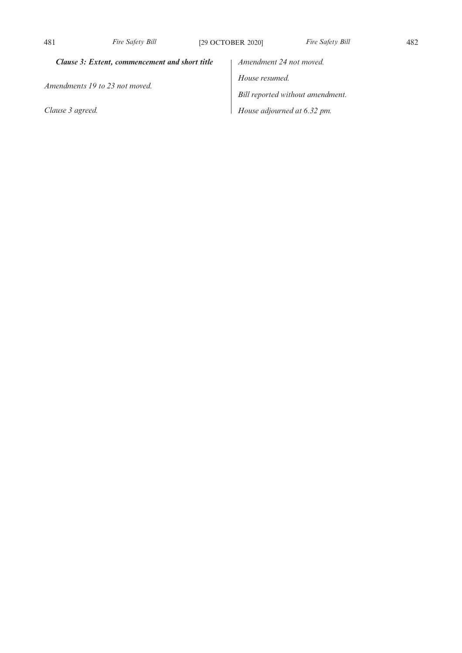# *Clause 3: Extent, commencement and short title*

*Amendments 19 to 23 not moved.*

*Clause 3 agreed.*

*Amendment 24 not moved. House resumed. Bill reported without amendment. House adjourned at 6.32 pm.*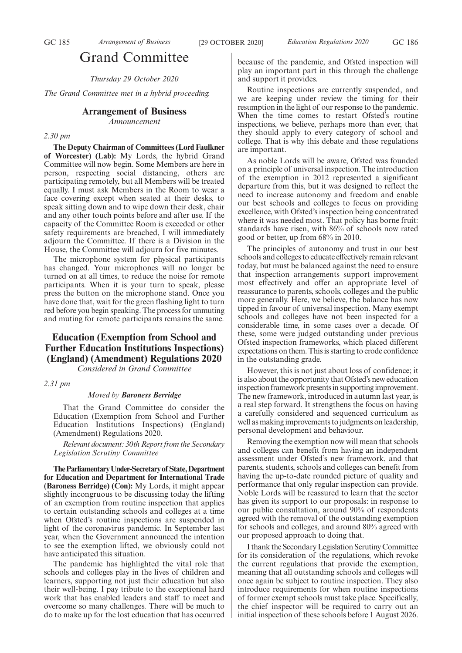# Grand Committee

*Thursday 29 October 2020*

*The Grand Committee met in a hybrid proceeding.*

## **Arrangement of Business**

*Announcement*

*2.30 pm*

**The Deputy Chairman of Committees (Lord Faulkner of Worcester) (Lab):** My Lords, the hybrid Grand Committee will now begin. Some Members are here in person, respecting social distancing, others are participating remotely, but all Members will be treated equally. I must ask Members in the Room to wear a face covering except when seated at their desks, to speak sitting down and to wipe down their desk, chair and any other touch points before and after use. If the capacity of the Committee Room is exceeded or other safety requirements are breached, I will immediately adjourn the Committee. If there is a Division in the House, the Committee will adjourn for five minutes.

The microphone system for physical participants has changed. Your microphones will no longer be turned on at all times, to reduce the noise for remote participants. When it is your turn to speak, please press the button on the microphone stand. Once you have done that, wait for the green flashing light to turn red before you begin speaking. The process for unmuting and muting for remote participants remains the same.

# **Education (Exemption from School and Further Education Institutions Inspections) (England) (Amendment) Regulations 2020**

*Considered in Grand Committee*

*2.31 pm*

#### *Moved by Baroness Berridge*

That the Grand Committee do consider the Education (Exemption from School and Further Education Institutions Inspections) (England) (Amendment) Regulations 2020.

*Relevant document: 30th Report from the Secondary Legislation Scrutiny Committee*

**TheParliamentaryUnder-Secretaryof State,Department for Education and Department for International Trade (Baroness Berridge) (Con):** My Lords, it might appear slightly incongruous to be discussing today the lifting of an exemption from routine inspection that applies to certain outstanding schools and colleges at a time when Ofsted's routine inspections are suspended in light of the coronavirus pandemic. In September last year, when the Government announced the intention to see the exemption lifted, we obviously could not have anticipated this situation.

The pandemic has highlighted the vital role that schools and colleges play in the lives of children and learners, supporting not just their education but also their well-being. I pay tribute to the exceptional hard work that has enabled leaders and staff to meet and overcome so many challenges. There will be much to do to make up for the lost education that has occurred because of the pandemic, and Ofsted inspection will play an important part in this through the challenge and support it provides.

Routine inspections are currently suspended, and we are keeping under review the timing for their resumption in the light of our response to the pandemic. When the time comes to restart Ofsted's routine inspections, we believe, perhaps more than ever, that they should apply to every category of school and college. That is why this debate and these regulations are important.

As noble Lords will be aware, Ofsted was founded on a principle of universal inspection. The introduction of the exemption in 2012 represented a significant departure from this, but it was designed to reflect the need to increase autonomy and freedom and enable our best schools and colleges to focus on providing excellence, with Ofsted's inspection being concentrated where it was needed most. That policy has borne fruit: standards have risen, with 86% of schools now rated good or better, up from 68% in 2010.

The principles of autonomy and trust in our best schools and colleges to educate effectively remain relevant today, but must be balanced against the need to ensure that inspection arrangements support improvement most effectively and offer an appropriate level of reassurance to parents, schools, colleges and the public more generally. Here, we believe, the balance has now tipped in favour of universal inspection. Many exempt schools and colleges have not been inspected for a considerable time, in some cases over a decade. Of these, some were judged outstanding under previous Ofsted inspection frameworks, which placed different expectations on them. This is starting to erode confidence in the outstanding grade.

However, this is not just about loss of confidence; it is also about the opportunity that Ofsted's new education inspection framework presents in supporting improvement. The new framework, introduced in autumn last year, is a real step forward. It strengthens the focus on having a carefully considered and sequenced curriculum as well as making improvements to judgments on leadership, personal development and behaviour.

Removing the exemption now will mean that schools and colleges can benefit from having an independent assessment under Ofsted's new framework, and that parents, students, schools and colleges can benefit from having the up-to-date rounded picture of quality and performance that only regular inspection can provide. Noble Lords will be reassured to learn that the sector has given its support to our proposals: in response to our public consultation, around 90% of respondents agreed with the removal of the outstanding exemption for schools and colleges, and around 80% agreed with our proposed approach to doing that.

I thank the Secondary Legislation Scrutiny Committee for its consideration of the regulations, which revoke the current regulations that provide the exemption, meaning that all outstanding schools and colleges will once again be subject to routine inspection. They also introduce requirements for when routine inspections of former exempt schools must take place. Specifically, the chief inspector will be required to carry out an initial inspection of these schools before 1 August 2026.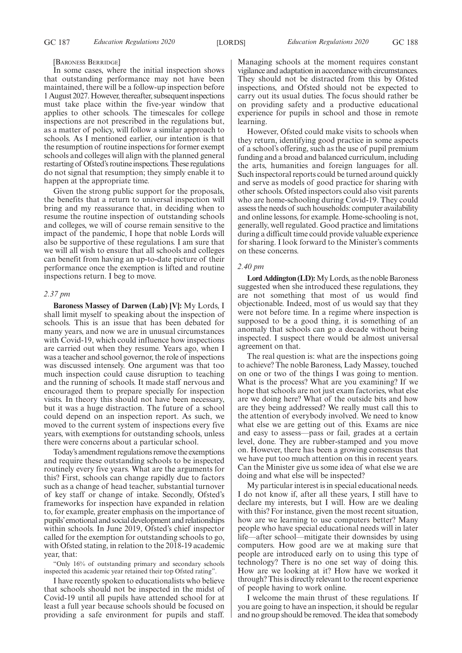#### [BARONESS BERRIDGE]

In some cases, where the initial inspection shows that outstanding performance may not have been maintained, there will be a follow-up inspection before 1 August 2027. However, thereafter, subsequent inspections must take place within the five-year window that applies to other schools. The timescales for college inspections are not prescribed in the regulations but, as a matter of policy, will follow a similar approach to schools. As I mentioned earlier, our intention is that the resumption of routine inspections for former exempt schools and colleges will align with the planned general restarting of Ofsted's routine inspections. These regulations do not signal that resumption; they simply enable it to happen at the appropriate time.

Given the strong public support for the proposals, the benefits that a return to universal inspection will bring and my reassurance that, in deciding when to resume the routine inspection of outstanding schools and colleges, we will of course remain sensitive to the impact of the pandemic, I hope that noble Lords will also be supportive of these regulations. I am sure that we will all wish to ensure that all schools and colleges can benefit from having an up-to-date picture of their performance once the exemption is lifted and routine inspections return. I beg to move.

## *2.37 pm*

**Baroness Massey of Darwen (Lab) [V]:** My Lords, I shall limit myself to speaking about the inspection of schools. This is an issue that has been debated for many years, and now we are in unusual circumstances with Covid-19, which could influence how inspections are carried out when they resume. Years ago, when I was a teacher and school governor, the role of inspections was discussed intensely. One argument was that too much inspection could cause disruption to teaching and the running of schools. It made staff nervous and encouraged them to prepare specially for inspection visits. In theory this should not have been necessary, but it was a huge distraction. The future of a school could depend on an inspection report. As such, we moved to the current system of inspections every five years, with exemptions for outstanding schools, unless there were concerns about a particular school.

Today's amendment regulations remove the exemptions and require these outstanding schools to be inspected routinely every five years. What are the arguments for this? First, schools can change rapidly due to factors such as a change of head teacher, substantial turnover of key staff or change of intake. Secondly, Ofsted's frameworks for inspection have expanded in relation to, for example, greater emphasis on the importance of pupils'emotional and social development and relationships within schools. In June 2019, Ofsted's chief inspector called for the exemption for outstanding schools to go, with Ofsted stating, in relation to the 2018-19 academic year, that:

"Only 16% of outstanding primary and secondary schools inspected this academic year retained their top Ofsted rating".

I have recently spoken to educationalists who believe that schools should not be inspected in the midst of Covid-19 until all pupils have attended school for at least a full year because schools should be focused on providing a safe environment for pupils and staff.

Managing schools at the moment requires constant vigilance and adaptation in accordance with circumstances. They should not be distracted from this by Ofsted inspections, and Ofsted should not be expected to carry out its usual duties. The focus should rather be on providing safety and a productive educational experience for pupils in school and those in remote learning.

However, Ofsted could make visits to schools when they return, identifying good practice in some aspects of a school's offering, such as the use of pupil premium funding and a broad and balanced curriculum, including the arts, humanities and foreign languages for all. Such inspectoral reports could be turned around quickly and serve as models of good practice for sharing with other schools. Ofsted inspectors could also visit parents who are home-schooling during Covid-19. They could assess the needs of such households: computer availability and online lessons, for example. Home-schooling is not, generally, well regulated. Good practice and limitations during a difficult time could provide valuable experience for sharing. I look forward to the Minister's comments on these concerns.

## *2.40 pm*

**Lord Addington (LD):**My Lords, as the noble Baroness suggested when she introduced these regulations, they are not something that most of us would find objectionable. Indeed, most of us would say that they were not before time. In a regime where inspection is supposed to be a good thing, it is something of an anomaly that schools can go a decade without being inspected. I suspect there would be almost universal agreement on that.

The real question is: what are the inspections going to achieve? The noble Baroness, Lady Massey, touched on one or two of the things I was going to mention. What is the process? What are you examining? If we hope that schools are not just exam factories, what else are we doing here? What of the outside bits and how are they being addressed? We really must call this to the attention of everybody involved. We need to know what else we are getting out of this. Exams are nice and easy to assess—pass or fail, grades at a certain level, done. They are rubber-stamped and you move on. However, there has been a growing consensus that we have put too much attention on this in recent years. Can the Minister give us some idea of what else we are doing and what else will be inspected?

My particular interest is in special educational needs. I do not know if, after all these years, I still have to declare my interests, but I will. How are we dealing with this? For instance, given the most recent situation, how are we learning to use computers better? Many people who have special educational needs will in later life—after school—mitigate their downsides by using computers. How good are we at making sure that people are introduced early on to using this type of technology? There is no one set way of doing this. How are we looking at it? How have we worked it through? This is directly relevant to the recent experience of people having to work online.

I welcome the main thrust of these regulations. If you are going to have an inspection, it should be regular and no group should be removed. The idea that somebody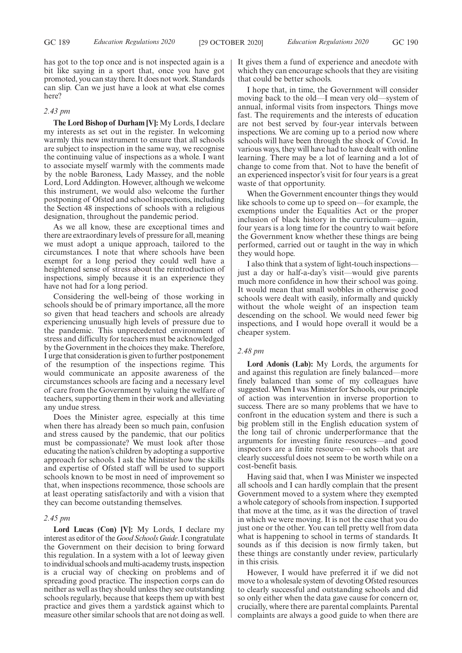has got to the top once and is not inspected again is a bit like saying in a sport that, once you have got promoted, you can stay there. It does not work. Standards can slip. Can we just have a look at what else comes here?

## *2.43 pm*

**The Lord Bishop of Durham [V]:** My Lords, I declare my interests as set out in the register. In welcoming warmly this new instrument to ensure that all schools are subject to inspection in the same way, we recognise the continuing value of inspections as a whole. I want to associate myself warmly with the comments made by the noble Baroness, Lady Massey, and the noble Lord, Lord Addington. However, although we welcome this instrument, we would also welcome the further postponing of Ofsted and school inspections, including the Section 48 inspections of schools with a religious designation, throughout the pandemic period.

As we all know, these are exceptional times and there are extraordinary levels of pressure for all, meaning we must adopt a unique approach, tailored to the circumstances. I note that where schools have been exempt for a long period they could well have a heightened sense of stress about the reintroduction of inspections, simply because it is an experience they have not had for a long period.

Considering the well-being of those working in schools should be of primary importance, all the more so given that head teachers and schools are already experiencing unusually high levels of pressure due to the pandemic. This unprecedented environment of stress and difficulty for teachers must be acknowledged by the Government in the choices they make. Therefore, I urge that consideration is given to further postponement of the resumption of the inspections regime. This would communicate an apposite awareness of the circumstances schools are facing and a necessary level of care from the Government by valuing the welfare of teachers, supporting them in their work and alleviating any undue stress.

Does the Minister agree, especially at this time when there has already been so much pain, confusion and stress caused by the pandemic, that our politics must be compassionate? We must look after those educating the nation's children by adopting a supportive approach for schools. I ask the Minister how the skills and expertise of Ofsted staff will be used to support schools known to be most in need of improvement so that, when inspections recommence, those schools are at least operating satisfactorily and with a vision that they can become outstanding themselves.

#### *2.45 pm*

**Lord Lucas (Con) [V]:** My Lords, I declare my interest as editor of the*Good Schools Guide*. I congratulate the Government on their decision to bring forward this regulation. In a system with a lot of leeway given to individual schools and multi-academy trusts, inspection is a crucial way of checking on problems and of spreading good practice. The inspection corps can do neither as well as they should unless they see outstanding schools regularly, because that keeps them up with best practice and gives them a yardstick against which to measure other similar schools that are not doing as well. It gives them a fund of experience and anecdote with which they can encourage schools that they are visiting that could be better schools.

I hope that, in time, the Government will consider moving back to the old—I mean very old—system of annual, informal visits from inspectors. Things move fast. The requirements and the interests of education are not best served by four-year intervals between inspections. We are coming up to a period now where schools will have been through the shock of Covid. In various ways, they will have had to have dealt with online learning. There may be a lot of learning and a lot of change to come from that. Not to have the benefit of an experienced inspector's visit for four years is a great waste of that opportunity.

When the Government encounter things they would like schools to come up to speed on—for example, the exemptions under the Equalities Act or the proper inclusion of black history in the curriculum—again, four years is a long time for the country to wait before the Government know whether these things are being performed, carried out or taught in the way in which they would hope.

I also think that a system of light-touch inspections just a day or half-a-day's visit—would give parents much more confidence in how their school was going. It would mean that small wobbles in otherwise good schools were dealt with easily, informally and quickly without the whole weight of an inspection team descending on the school. We would need fewer big inspections, and I would hope overall it would be a cheaper system.

## *2.48 pm*

**Lord Adonis (Lab):** My Lords, the arguments for and against this regulation are finely balanced—more finely balanced than some of my colleagues have suggested. When I was Minister for Schools, our principle of action was intervention in inverse proportion to success. There are so many problems that we have to confront in the education system and there is such a big problem still in the English education system of the long tail of chronic underperformance that the arguments for investing finite resources—and good inspectors are a finite resource—on schools that are clearly successful does not seem to be worth while on a cost-benefit basis.

Having said that, when I was Minister we inspected all schools and I can hardly complain that the present Government moved to a system where they exempted a whole category of schools from inspection. I supported that move at the time, as it was the direction of travel in which we were moving. It is not the case that you do just one or the other. You can tell pretty well from data what is happening to school in terms of standards. It sounds as if this decision is now firmly taken, but these things are constantly under review, particularly in this crisis.

However, I would have preferred it if we did not move to a wholesale system of devoting Ofsted resources to clearly successful and outstanding schools and did so only either when the data gave cause for concern or, crucially, where there are parental complaints. Parental complaints are always a good guide to when there are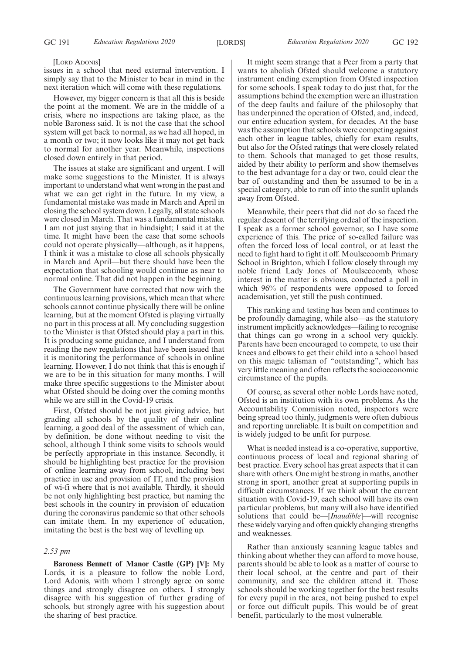#### [LORD ADONIS]

issues in a school that need external intervention. I simply say that to the Minister to bear in mind in the next iteration which will come with these regulations.

However, my bigger concern is that all this is beside the point at the moment. We are in the middle of a crisis, where no inspections are taking place, as the noble Baroness said. It is not the case that the school system will get back to normal, as we had all hoped, in a month or two; it now looks like it may not get back to normal for another year. Meanwhile, inspections closed down entirely in that period.

The issues at stake are significant and urgent. I will make some suggestions to the Minister. It is always important to understand what went wrong in the past and what we can get right in the future. In my view, a fundamental mistake was made in March and April in closing the school system down. Legally, all state schools were closed in March. That was a fundamental mistake. I am not just saying that in hindsight; I said it at the time. It might have been the case that some schools could not operate physically—although, as it happens, I think it was a mistake to close all schools physically in March and April—but there should have been the expectation that schooling would continue as near to normal online. That did not happen in the beginning.

The Government have corrected that now with the continuous learning provisions, which mean that where schools cannot continue physically there will be online learning, but at the moment Ofsted is playing virtually no part in this process at all. My concluding suggestion to the Minister is that Ofsted should play a part in this. It is producing some guidance, and I understand from reading the new regulations that have been issued that it is monitoring the performance of schools in online learning. However, I do not think that this is enough if we are to be in this situation for many months. I will make three specific suggestions to the Minister about what Ofsted should be doing over the coming months while we are still in the Covid-19 crisis.

First, Ofsted should be not just giving advice, but grading all schools by the quality of their online learning, a good deal of the assessment of which can, by definition, be done without needing to visit the school, although I think some visits to schools would be perfectly appropriate in this instance. Secondly, it should be highlighting best practice for the provision of online learning away from school, including best practice in use and provision of IT, and the provision of wi-fi where that is not available. Thirdly, it should be not only highlighting best practice, but naming the best schools in the country in provision of education during the coronavirus pandemic so that other schools can imitate them. In my experience of education, imitating the best is the best way of levelling up.

### *2.53 pm*

**Baroness Bennett of Manor Castle (GP) [V]:** My Lords, it is a pleasure to follow the noble Lord, Lord Adonis, with whom I strongly agree on some things and strongly disagree on others. I strongly disagree with his suggestion of further grading of schools, but strongly agree with his suggestion about the sharing of best practice.

It might seem strange that a Peer from a party that wants to abolish Ofsted should welcome a statutory instrument ending exemption from Ofsted inspection for some schools. I speak today to do just that, for the assumptions behind the exemption were an illustration of the deep faults and failure of the philosophy that has underpinned the operation of Ofsted, and, indeed, our entire education system, for decades. At the base was the assumption that schools were competing against each other in league tables, chiefly for exam results, but also for the Ofsted ratings that were closely related to them. Schools that managed to get those results, aided by their ability to perform and show themselves to the best advantage for a day or two, could clear the bar of outstanding and then be assumed to be in a special category, able to run off into the sunlit uplands away from Ofsted.

Meanwhile, their peers that did not do so faced the regular descent of the terrifying ordeal of the inspection. I speak as a former school governor, so I have some experience of this. The price of so-called failure was often the forced loss of local control, or at least the need to fight hard to fight it off. Moulsecoomb Primary School in Brighton, which I follow closely through my noble friend Lady Jones of Moulsecoomb, whose interest in the matter is obvious, conducted a poll in which 96% of respondents were opposed to forced academisation, yet still the push continued.

This ranking and testing has been and continues to be profoundly damaging, while also—as the statutory instrument implicitly acknowledges—failing to recognise that things can go wrong in a school very quickly. Parents have been encouraged to compete, to use their knees and elbows to get their child into a school based on this magic talisman of "outstanding", which has very little meaning and often reflects the socioeconomic circumstance of the pupils.

Of course, as several other noble Lords have noted, Ofsted is an institution with its own problems. As the Accountability Commission noted, inspectors were being spread too thinly, judgments were often dubious and reporting unreliable. It is built on competition and is widely judged to be unfit for purpose.

What is needed instead is a co-operative, supportive, continuous process of local and regional sharing of best practice. Every school has great aspects that it can share with others. One might be strong in maths, another strong in sport, another great at supporting pupils in difficult circumstances. If we think about the current situation with Covid-19, each school will have its own particular problems, but many will also have identified solutions that could be—[*Inaudible*]—will recognise these widely varying and often quickly changing strengths and weaknesses.

Rather than anxiously scanning league tables and thinking about whether they can afford to move house, parents should be able to look as a matter of course to their local school, at the centre and part of their community, and see the children attend it. Those schools should be working together for the best results for every pupil in the area, not being pushed to expel or force out difficult pupils. This would be of great benefit, particularly to the most vulnerable.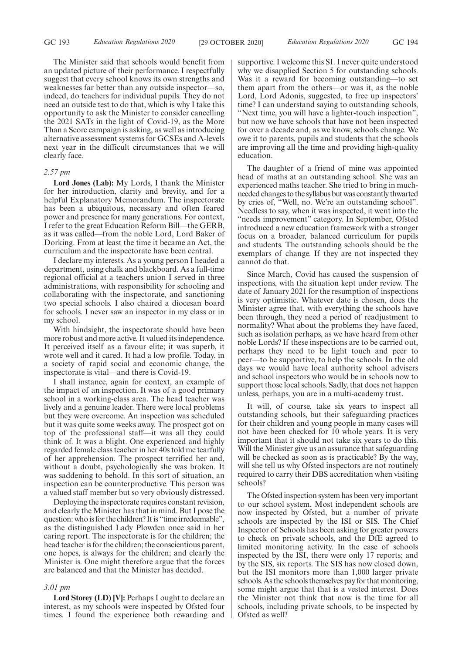The Minister said that schools would benefit from an updated picture of their performance. I respectfully suggest that every school knows its own strengths and weaknesses far better than any outside inspector—so, indeed, do teachers for individual pupils. They do not need an outside test to do that, which is why I take this opportunity to ask the Minister to consider cancelling the 2021 SATs in the light of Covid-19, as the More Than a Score campaign is asking, as well as introducing alternative assessment systems for GCSEs and A-levels next year in the difficult circumstances that we will clearly face.

## *2.57 pm*

**Lord Jones (Lab):** My Lords, I thank the Minister for her introduction, clarity and brevity, and for a helpful Explanatory Memorandum. The inspectorate has been a ubiquitous, necessary and often feared power and presence for many generations. For context, I refer to the great Education Reform Bill—the GERB, as it was called—from the noble Lord, Lord Baker of Dorking. From at least the time it became an Act, the curriculum and the inspectorate have been central.

I declare my interests. As a young person I headed a department, using chalk and blackboard. As a full-time regional official at a teachers union I served in three administrations, with responsibility for schooling and collaborating with the inspectorate, and sanctioning two special schools. I also chaired a diocesan board for schools. I never saw an inspector in my class or in my school.

With hindsight, the inspectorate should have been more robust and more active. It valued its independence. It perceived itself as a favour elite; it was superb, it wrote well and it cared. It had a low profile. Today, in a society of rapid social and economic change, the inspectorate is vital—and there is Covid-19.

I shall instance, again for context, an example of the impact of an inspection. It was of a good primary school in a working-class area. The head teacher was lively and a genuine leader. There were local problems but they were overcome. An inspection was scheduled but it was quite some weeks away. The prospect got on top of the professional staff—it was all they could think of. It was a blight. One experienced and highly regarded female class teacher in her 40s told me tearfully of her apprehension. The prospect terrified her and, without a doubt, psychologically she was broken. It was saddening to behold. In this sort of situation, an inspection can be counterproductive. This person was a valued staff member but so very obviously distressed.

Deploying the inspectorate requires constant revision, and clearly the Minister has that in mind. But I pose the question: who is for the children? It is "time irredeemable", as the distinguished Lady Plowden once said in her caring report. The inspectorate is for the children; the head teacher is for the children; the conscientious parent, one hopes, is always for the children; and clearly the Minister is. One might therefore argue that the forces are balanced and that the Minister has decided.

#### *3.01 pm*

**Lord Storey (LD) [V]:** Perhaps I ought to declare an interest, as my schools were inspected by Ofsted four times. I found the experience both rewarding and supportive. I welcome this SI. I never quite understood why we disapplied Section 5 for outstanding schools. Was it a reward for becoming outstanding—to set them apart from the others—or was it, as the noble Lord, Lord Adonis, suggested, to free up inspectors' time? I can understand saying to outstanding schools, "Next time, you will have a lighter-touch inspection", but now we have schools that have not been inspected for over a decade and, as we know, schools change. We owe it to parents, pupils and students that the schools are improving all the time and providing high-quality education.

The daughter of a friend of mine was appointed head of maths at an outstanding school. She was an experienced maths teacher. She tried to bring in muchneeded changes to the syllabus but was constantly thwarted by cries of, "Well, no. We're an outstanding school". Needless to say, when it was inspected, it went into the "needs improvement" category. In September, Ofsted introduced a new education framework with a stronger focus on a broader, balanced curriculum for pupils and students. The outstanding schools should be the exemplars of change. If they are not inspected they cannot do that.

Since March, Covid has caused the suspension of inspections, with the situation kept under review. The date of January 2021 for the resumption of inspections is very optimistic. Whatever date is chosen, does the Minister agree that, with everything the schools have been through, they need a period of readjustment to normality? What about the problems they have faced, such as isolation perhaps, as we have heard from other noble Lords? If these inspections are to be carried out, perhaps they need to be light touch and peer to peer—to be supportive, to help the schools. In the old days we would have local authority school advisers and school inspectors who would be in schools now to support those local schools. Sadly, that does not happen unless, perhaps, you are in a multi-academy trust.

It will, of course, take six years to inspect all outstanding schools, but their safeguarding practices for their children and young people in many cases will not have been checked for 10 whole years. It is very important that it should not take six years to do this. Will the Minister give us an assurance that safeguarding will be checked as soon as is practicable? By the way, will she tell us why Ofsted inspectors are not routinely required to carry their DBS accreditation when visiting schools?

The Ofsted inspection system has been very important to our school system. Most independent schools are now inspected by Ofsted, but a number of private schools are inspected by the ISI or SIS. The Chief Inspector of Schools has been asking for greater powers to check on private schools, and the DfE agreed to limited monitoring activity. In the case of schools inspected by the ISI, there were only 17 reports; and by the SIS, six reports. The SIS has now closed down, but the ISI monitors more than 1,000 larger private schools. As the schools themselves pay for that monitoring, some might argue that that is a vested interest. Does the Minister not think that now is the time for all schools, including private schools, to be inspected by Ofsted as well?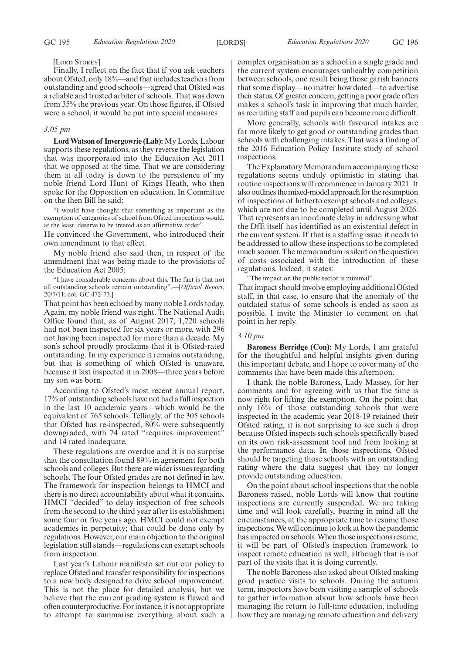#### [LORD STOREY]

Finally, I reflect on the fact that if you ask teachers about Ofsted, only 18%—and that includes teachers from outstanding and good schools—agreed that Ofsted was a reliable and trusted arbiter of schools. That was down from 35% the previous year. On those figures, if Ofsted were a school, it would be put into special measures.

#### *3.05 pm*

**Lord Watson of Invergowrie (Lab):** My Lords, Labour supports these regulations, as they reverse the legislation that was incorporated into the Education Act 2011 that we opposed at the time. That we are considering them at all today is down to the persistence of my noble friend Lord Hunt of Kings Heath, who then spoke for the Opposition on education. In Committee on the then Bill he said:

"I would have thought that something as important as the exemption of categories of school from Ofsted inspections would, at the least, deserve to be treated as an affirmative order".

He convinced the Government, who introduced their own amendment to that effect.

My noble friend also said then, in respect of the amendment that was being made to the provisions of the Education Act 2005:

"I have considerable concerns about this. The fact is that not all outstanding schools remain outstanding".—[*Official Report*, 20/7/11; col. GC 472-73.]

That point has been echoed by many noble Lords today. Again, my noble friend was right. The National Audit Office found that, as of August 2017, 1,720 schools had not been inspected for six years or more, with 296 not having been inspected for more than a decade. My son's school proudly proclaims that it is Ofsted-rated outstanding. In my experience it remains outstanding, but that is something of which Ofsted is unaware, because it last inspected it in 2008—three years before my son was born.

According to Ofsted's most recent annual report, 17% of outstanding schools have not had a full inspection in the last 10 academic years—which would be the equivalent of 765 schools. Tellingly, of the 305 schools that Ofsted has re-inspected, 80% were subsequently downgraded, with 74 rated "requires improvement" and 14 rated inadequate.

These regulations are overdue and it is no surprise that the consultation found 89% in agreement for both schools and colleges. But there are wider issues regarding schools. The four Ofsted grades are not defined in law. The framework for inspection belongs to HMCI and there is no direct accountability about what it contains. HMCI "decided" to delay inspection of free schools from the second to the third year after its establishment some four or five years ago. HMCI could not exempt academies in perpetuity; that could be done only by regulations. However, our main objection to the original legislation still stands—regulations can exempt schools from inspection.

Last year's Labour manifesto set out our policy to replace Ofsted and transfer responsibility for inspections to a new body designed to drive school improvement. This is not the place for detailed analysis, but we believe that the current grading system is flawed and often counterproductive. For instance, it is not appropriate to attempt to summarise everything about such a complex organisation as a school in a single grade and the current system encourages unhealthy competition between schools, one result being those garish banners that some display—no matter how dated—to advertise their status. Of greater concern, getting a poor grade often makes a school's task in improving that much harder, as recruiting staff and pupils can become more difficult.

More generally, schools with favoured intakes are far more likely to get good or outstanding grades than schools with challenging intakes. That was a finding of the 2016 Education Policy Institute study of school inspections.

The Explanatory Memorandum accompanying these regulations seems unduly optimistic in stating that routine inspections will recommence in January 2021. It also outlines the mixed-model approach for the resumption of inspections of hitherto exempt schools and colleges, which are not due to be completed until August 2026. That represents an inordinate delay in addressing what the DfE itself has identified as an existential defect in the current system. If that is a staffing issue, it needs to be addressed to allow these inspections to be completed much sooner. The memorandum is silent on the question of costs associated with the introduction of these regulations. Indeed, it states:

"The impact on the public sector is minimal".

That impact should involve employing additional Ofsted staff, in that case, to ensure that the anomaly of the outdated status of some schools is ended as soon as possible. I invite the Minister to comment on that point in her reply.

## *3.10 pm*

**Baroness Berridge (Con):** My Lords, I am grateful for the thoughtful and helpful insights given during this important debate, and I hope to cover many of the comments that have been made this afternoon.

I thank the noble Baroness, Lady Massey, for her comments and for agreeing with us that the time is now right for lifting the exemption. On the point that only 16% of those outstanding schools that were inspected in the academic year 2018-19 retained their Ofsted rating, it is not surprising to see such a drop because Ofsted inspects such schools specifically based on its own risk-assessment tool and from looking at the performance data. In those inspections, Ofsted should be targeting those schools with an outstanding rating where the data suggest that they no longer provide outstanding education.

On the point about school inspections that the noble Baroness raised, noble Lords will know that routine inspections are currently suspended. We are taking time and will look carefully, bearing in mind all the circumstances, at the appropriate time to resume those inspections. We will continue to look at how the pandemic has impacted on schools. When those inspections resume, it will be part of Ofsted's inspection framework to inspect remote education as well, although that is not part of the visits that it is doing currently.

The noble Baroness also asked about Ofsted making good practice visits to schools. During the autumn term, inspectors have been visiting a sample of schools to gather information about how schools have been managing the return to full-time education, including how they are managing remote education and delivery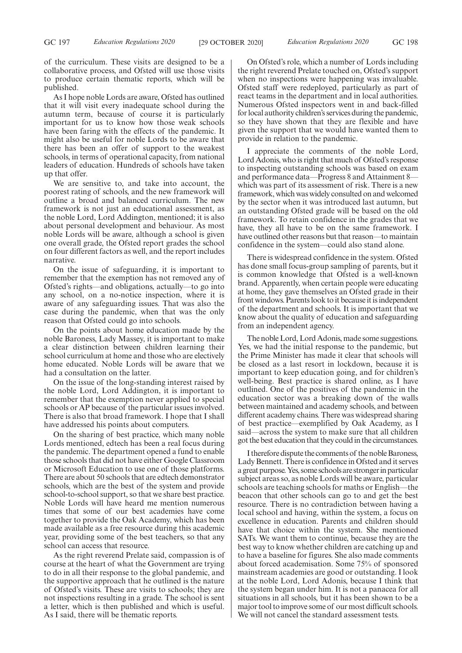of the curriculum. These visits are designed to be a collaborative process, and Ofsted will use those visits to produce certain thematic reports, which will be published.

As I hope noble Lords are aware, Ofsted has outlined that it will visit every inadequate school during the autumn term, because of course it is particularly important for us to know how those weak schools have been faring with the effects of the pandemic. It might also be useful for noble Lords to be aware that there has been an offer of support to the weakest schools, in terms of operational capacity, from national leaders of education. Hundreds of schools have taken up that offer.

We are sensitive to, and take into account, the poorest rating of schools, and the new framework will outline a broad and balanced curriculum. The new framework is not just an educational assessment, as the noble Lord, Lord Addington, mentioned; it is also about personal development and behaviour. As most noble Lords will be aware, although a school is given one overall grade, the Ofsted report grades the school on four different factors as well, and the report includes narrative.

On the issue of safeguarding, it is important to remember that the exemption has not removed any of Ofsted's rights—and obligations, actually—to go into any school, on a no-notice inspection, where it is aware of any safeguarding issues. That was also the case during the pandemic, when that was the only reason that Ofsted could go into schools.

On the points about home education made by the noble Baroness, Lady Massey, it is important to make a clear distinction between children learning their school curriculum at home and those who are electively home educated. Noble Lords will be aware that we had a consultation on the latter.

On the issue of the long-standing interest raised by the noble Lord, Lord Addington, it is important to remember that the exemption never applied to special schools or AP because of the particular issues involved. There is also that broad framework. I hope that I shall have addressed his points about computers.

On the sharing of best practice, which many noble Lords mentioned, edtech has been a real focus during the pandemic. The department opened a fund to enable those schools that did not have either Google Classroom or Microsoft Education to use one of those platforms. There are about 50 schools that are edtech demonstrator schools, which are the best of the system and provide school-to-school support, so that we share best practice. Noble Lords will have heard me mention numerous times that some of our best academies have come together to provide the Oak Academy, which has been made available as a free resource during this academic year, providing some of the best teachers, so that any school can access that resource.

As the right reverend Prelate said, compassion is of course at the heart of what the Government are trying to do in all their response to the global pandemic, and the supportive approach that he outlined is the nature of Ofsted's visits. These are visits to schools; they are not inspections resulting in a grade. The school is sent a letter, which is then published and which is useful. As I said, there will be thematic reports.

On Ofsted's role, which a number of Lords including the right reverend Prelate touched on, Ofsted's support when no inspections were happening was invaluable. Ofsted staff were redeployed, particularly as part of react teams in the department and in local authorities. Numerous Ofsted inspectors went in and back-filled for local authority children's services during the pandemic, so they have shown that they are flexible and have given the support that we would have wanted them to provide in relation to the pandemic.

I appreciate the comments of the noble Lord, Lord Adonis, who is right that much of Ofsted's response to inspecting outstanding schools was based on exam and performance data—Progress 8 and Attainment 8 which was part of its assessment of risk. There is a new framework, which was widely consulted on and welcomed by the sector when it was introduced last autumn, but an outstanding Ofsted grade will be based on the old framework. To retain confidence in the grades that we have, they all have to be on the same framework. I have outlined other reasons but that reason—to maintain confidence in the system—could also stand alone.

There is widespread confidence in the system. Ofsted has done small focus-group sampling of parents, but it is common knowledge that Ofsted is a well-known brand. Apparently, when certain people were educating at home, they gave themselves an Ofsted grade in their front windows. Parents look to it because it is independent of the department and schools. It is important that we know about the quality of education and safeguarding from an independent agency.

The noble Lord, Lord Adonis, made some suggestions. Yes, we had the initial response to the pandemic, but the Prime Minister has made it clear that schools will be closed as a last resort in lockdown, because it is important to keep education going, and for children's well-being. Best practice is shared online, as I have outlined. One of the positives of the pandemic in the education sector was a breaking down of the walls between maintained and academy schools, and between different academy chains. There was widespread sharing of best practice—exemplified by Oak Academy, as I said—across the system to make sure that all children got the best education that they could in the circumstances.

I therefore dispute the comments of the noble Baroness, Lady Bennett. There is confidence in Ofsted and it serves a great purpose. Yes, some schools are stronger in particular subject areas so, as noble Lords will be aware, particular schools are teaching schools for maths or English—the beacon that other schools can go to and get the best resource. There is no contradiction between having a local school and having, within the system, a focus on excellence in education. Parents and children should have that choice within the system. She mentioned SATs. We want them to continue, because they are the best way to know whether children are catching up and to have a baseline for figures. She also made comments about forced academisation. Some 75% of sponsored mainstream academies are good or outstanding. I look at the noble Lord, Lord Adonis, because I think that the system began under him. It is not a panacea for all situations in all schools, but it has been shown to be a major tool to improve some of our most difficult schools. We will not cancel the standard assessment tests.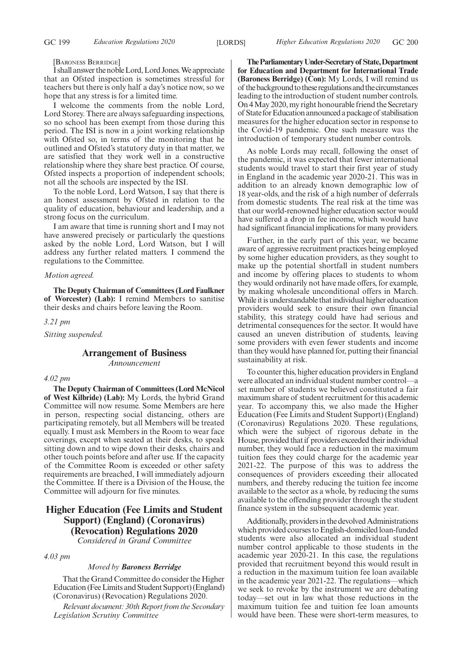[BARONESS BERRIDGE]

IshallanswerthenobleLord,LordJones.Weappreciate that an Ofsted inspection is sometimes stressful for teachers but there is only half a day's notice now, so we hope that any stress is for a limited time.

I welcome the comments from the noble Lord, Lord Storey. There are always safeguarding inspections, so no school has been exempt from those during this period. The ISI is now in a joint working relationship with Ofsted so, in terms of the monitoring that he outlined and Ofsted's statutory duty in that matter, we are satisfied that they work well in a constructive relationship where they share best practice. Of course, Ofsted inspects a proportion of independent schools; not all the schools are inspected by the ISI.

To the noble Lord, Lord Watson, I say that there is an honest assessment by Ofsted in relation to the quality of education, behaviour and leadership, and a strong focus on the curriculum.

I am aware that time is running short and I may not have answered precisely or particularly the questions asked by the noble Lord, Lord Watson, but I will address any further related matters. I commend the regulations to the Committee.

## *Motion agreed.*

**The Deputy Chairman of Committees (Lord Faulkner of Worcester) (Lab):** I remind Members to sanitise their desks and chairs before leaving the Room.

*3.21 pm*

*Sitting suspended.*

# **Arrangement of Business**

*Announcement*

#### *4.02 pm*

**The Deputy Chairman of Committees (Lord McNicol of West Kilbride) (Lab):** My Lords, the hybrid Grand Committee will now resume. Some Members are here in person, respecting social distancing, others are participating remotely, but all Members will be treated equally. I must ask Members in the Room to wear face coverings, except when seated at their desks, to speak sitting down and to wipe down their desks, chairs and other touch points before and after use. If the capacity of the Committee Room is exceeded or other safety requirements are breached, I will immediately adjourn the Committee. If there is a Division of the House, the Committee will adjourn for five minutes.

# **Higher Education (Fee Limits and Student Support) (England) (Coronavirus) (Revocation) Regulations 2020**

*Considered in Grand Committee*

## *4.03 pm*

#### *Moved by Baroness Berridge*

That the Grand Committee do consider the Higher Education (Fee Limits and Student Support) (England) (Coronavirus) (Revocation) Regulations 2020.

*Relevant document: 30th Report from the Secondary Legislation Scrutiny Committee*

**TheParliamentaryUnder-Secretaryof State,Department for Education and Department for International Trade (Baroness Berridge) (Con):** My Lords, I will remind us of the background to these regulations and the circumstances leading to the introduction of student number controls. On 4 May 2020, my right honourable friend the Secretary of StateforEducationannouncedapackageof stabilisation measures for the higher education sector in response to the Covid-19 pandemic. One such measure was the introduction of temporary student number controls.

As noble Lords may recall, following the onset of the pandemic, it was expected that fewer international students would travel to start their first year of study in England in the academic year 2020-21. This was in addition to an already known demographic low of 18 year-olds, and the risk of a high number of deferrals from domestic students. The real risk at the time was that our world-renowned higher education sector would have suffered a drop in fee income, which would have had significant financial implications for many providers.

Further, in the early part of this year, we became aware of aggressive recruitment practices being employed by some higher education providers, as they sought to make up the potential shortfall in student numbers and income by offering places to students to whom they would ordinarily not have made offers, for example, by making wholesale unconditional offers in March. While it is understandable that individual higher education providers would seek to ensure their own financial stability, this strategy could have had serious and detrimental consequences for the sector. It would have caused an uneven distribution of students, leaving some providers with even fewer students and income than they would have planned for, putting their financial sustainability at risk.

To counter this, higher education providers in England were allocated an individual student number control—a set number of students we believed constituted a fair maximum share of student recruitment for this academic year. To accompany this, we also made the Higher Education (Fee Limits and Student Support) (England) (Coronavirus) Regulations 2020. These regulations, which were the subject of rigorous debate in the House, provided that if providers exceeded their individual number, they would face a reduction in the maximum tuition fees they could charge for the academic year 2021-22. The purpose of this was to address the consequences of providers exceeding their allocated numbers, and thereby reducing the tuition fee income available to the sector as a whole, by reducing the sums available to the offending provider through the student finance system in the subsequent academic year.

Additionally, providers in the devolved Administrations which provided courses to English-domiciled loan-funded students were also allocated an individual student number control applicable to those students in the academic year 2020-21. In this case, the regulations provided that recruitment beyond this would result in a reduction in the maximum tuition fee loan available in the academic year 2021-22. The regulations—which we seek to revoke by the instrument we are debating today—set out in law what those reductions in the maximum tuition fee and tuition fee loan amounts would have been. These were short-term measures, to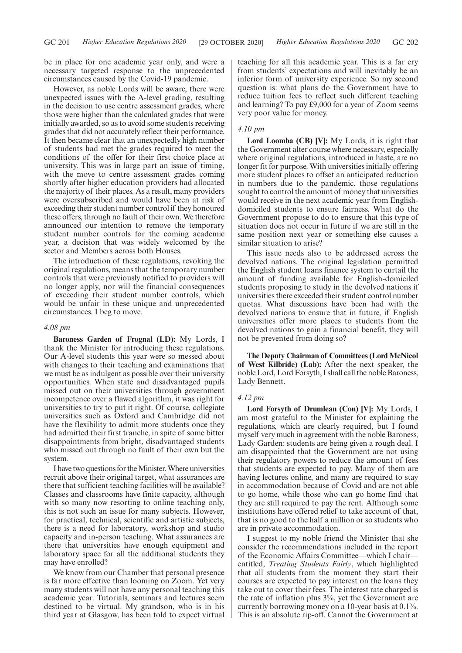be in place for one academic year only, and were a necessary targeted response to the unprecedented circumstances caused by the Covid-19 pandemic.

However, as noble Lords will be aware, there were unexpected issues with the A-level grading, resulting in the decision to use centre assessment grades, where those were higher than the calculated grades that were initially awarded, so as to avoid some students receiving grades that did not accurately reflect their performance. It then became clear that an unexpectedly high number of students had met the grades required to meet the conditions of the offer for their first choice place at university. This was in large part an issue of timing, with the move to centre assessment grades coming shortly after higher education providers had allocated the majority of their places. As a result, many providers were oversubscribed and would have been at risk of exceeding their student number control if they honoured these offers, through no fault of their own. We therefore announced our intention to remove the temporary student number controls for the coming academic year, a decision that was widely welcomed by the sector and Members across both Houses.

The introduction of these regulations, revoking the original regulations, means that the temporary number controls that were previously notified to providers will no longer apply, nor will the financial consequences of exceeding their student number controls, which would be unfair in these unique and unprecedented circumstances. I beg to move.

#### *4.08 pm*

**Baroness Garden of Frognal (LD):** My Lords, I thank the Minister for introducing these regulations. Our A-level students this year were so messed about with changes to their teaching and examinations that we must be as indulgent as possible over their university opportunities. When state and disadvantaged pupils missed out on their universities through government incompetence over a flawed algorithm, it was right for universities to try to put it right. Of course, collegiate universities such as Oxford and Cambridge did not have the flexibility to admit more students once they had admitted their first tranche, in spite of some bitter disappointments from bright, disadvantaged students who missed out through no fault of their own but the system.

I have two questions for the Minister. Where universities recruit above their original target, what assurances are there that sufficient teaching facilities will be available? Classes and classrooms have finite capacity, although with so many now resorting to online teaching only, this is not such an issue for many subjects. However, for practical, technical, scientific and artistic subjects, there is a need for laboratory, workshop and studio capacity and in-person teaching. What assurances are there that universities have enough equipment and laboratory space for all the additional students they may have enrolled?

We know from our Chamber that personal presence is far more effective than looming on Zoom. Yet very many students will not have any personal teaching this academic year. Tutorials, seminars and lectures seem destined to be virtual. My grandson, who is in his third year at Glasgow, has been told to expect virtual teaching for all this academic year. This is a far cry from students' expectations and will inevitably be an inferior form of university experience. So my second question is: what plans do the Government have to reduce tuition fees to reflect such different teaching and learning? To pay £9,000 for a year of Zoom seems very poor value for money.

## *4.10 pm*

**Lord Loomba (CB) [V]:** My Lords, it is right that the Government alter course where necessary, especially where original regulations, introduced in haste, are no longer fit for purpose. With universities initially offering more student places to offset an anticipated reduction in numbers due to the pandemic, those regulations sought to control the amount of money that universities would receive in the next academic year from Englishdomiciled students to ensure fairness. What do the Government propose to do to ensure that this type of situation does not occur in future if we are still in the same position next year or something else causes a similar situation to arise?

This issue needs also to be addressed across the devolved nations. The original legislation permitted the English student loans finance system to curtail the amount of funding available for English-domiciled students proposing to study in the devolved nations if universities there exceeded their student control number quotas. What discussions have been had with the devolved nations to ensure that in future, if English universities offer more places to students from the devolved nations to gain a financial benefit, they will not be prevented from doing so?

**The Deputy Chairman of Committees (Lord McNicol of West Kilbride) (Lab):** After the next speaker, the noble Lord, Lord Forsyth, I shall call the noble Baroness, Lady Bennett.

## *4.12 pm*

**Lord Forsyth of Drumlean (Con) [V]:** My Lords, I am most grateful to the Minister for explaining the regulations, which are clearly required, but I found myself very much in agreement with the noble Baroness, Lady Garden: students are being given a rough deal. I am disappointed that the Government are not using their regulatory powers to reduce the amount of fees that students are expected to pay. Many of them are having lectures online, and many are required to stay in accommodation because of Covid and are not able to go home, while those who can go home find that they are still required to pay the rent. Although some institutions have offered relief to take account of that, that is no good to the half a million or so students who are in private accommodation.

I suggest to my noble friend the Minister that she consider the recommendations included in the report of the Economic Affairs Committee—which I chair entitled, *Treating Students Fairly*, which highlighted that all students from the moment they start their courses are expected to pay interest on the loans they take out to cover their fees. The interest rate charged is the rate of inflation plus 3%, yet the Government are currently borrowing money on a 10-year basis at 0.1%. This is an absolute rip-off. Cannot the Government at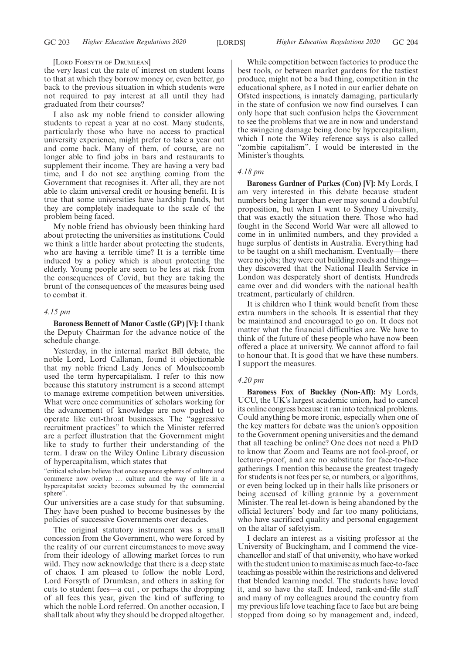#### [LORD FORSYTH OF DRUMLEAN]

the very least cut the rate of interest on student loans to that at which they borrow money or, even better, go back to the previous situation in which students were not required to pay interest at all until they had graduated from their courses?

I also ask my noble friend to consider allowing students to repeat a year at no cost. Many students, particularly those who have no access to practical university experience, might prefer to take a year out and come back. Many of them, of course, are no longer able to find jobs in bars and restaurants to supplement their income. They are having a very bad time, and I do not see anything coming from the Government that recognises it. After all, they are not able to claim universal credit or housing benefit. It is true that some universities have hardship funds, but they are completely inadequate to the scale of the problem being faced.

My noble friend has obviously been thinking hard about protecting the universities as institutions. Could we think a little harder about protecting the students, who are having a terrible time? It is a terrible time induced by a policy which is about protecting the elderly. Young people are seen to be less at risk from the consequences of Covid, but they are taking the brunt of the consequences of the measures being used to combat it.

#### *4.15 pm*

**Baroness Bennett of Manor Castle (GP) [V]:** I thank the Deputy Chairman for the advance notice of the schedule change.

Yesterday, in the internal market Bill debate, the noble Lord, Lord Callanan, found it objectionable that my noble friend Lady Jones of Moulsecoomb used the term hypercapitalism. I refer to this now because this statutory instrument is a second attempt to manage extreme competition between universities. What were once communities of scholars working for the advancement of knowledge are now pushed to operate like cut-throat businesses. The "aggressive recruitment practices" to which the Minister referred are a perfect illustration that the Government might like to study to further their understanding of the term. I draw on the Wiley Online Library discussion of hypercapitalism, which states that

"critical scholars believe that once separate spheres of culture and commerce now overlap … culture and the way of life in a hypercapitalist society becomes subsumed by the commercial sphere".

Our universities are a case study for that subsuming. They have been pushed to become businesses by the policies of successive Governments over decades.

The original statutory instrument was a small concession from the Government, who were forced by the reality of our current circumstances to move away from their ideology of allowing market forces to run wild. They now acknowledge that there is a deep state of chaos. I am pleased to follow the noble Lord, Lord Forsyth of Drumlean, and others in asking for cuts to student fees—a cut , or perhaps the dropping of all fees this year, given the kind of suffering to which the noble Lord referred. On another occasion, I shall talk about why they should be dropped altogether.

While competition between factories to produce the best tools, or between market gardens for the tastiest produce, might not be a bad thing, competition in the educational sphere, as I noted in our earlier debate on Ofsted inspections, is innately damaging, particularly in the state of confusion we now find ourselves. I can only hope that such confusion helps the Government to see the problems that we are in now and understand the swingeing damage being done by hypercapitalism, which I note the Wiley reference says is also called "zombie capitalism". I would be interested in the Minister's thoughts.

#### *4.18 pm*

**Baroness Gardner of Parkes (Con) [V]:** My Lords, I am very interested in this debate because student numbers being larger than ever may sound a doubtful proposition, but when I went to Sydney University, that was exactly the situation there. Those who had fought in the Second World War were all allowed to come in in unlimited numbers, and they provided a huge surplus of dentists in Australia. Everything had to be taught on a shift mechanism. Eventually—there were no jobs; they were out building roads and things they discovered that the National Health Service in London was desperately short of dentists. Hundreds came over and did wonders with the national health treatment, particularly of children.

It is children who I think would benefit from these extra numbers in the schools. It is essential that they be maintained and encouraged to go on. It does not matter what the financial difficulties are. We have to think of the future of these people who have now been offered a place at university. We cannot afford to fail to honour that. It is good that we have these numbers. I support the measures.

#### *4.20 pm*

**Baroness Fox of Buckley (Non-Afl):** My Lords, UCU, the UK's largest academic union, had to cancel its online congress because it ran into technical problems. Could anything be more ironic, especially when one of the key matters for debate was the union's opposition to the Government opening universities and the demand that all teaching be online? One does not need a PhD to know that Zoom and Teams are not fool-proof, or lecturer-proof, and are no substitute for face-to-face gatherings. I mention this because the greatest tragedy for students is not fees per se, or numbers, or algorithms, or even being locked up in their halls like prisoners or being accused of killing grannie by a government Minister. The real let-down is being abandoned by the official lecturers' body and far too many politicians, who have sacrificed quality and personal engagement on the altar of safetyism.

I declare an interest as a visiting professor at the University of Buckingham, and I commend the vicechancellor and staff of that university, who have worked with the student union to maximise as much face-to-face teaching as possible within the restrictions and delivered that blended learning model. The students have loved it, and so have the staff. Indeed, rank-and-file staff and many of my colleagues around the country from my previous life love teaching face to face but are being stopped from doing so by management and, indeed,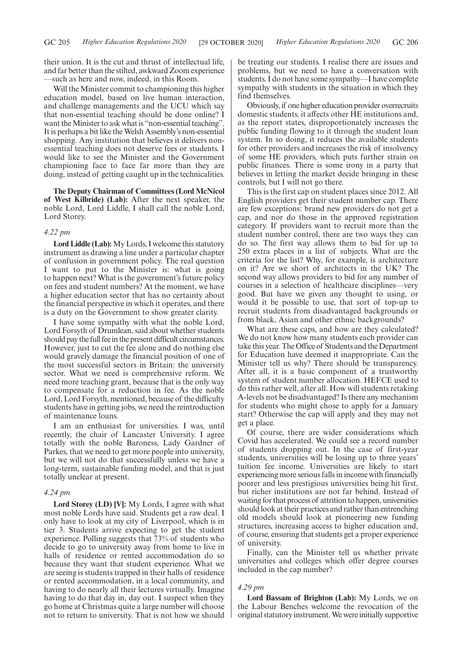their union. It is the cut and thrust of intellectual life, and far better than the stilted, awkward Zoom experience —such as here and now, indeed, in this Room.

Will the Minister commit to championing this higher education model, based on live human interaction, and challenge managements and the UCU which say that non-essential teaching should be done online? I want the Minister to ask what is "non-essential teaching". It is perhaps a bit like the Welsh Assembly's non-essential shopping. Any institution that believes it delivers nonessential teaching does not deserve fees or students. I would like to see the Minister and the Government championing face to face far more than they are doing, instead of getting caught up in the technicalities.

**The Deputy Chairman of Committees (Lord McNicol of West Kilbride) (Lab):** After the next speaker, the noble Lord, Lord Liddle, I shall call the noble Lord, Lord Storey.

### *4.22 pm*

**Lord Liddle (Lab):**My Lords, I welcome this statutory instrument as drawing a line under a particular chapter of confusion in government policy. The real question I want to put to the Minister is: what is going to happen next? What is the government's future policy on fees and student numbers? At the moment, we have a higher education sector that has no certainty about the financial perspective in which it operates, and there is a duty on the Government to show greater clarity.

I have some sympathy with what the noble Lord, Lord Forsyth of Drumlean, said about whether students should pay the full fee in the present difficult circumstances. However, just to cut the fee alone and do nothing else would gravely damage the financial position of one of the most successful sectors in Britain: the university sector. What we need is comprehensive reform. We need more teaching grant, because that is the only way to compensate for a reduction in fee. As the noble Lord, Lord Forsyth, mentioned, because of the difficulty students have in getting jobs, we need the reintroduction of maintenance loans.

I am an enthusiast for universities. I was, until recently, the chair of Lancaster University. I agree totally with the noble Baroness, Lady Gardner of Parkes, that we need to get more people into university, but we will not do that successfully unless we have a long-term, sustainable funding model, and that is just totally unclear at present.

## *4.24 pm*

**Lord Storey (LD) [V]:** My Lords, I agree with what most noble Lords have said. Students get a raw deal. I only have to look at my city of Liverpool, which is in tier 3. Students arrive expecting to get the student experience. Polling suggests that 73% of students who decide to go to university away from home to live in halls of residence or rented accommodation do so because they want that student experience. What we are seeing is students trapped in their halls of residence or rented accommodation, in a local community, and having to do nearly all their lectures virtually. Imagine having to do that day in, day out. I suspect when they go home at Christmas quite a large number will choose not to return to university. That is not how we should be treating our students. I realise there are issues and problems, but we need to have a conversation with students. I do not have some sympathy—I have complete sympathy with students in the situation in which they find themselves.

Obviously, if one higher education provider overrecruits domestic students, it affects other HE institutions and, as the report states, disproportionately increases the public funding flowing to it through the student loan system. In so doing, it reduces the available students for other providers and increases the risk of insolvency of some HE providers, which puts further strain on public finances. There is some irony in a party that believes in letting the market decide bringing in these controls, but I will not go there.

This is the first cap on student places since 2012. All English providers get their student number cap. There are few exceptions: brand new providers do not get a cap, and nor do those in the approved registration category. If providers want to recruit more than the student number control, there are two ways they can do so. The first way allows them to bid for up to 250 extra places in a list of subjects. What are the criteria for the list? Why, for example, is architecture on it? Are we short of architects in the UK? The second way allows providers to bid for any number of courses in a selection of healthcare disciplines—very good. But have we given any thought to using, or would it be possible to use, that sort of top-up to recruit students from disadvantaged backgrounds or from black, Asian and other ethnic backgrounds?

What are these caps, and how are they calculated? We do not know how many students each provider can take this year. The Office of Students and the Department for Education have deemed it inappropriate. Can the Minister tell us why? There should be transparency. After all, it is a basic component of a trustworthy system of student number allocation. HEFCE used to do this rather well, after all. How will students retaking A-levels not be disadvantaged? Is there any mechanism for students who might chose to apply for a January start? Otherwise the cap will apply and they may not get a place.

Of course, there are wider considerations which Covid has accelerated. We could see a record number of students dropping out. In the case of first-year students, universities will be losing up to three years' tuition fee income. Universities are likely to start experiencing more serious falls in income with financially poorer and less prestigious universities being hit first, but richer institutions are not far behind. Instead of waiting for that process of attrition to happen, universities should look at their practices and rather than entrenching old models should look at pioneering new funding structures, increasing access to higher education and, of course, ensuring that students get a proper experience of university.

Finally, can the Minister tell us whether private universities and colleges which offer degree courses included in the cap number?

#### *4.29 pm*

**Lord Bassam of Brighton (Lab):** My Lords, we on the Labour Benches welcome the revocation of the original statutory instrument. We were initially supportive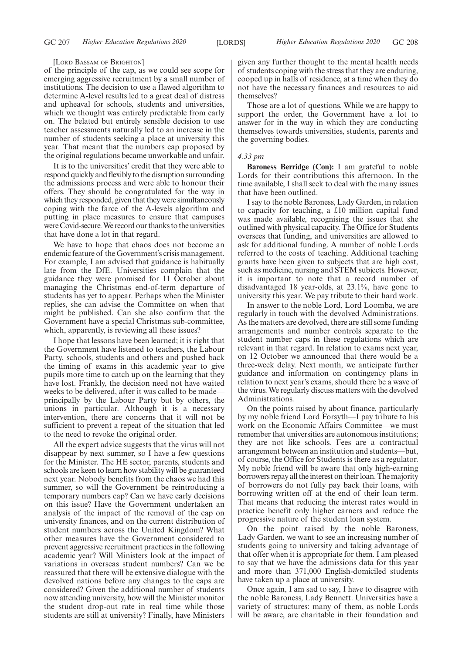#### [LORD BASSAM OF BRIGHTON]

of the principle of the cap, as we could see scope for emerging aggressive recruitment by a small number of institutions. The decision to use a flawed algorithm to determine A-level results led to a great deal of distress and upheaval for schools, students and universities, which we thought was entirely predictable from early on. The belated but entirely sensible decision to use teacher assessments naturally led to an increase in the number of students seeking a place at university this year. That meant that the numbers cap proposed by the original regulations became unworkable and unfair.

It is to the universities' credit that they were able to respond quickly and flexibly to the disruption surrounding the admissions process and were able to honour their offers. They should be congratulated for the way in which they responded, given that they were simultaneously coping with the farce of the A-levels algorithm and putting in place measures to ensure that campuses were Covid-secure. We record our thanks to the universities that have done a lot in that regard.

We have to hope that chaos does not become an endemic feature of the Government's crisis management. For example, I am advised that guidance is habitually late from the DfE. Universities complain that the guidance they were promised for 11 October about managing the Christmas end-of-term departure of students has yet to appear. Perhaps when the Minister replies, she can advise the Committee on when that might be published. Can she also confirm that the Government have a special Christmas sub-committee, which, apparently, is reviewing all these issues?

I hope that lessons have been learned; it is right that the Government have listened to teachers, the Labour Party, schools, students and others and pushed back the timing of exams in this academic year to give pupils more time to catch up on the learning that they have lost. Frankly, the decision need not have waited weeks to be delivered, after it was called to be made principally by the Labour Party but by others, the unions in particular. Although it is a necessary intervention, there are concerns that it will not be sufficient to prevent a repeat of the situation that led to the need to revoke the original order.

All the expert advice suggests that the virus will not disappear by next summer, so I have a few questions for the Minister. The HE sector, parents, students and schools are keen to learn how stability will be guaranteed next year. Nobody benefits from the chaos we had this summer, so will the Government be reintroducing a temporary numbers cap? Can we have early decisions on this issue? Have the Government undertaken an analysis of the impact of the removal of the cap on university finances, and on the current distribution of student numbers across the United Kingdom? What other measures have the Government considered to prevent aggressive recruitment practices in the following academic year? Will Ministers look at the impact of variations in overseas student numbers? Can we be reassured that there will be extensive dialogue with the devolved nations before any changes to the caps are considered? Given the additional number of students now attending university, how will the Minister monitor the student drop-out rate in real time while those students are still at university? Finally, have Ministers

given any further thought to the mental health needs of students coping with the stress that they are enduring, cooped up in halls of residence, at a time when they do not have the necessary finances and resources to aid themselves?

Those are a lot of questions. While we are happy to support the order, the Government have a lot to answer for in the way in which they are conducting themselves towards universities, students, parents and the governing bodies.

#### *4.33 pm*

**Baroness Berridge (Con):** I am grateful to noble Lords for their contributions this afternoon. In the time available, I shall seek to deal with the many issues that have been outlined.

I say to the noble Baroness, Lady Garden, in relation to capacity for teaching, a £10 million capital fund was made available, recognising the issues that she outlined with physical capacity. The Office for Students oversees that funding, and universities are allowed to ask for additional funding. A number of noble Lords referred to the costs of teaching. Additional teaching grants have been given to subjects that are high cost, such as medicine, nursing and STEM subjects. However, it is important to note that a record number of disadvantaged 18 year-olds, at 23.1%, have gone to university this year. We pay tribute to their hard work.

In answer to the noble Lord, Lord Loomba, we are regularly in touch with the devolved Administrations. As the matters are devolved, there are still some funding arrangements and number controls separate to the student number caps in these regulations which are relevant in that regard. In relation to exams next year, on 12 October we announced that there would be a three-week delay. Next month, we anticipate further guidance and information on contingency plans in relation to next year's exams, should there be a wave of the virus. We regularly discuss matters with the devolved Administrations.

On the points raised by about finance, particularly by my noble friend Lord Forsyth—I pay tribute to his work on the Economic Affairs Committee—we must remember that universities are autonomous institutions; they are not like schools. Fees are a contractual arrangement between an institution and students—but, of course, the Office for Students is there as a regulator. My noble friend will be aware that only high-earning borrowers repay all the interest on their loan. The majority of borrowers do not fully pay back their loans, with borrowing written off at the end of their loan term. That means that reducing the interest rates would in practice benefit only higher earners and reduce the progressive nature of the student loan system.

On the point raised by the noble Baroness, Lady Garden, we want to see an increasing number of students going to university and taking advantage of that offer when it is appropriate for them. I am pleased to say that we have the admissions data for this year and more than 371,000 English-domiciled students have taken up a place at university.

Once again, I am sad to say, I have to disagree with the noble Baroness, Lady Bennett. Universities have a variety of structures: many of them, as noble Lords will be aware, are charitable in their foundation and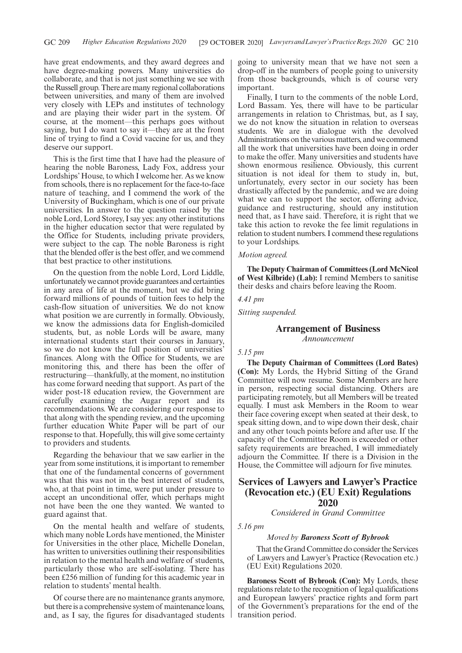have great endowments, and they award degrees and have degree-making powers. Many universities do collaborate, and that is not just something we see with the Russell group. There are many regional collaborations between universities, and many of them are involved very closely with LEPs and institutes of technology and are playing their wider part in the system. Of course, at the moment—this perhaps goes without saying, but I do want to say it—they are at the front line of trying to find a Covid vaccine for us, and they deserve our support.

This is the first time that I have had the pleasure of hearing the noble Baroness, Lady Fox, address your Lordships' House, to which I welcome her. As we know from schools, there is no replacement for the face-to-face nature of teaching, and I commend the work of the University of Buckingham, which is one of our private universities. In answer to the question raised by the noble Lord, Lord Storey, I say yes: any other institutions in the higher education sector that were regulated by the Office for Students, including private providers, were subject to the cap. The noble Baroness is right that the blended offer is the best offer, and we commend that best practice to other institutions.

On the question from the noble Lord, Lord Liddle, unfortunately we cannot provide guarantees and certainties in any area of life at the moment, but we did bring forward millions of pounds of tuition fees to help the cash-flow situation of universities. We do not know what position we are currently in formally. Obviously, we know the admissions data for English-domiciled students, but, as noble Lords will be aware, many international students start their courses in January, so we do not know the full position of universities' finances. Along with the Office for Students, we are monitoring this, and there has been the offer of restructuring—thankfully, at the moment, no institution has come forward needing that support. As part of the wider post-18 education review, the Government are carefully examining the Augar report and its recommendations. We are considering our response to that along with the spending review, and the upcoming further education White Paper will be part of our response to that. Hopefully, this will give some certainty to providers and students.

Regarding the behaviour that we saw earlier in the year from some institutions, it is important to remember that one of the fundamental concerns of government was that this was not in the best interest of students, who, at that point in time, were put under pressure to accept an unconditional offer, which perhaps might not have been the one they wanted. We wanted to guard against that.

On the mental health and welfare of students, which many noble Lords have mentioned, the Minister for Universities in the other place, Michelle Donelan, has written to universities outlining their responsibilities in relation to the mental health and welfare of students, particularly those who are self-isolating. There has been £256 million of funding for this academic year in relation to students' mental health.

Of course there are no maintenance grants anymore, but there is a comprehensive system of maintenance loans, and, as I say, the figures for disadvantaged students going to university mean that we have not seen a drop-off in the numbers of people going to university from those backgrounds, which is of course very important.

Finally, I turn to the comments of the noble Lord, Lord Bassam. Yes, there will have to be particular arrangements in relation to Christmas, but, as I say, we do not know the situation in relation to overseas students. We are in dialogue with the devolved Administrations on the various matters, and we commend all the work that universities have been doing in order to make the offer. Many universities and students have shown enormous resilience. Obviously, this current situation is not ideal for them to study in, but, unfortunately, every sector in our society has been drastically affected by the pandemic, and we are doing what we can to support the sector, offering advice, guidance and restructuring, should any institution need that, as I have said. Therefore, it is right that we take this action to revoke the fee limit regulations in relation to student numbers. I commend these regulations to your Lordships.

#### *Motion agreed.*

**The Deputy Chairman of Committees (Lord McNicol of West Kilbride) (Lab):** I remind Members to sanitise their desks and chairs before leaving the Room.

### *4.41 pm*

*Sitting suspended.*

## **Arrangement of Business**

*Announcement*

## *5.15 pm*

**The Deputy Chairman of Committees (Lord Bates) (Con):** My Lords, the Hybrid Sitting of the Grand Committee will now resume. Some Members are here in person, respecting social distancing. Others are participating remotely, but all Members will be treated equally. I must ask Members in the Room to wear their face covering except when seated at their desk, to speak sitting down, and to wipe down their desk, chair and any other touch points before and after use. If the capacity of the Committee Room is exceeded or other safety requirements are breached, I will immediately adjourn the Committee. If there is a Division in the House, the Committee will adjourn for five minutes.

## **Services of Lawyers and Lawyer's Practice (Revocation etc.) (EU Exit) Regulations 2020**

*Considered in Grand Committee*

*5.16 pm*

## *Moved by Baroness Scott of Bybrook*

That the Grand Committee do consider the Services of Lawyers and Lawyer's Practice (Revocation etc.) (EU Exit) Regulations 2020.

**Baroness Scott of Bybrook (Con):** My Lords, these regulations relate to the recognition of legal qualifications and European lawyers' practice rights and form part of the Government's preparations for the end of the transition period.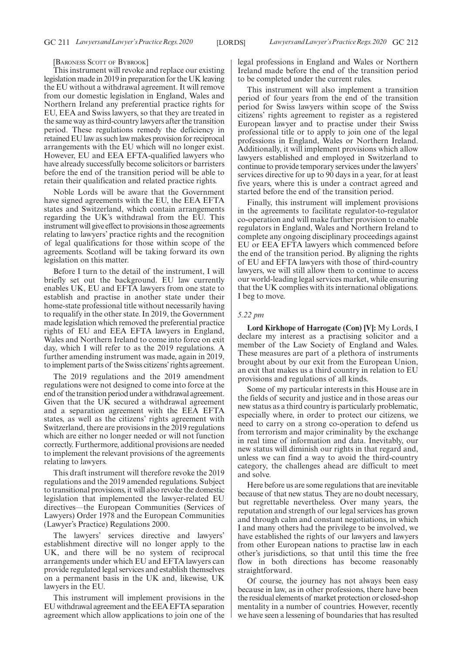#### [BARONESS SCOTT OF BYBROOK]

This instrument will revoke and replace our existing legislation made in 2019 in preparation for the UK leaving the EU without a withdrawal agreement. It will remove from our domestic legislation in England, Wales and Northern Ireland any preferential practice rights for EU, EEA and Swiss lawyers, so that they are treated in the same way as third-country lawyers after the transition period. These regulations remedy the deficiency in retained EU law as such law makes provision for reciprocal arrangements with the EU which will no longer exist. However, EU and EEA EFTA-qualified lawyers who have already successfully become solicitors or barristers before the end of the transition period will be able to retain their qualification and related practice rights.

Noble Lords will be aware that the Government have signed agreements with the EU, the EEA EFTA states and Switzerland, which contain arrangements regarding the UK's withdrawal from the EU. This instrument will give effect to provisions in those agreements relating to lawyers' practice rights and the recognition of legal qualifications for those within scope of the agreements. Scotland will be taking forward its own legislation on this matter.

Before I turn to the detail of the instrument, I will briefly set out the background. EU law currently enables UK, EU and EFTA lawyers from one state to establish and practise in another state under their home-state professional title without necessarily having to requalify in the other state. In 2019, the Government made legislation which removed the preferential practice rights of EU and EEA EFTA lawyers in England, Wales and Northern Ireland to come into force on exit day, which I will refer to as the 2019 regulations. A further amending instrument was made, again in 2019, to implement parts of the Swiss citizens'rights agreement.

The 2019 regulations and the 2019 amendment regulations were not designed to come into force at the end of the transition period under a withdrawal agreement. Given that the UK secured a withdrawal agreement and a separation agreement with the EEA EFTA states, as well as the citizens' rights agreement with Switzerland, there are provisions in the 2019 regulations which are either no longer needed or will not function correctly. Furthermore, additional provisions are needed to implement the relevant provisions of the agreements relating to lawyers.

This draft instrument will therefore revoke the 2019 regulations and the 2019 amended regulations. Subject to transitional provisions, it will also revoke the domestic legislation that implemented the lawyer-related EU directives—the European Communities (Services of Lawyers) Order 1978 and the European Communities (Lawyer's Practice) Regulations 2000.

The lawyers' services directive and lawyers' establishment directive will no longer apply to the UK, and there will be no system of reciprocal arrangements under which EU and EFTA lawyers can provide regulated legal services and establish themselves on a permanent basis in the UK and, likewise, UK lawyers in the EU.

This instrument will implement provisions in the EU withdrawal agreement and the EEA EFTA separation agreement which allow applications to join one of the legal professions in England and Wales or Northern Ireland made before the end of the transition period to be completed under the current rules.

This instrument will also implement a transition period of four years from the end of the transition period for Swiss lawyers within scope of the Swiss citizens' rights agreement to register as a registered European lawyer and to practise under their Swiss professional title or to apply to join one of the legal professions in England, Wales or Northern Ireland. Additionally, it will implement provisions which allow lawyers established and employed in Switzerland to continue to provide temporary services under the lawyers' services directive for up to 90 days in a year, for at least five years, where this is under a contract agreed and started before the end of the transition period.

Finally, this instrument will implement provisions in the agreements to facilitate regulator-to-regulator co-operation and will make further provision to enable regulators in England, Wales and Northern Ireland to complete any ongoing disciplinary proceedings against EU or EEA EFTA lawyers which commenced before the end of the transition period. By aligning the rights of EU and EFTA lawyers with those of third-country lawyers, we will still allow them to continue to access our world-leading legal services market, while ensuring that the UK complies with its international obligations. I beg to move.

#### *5.22 pm*

**Lord Kirkhope of Harrogate (Con) [V]:** My Lords, I declare my interest as a practising solicitor and a member of the Law Society of England and Wales. These measures are part of a plethora of instruments brought about by our exit from the European Union, an exit that makes us a third country in relation to EU provisions and regulations of all kinds.

Some of my particular interests in this House are in the fields of security and justice and in those areas our new status as a third country is particularly problematic, especially where, in order to protect our citizens, we need to carry on a strong co-operation to defend us from terrorism and major criminality by the exchange in real time of information and data. Inevitably, our new status will diminish our rights in that regard and, unless we can find a way to avoid the third-country category, the challenges ahead are difficult to meet and solve.

Here before us are some regulations that are inevitable because of that new status. They are no doubt necessary, but regrettable nevertheless. Over many years, the reputation and strength of our legal services has grown and through calm and constant negotiations, in which I and many others had the privilege to be involved, we have established the rights of our lawyers and lawyers from other European nations to practise law in each other's jurisdictions, so that until this time the free flow in both directions has become reasonably straightforward.

Of course, the journey has not always been easy because in law, as in other professions, there have been the residual elements of market protection or closed-shop mentality in a number of countries. However, recently we have seen a lessening of boundaries that has resulted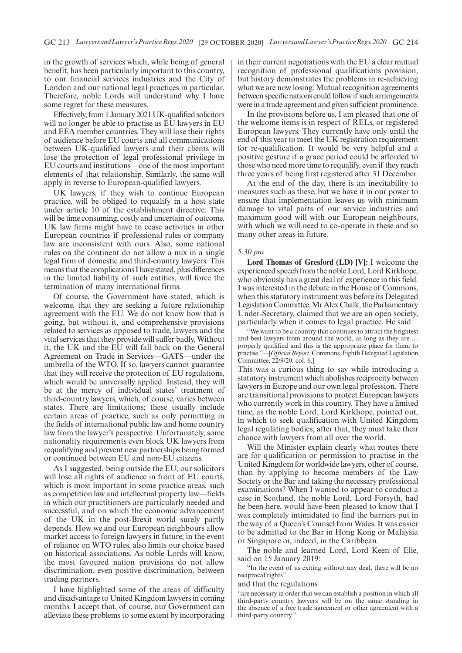in the growth of services which, while being of general benefit, has been particularly important to this country, to our financial services industries and the City of London and our national legal practices in particular. Therefore, noble Lords will understand why I have some regret for these measures.

Effectively, from 1 January 2021 UK-qualified solicitors will no longer be able to practise as EU lawyers in EU and EEA member countries. They will lose their rights of audience before EU courts and all communications between UK-qualified lawyers and their clients will lose the protection of legal professional privilege in EU courts and institutions—one of the most important elements of that relationship. Similarly, the same will apply in reverse to European-qualified lawyers.

UK lawyers, if they wish to continue European practice, will be obliged to requalify in a host state under article 10 of the establishment directive. This will be time consuming, costly and uncertain of outcome. UK law firms might have to cease activities in other European countries if professional rules or company law are inconsistent with ours. Also, some national rules on the continent do not allow a mix in a single legal firm of domestic and third-country lawyers. This means that the complications I have stated, plus differences in the limited liability of such entities, will force the termination of many international firms.

Of course, the Government have stated, which is welcome, that they are seeking a future relationship agreement with the EU. We do not know how that is going, but without it, and comprehensive provisions related to services as opposed to trade, lawyers and the vital services that they provide will suffer badly. Without it, the UK and the EU will fall back on the General Agreement on Trade in Services—GATS—under the umbrella of the WTO. If so, lawyers cannot guarantee that they will receive the protection of EU regulations, which would be universally applied. Instead, they will be at the mercy of individual states' treatment of third-country lawyers, which, of course, varies between states. There are limitations; these usually include certain areas of practice, such as only permitting in the fields of international public law and home country law from the lawyer's perspective. Unfortunately, some nationality requirements even block UK lawyers from requalifying and prevent new partnerships being formed or continued between EU and non-EU citizens.

As I suggested, being outside the EU, our solicitors will lose all rights of audience in front of EU courts, which is most important in some practice areas, such as competition law and intellectual property law—fields in which our practitioners are particularly needed and successful, and on which the economic advancement of the UK in the post-Brexit world surely partly depends. How we and our European neighbours allow market access to foreign lawyers in future, in the event of reliance on WTO rules, also limits our choice based on historical associations. As noble Lords will know, the most favoured nation provisions do not allow discrimination, even positive discrimination, between trading partners.

I have highlighted some of the areas of difficulty and disadvantage to United Kingdom lawyers in coming months. I accept that, of course, our Government can alleviate these problems to some extent by incorporating in their current negotiations with the EU a clear mutual recognition of professional qualifications provision, but history demonstrates the problems in re-achieving what we are now losing. Mutual recognition agreements between specific nations could follow if such arrangements were in a trade agreement and given sufficient prominence.

In the provisions before us, I am pleased that one of the welcome items is in respect of RELs, or registered European lawyers. They currently have only until the end of this year to meet the UK registration requirement for re-qualification. It would be very helpful and a positive gesture if a grace period could be afforded to those who need more time to requalify, even if they reach three years of being first registered after 31 December.

At the end of the day, there is an inevitability to measures such as these, but we have it in our power to ensure that implementation leaves us with minimum damage to vital parts of our service industries and maximum good will with our European neighbours, with which we will need to co-operate in these and so many other areas in future.

## *5.30 pm*

**Lord Thomas of Gresford (LD) [V]:** I welcome the experienced speech from the noble Lord, Lord Kirkhope, who obviously has a great deal of experience in this field. I was interested in the debate in the House of Commons, when this statutory instrument was before its Delegated Legislation Committee. Mr Alex Chalk, the Parliamentary Under-Secretary, claimed that we are an open society, particularly when it comes to legal practice. He said:

"We want to be a country that continues to attract the brightest and best lawyers from around the world, as long as they are … properly qualified and this is the appropriate place for them to practise."—[*Official Report*, Commons, Eighth Delegated Legislation Committee, 22/9/20; col. 6.]

This was a curious thing to say while introducing a statutory instrument which abolishes reciprocity between lawyers in Europe and our own legal profession. There are transitional provisions to protect European lawyers who currently work in this country. They have a limited time, as the noble Lord, Lord Kirkhope, pointed out, in which to seek qualification with United Kingdom legal regulating bodies; after that, they must take their chance with lawyers from all over the world.

Will the Minister explain clearly what routes there are for qualification or permission to practise in the United Kingdom for worldwide lawyers, other of course, than by applying to become members of the Law Society or the Bar and taking the necessary professional examinations? When I wanted to appear to conduct a case in Scotland, the noble Lord, Lord Forsyth, had he been here, would have been pleased to know that I was completely intimidated to find the barriers put in the way of a Queen's Counsel from Wales. It was easier to be admitted to the Bar in Hong Kong or Malaysia or Singapore or, indeed, in the Caribbean.

The noble and learned Lord, Lord Keen of Elie, said on 15 January 2019:

"In the event of us exiting without any deal, there will be no reciprocal rights"

## and that the regulations

"are necessary in order that we can establish a position in which all third-party country lawyers will be on the same standing in the absence of a free trade agreement or other agreement with a third-party country."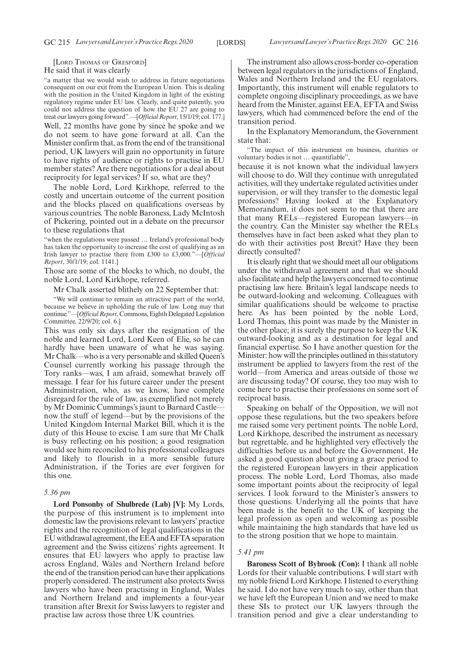[LORD THOMAS OF GRESFORD] He said that it was clearly

"a matter that we would wish to address in future negotiations consequent on our exit from the European Union. This is dealing with the position in the United Kingdom in light of the existing regulatory regime under EU law. Clearly, and quite patently, you could not address the question of how the EU 27 are going to treat our lawyers going forward".—[*Official Report*, 15/1/19; col. 177.] Well, 22 months have gone by since he spoke and we do not seem to have gone forward at all. Can the Minister confirm that, as from the end of the transitional period, UK lawyers will gain no opportunity in future to have rights of audience or rights to practise in EU member states? Are there negotiations for a deal about reciprocity for legal services? If so, what are they?

The noble Lord, Lord Kirkhope, referred to the costly and uncertain outcome of the current position and the blocks placed on qualifications overseas by various countries. The noble Baroness, Lady McIntosh of Pickering, pointed out in a debate on the precursor to these regulations that

"when the regulations were passed … Ireland's professional body has taken the opportunity to increase the cost of qualifying as an Irish lawyer to practise there from £300 to £3,000."—[*Official Report*, 30/1/19; col. 1141.]

Those are some of the blocks to which, no doubt, the noble Lord, Lord Kirkhope, referred.

Mr Chalk asserted blithely on 22 September that:

"We will continue to remain an attractive part of the world, because we believe in upholding the rule of law. Long may that continue."—[*Official Report*, Commons, Eighth Delegated Legislation Committee, 22/9/20; col. 6.]

This was only six days after the resignation of the noble and learned Lord, Lord Keen of Elie, so he can hardly have been unaware of what he was saying. Mr Chalk—who is a very personable and skilled Queen's Counsel currently working his passage through the Tory ranks—was, I am afraid, somewhat bravely off message. I fear for his future career under the present Administration, who, as we know, have complete disregard for the rule of law, as exemplified not merely by Mr Dominic Cummings's jaunt to Barnard Castle now the stuff of legend—but by the provisions of the United Kingdom Internal Market Bill, which it is the duty of this House to excise. I am sure that Mr Chalk is busy reflecting on his position; a good resignation would see him reconciled to his professional colleagues and likely to flourish in a more sensible future Administration, if the Tories are ever forgiven for this one.

#### *5.36 pm*

**Lord Ponsonby of Shulbrede (Lab) [V]:** My Lords, the purpose of this instrument is to implement into domestic law the provisions relevant to lawyers' practice rights and the recognition of legal qualifications in the EU withdrawal agreement, the EEA and EFTA separation agreement and the Swiss citizens' rights agreement. It ensures that EU lawyers who apply to practise law across England, Wales and Northern Ireland before the end of the transition period can have their applications properly considered. The instrument also protects Swiss lawyers who have been practising in England, Wales and Northern Ireland and implements a four-year transition after Brexit for Swiss lawyers to register and practise law across those three UK countries.

The instrument also allows cross-border co-operation between legal regulators in the jurisdictions of England, Wales and Northern Ireland and the EU regulators. Importantly, this instrument will enable regulators to complete ongoing disciplinary proceedings, as we have heard from the Minister, against EEA, EFTA and Swiss lawyers, which had commenced before the end of the transition period.

In the Explanatory Memorandum, the Government state that:

"The impact of this instrument on business, charities or voluntary bodies is not … quantifiable",

because it is not known what the individual lawyers will choose to do. Will they continue with unregulated activities, will they undertake regulated activities under supervision, or will they transfer to the domestic legal professions? Having looked at the Explanatory Memorandum, it does not seem to me that there are that many RELs—registered European lawyers—in the country. Can the Minister say whether the RELs themselves have in fact been asked what they plan to do with their activities post Brexit? Have they been directly consulted?

It is clearly right that we should meet all our obligations under the withdrawal agreement and that we should also facilitate and help the lawyers concerned to continue practising law here. Britain's legal landscape needs to be outward-looking and welcoming. Colleagues with similar qualifications should be welcome to practise here. As has been pointed by the noble Lord, Lord Thomas, this point was made by the Minister in the other place; it is surely the purpose to keep the UK outward-looking and as a destination for legal and financial expertise. So I have another question for the Minister: how will the principles outlined in this statutory instrument be applied to lawyers from the rest of the world—from America and areas outside of those we are discussing today? Of course, they too may wish to come here to practise their professions on some sort of reciprocal basis.

Speaking on behalf of the Opposition, we will not oppose these regulations, but the two speakers before me raised some very pertinent points. The noble Lord, Lord Kirkhope, described the instrument as necessary but regrettable, and he highlighted very effectively the difficulties before us and before the Government. He asked a good question about giving a grace period to the registered European lawyers in their application process. The noble Lord, Lord Thomas, also made some important points about the reciprocity of legal services. I look forward to the Minister's answers to those questions. Underlying all the points that have been made is the benefit to the UK of keeping the legal profession as open and welcoming as possible while maintaining the high standards that have led us to the strong position that we hope to maintain.

## *5.41 pm*

**Baroness Scott of Bybrook (Con):** I thank all noble Lords for their valuable contributions. I will start with my noble friend Lord Kirkhope. I listened to everything he said. I do not have very much to say, other than that we have left the European Union and we need to make these SIs to protect our UK lawyers through the transition period and give a clear understanding to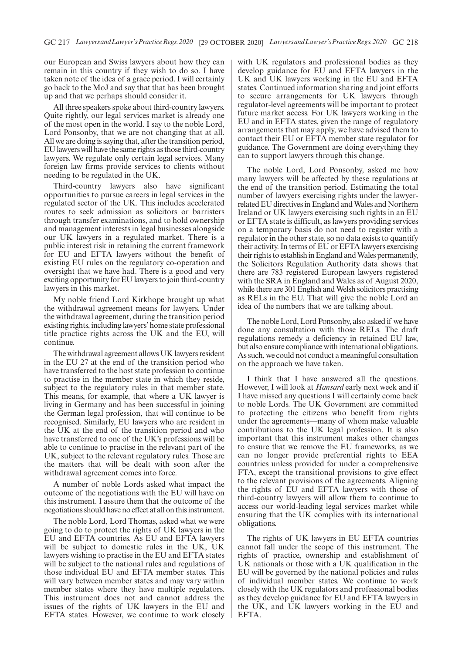our European and Swiss lawyers about how they can remain in this country if they wish to do so. I have taken note of the idea of a grace period. I will certainly go back to the MoJ and say that that has been brought up and that we perhaps should consider it.

All three speakers spoke about third-country lawyers. Quite rightly, our legal services market is already one of the most open in the world. I say to the noble Lord, Lord Ponsonby, that we are not changing that at all. All we are doing is saying that, after the transition period, EU lawyers will have the same rights as those third-country lawyers. We regulate only certain legal services. Many foreign law firms provide services to clients without needing to be regulated in the UK.

Third-country lawyers also have significant opportunities to pursue careers in legal services in the regulated sector of the UK. This includes accelerated routes to seek admission as solicitors or barristers through transfer examinations, and to hold ownership and management interests in legal businesses alongside our UK lawyers in a regulated market. There is a public interest risk in retaining the current framework for EU and EFTA lawyers without the benefit of existing EU rules on the regulatory co-operation and oversight that we have had. There is a good and very exciting opportunity for EU lawyers to join third-country lawyers in this market.

My noble friend Lord Kirkhope brought up what the withdrawal agreement means for lawyers. Under the withdrawal agreement, during the transition period existing rights, including lawyers'home state professional title practice rights across the UK and the EU, will continue.

The withdrawal agreement allows UK lawyers resident in the EU 27 at the end of the transition period who have transferred to the host state profession to continue to practise in the member state in which they reside, subject to the regulatory rules in that member state. This means, for example, that where a UK lawyer is living in Germany and has been successful in joining the German legal profession, that will continue to be recognised. Similarly, EU lawyers who are resident in the UK at the end of the transition period and who have transferred to one of the UK's professions will be able to continue to practise in the relevant part of the UK, subject to the relevant regulatory rules. Those are the matters that will be dealt with soon after the withdrawal agreement comes into force.

A number of noble Lords asked what impact the outcome of the negotiations with the EU will have on this instrument. I assure them that the outcome of the negotiations should have no effect at all on this instrument.

The noble Lord, Lord Thomas, asked what we were going to do to protect the rights of UK lawyers in the EU and EFTA countries. As EU and EFTA lawyers will be subject to domestic rules in the UK, UK lawyers wishing to practise in the EU and EFTA states will be subject to the national rules and regulations of those individual EU and EFTA member states. This will vary between member states and may vary within member states where they have multiple regulators. This instrument does not and cannot address the issues of the rights of UK lawyers in the EU and EFTA states. However, we continue to work closely with UK regulators and professional bodies as they develop guidance for EU and EFTA lawyers in the UK and UK lawyers working in the EU and EFTA states. Continued information sharing and joint efforts to secure arrangements for UK lawyers through regulator-level agreements will be important to protect future market access. For UK lawyers working in the EU and in EFTA states, given the range of regulatory arrangements that may apply, we have advised them to contact their EU or EFTA member state regulator for guidance. The Government are doing everything they can to support lawyers through this change.

The noble Lord, Lord Ponsonby, asked me how many lawyers will be affected by these regulations at the end of the transition period. Estimating the total number of lawyers exercising rights under the lawyerrelated EU directives in England and Wales and Northern Ireland or UK lawyers exercising such rights in an EU or EFTA state is difficult, as lawyers providing services on a temporary basis do not need to register with a regulator in the other state, so no data exists to quantify their activity. In terms of EU or EFTA lawyers exercising their rights to establish in England and Wales permanently, the Solicitors Regulation Authority data shows that there are 783 registered European lawyers registered with the SRA in England and Wales as of August 2020, while there are 301 English and Welsh solicitors practising as RELs in the EU. That will give the noble Lord an idea of the numbers that we are talking about.

The noble Lord, Lord Ponsonby, also asked if we have done any consultation with those RELs. The draft regulations remedy a deficiency in retained EU law, but also ensure compliance with international obligations. As such, we could not conduct a meaningful consultation on the approach we have taken.

I think that I have answered all the questions. However, I will look at *Hansard* early next week and if I have missed any questions I will certainly come back to noble Lords. The UK Government are committed to protecting the citizens who benefit from rights under the agreements—many of whom make valuable contributions to the UK legal profession. It is also important that this instrument makes other changes to ensure that we remove the EU frameworks, as we can no longer provide preferential rights to EEA countries unless provided for under a comprehensive FTA, except the transitional provisions to give effect to the relevant provisions of the agreements. Aligning the rights of EU and EFTA lawyers with those of third-country lawyers will allow them to continue to access our world-leading legal services market while ensuring that the UK complies with its international obligations.

The rights of UK lawyers in EU EFTA countries cannot fall under the scope of this instrument. The rights of practice, ownership and establishment of UK nationals or those with a UK qualification in the EU will be governed by the national policies and rules of individual member states. We continue to work closely with the UK regulators and professional bodies as they develop guidance for EU and EFTA lawyers in the UK, and UK lawyers working in the EU and EFTA.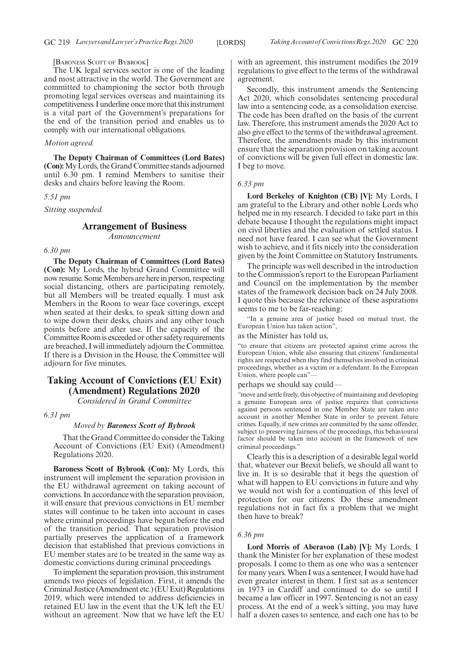## [BARONESS SCOTT OF BYBROOK]

The UK legal services sector is one of the leading and most attractive in the world. The Government are committed to championing the sector both through promoting legal services overseas and maintaining its competitiveness. I underline once more that this instrument is a vital part of the Government's preparations for the end of the transition period and enables us to comply with our international obligations.

#### *Motion agreed.*

**The Deputy Chairman of Committees (Lord Bates) (Con):**My Lords, the Grand Committee stands adjourned until 6.30 pm. I remind Members to sanitise their desks and chairs before leaving the Room.

#### *5.51 pm*

*Sitting suspended.*

# **Arrangement of Business** *Announcement*

# *6.30 pm*

**The Deputy Chairman of Committees (Lord Bates) (Con):** My Lords, the hybrid Grand Committee will now resume. Some Members are here in person, respecting social distancing, others are participating remotely, but all Members will be treated equally. I must ask Members in the Room to wear face coverings, except when seated at their desks, to speak sitting down and to wipe down their desks, chairs and any other touch points before and after use. If the capacity of the Committee Room is exceeded or other safety requirements are breached, I will immediately adjourn the Committee. If there is a Division in the House, the Committee will adjourn for five minutes.

# **Taking Account of Convictions (EU Exit) (Amendment) Regulations 2020**

*Considered in Grand Committee*

*6.31 pm*

#### *Moved by Baroness Scott of Bybrook*

That the Grand Committee do consider the Taking Account of Convictions (EU Exit) (Amendment) Regulations 2020.

**Baroness Scott of Bybrook (Con):** My Lords, this instrument will implement the separation provision in the EU withdrawal agreement on taking account of convictions. In accordance with the separation provision, it will ensure that previous convictions in EU member states will continue to be taken into account in cases where criminal proceedings have begun before the end of the transition period. That separation provision partially preserves the application of a framework decision that established that previous convictions in EU member states are to be treated in the same way as domestic convictions during criminal proceedings.

To implement the separation provision, this instrument amends two pieces of legislation. First, it amends the Criminal Justice (Amendment etc.) (EU Exit) Regulations 2019, which were intended to address deficiencies in retained EU law in the event that the UK left the EU without an agreement. Now that we have left the EU with an agreement, this instrument modifies the 2019 regulations to give effect to the terms of the withdrawal agreement.

Secondly, this instrument amends the Sentencing Act 2020, which consolidates sentencing procedural law into a sentencing code, as a consolidation exercise. The code has been drafted on the basis of the current law. Therefore, this instrument amends the 2020 Act to also give effect to the terms of the withdrawal agreement. Therefore, the amendments made by this instrument ensure that the separation provision on taking account of convictions will be given full effect in domestic law. I beg to move.

#### *6.33 pm*

**Lord Berkeley of Knighton (CB) [V]:** My Lords, I am grateful to the Library and other noble Lords who helped me in my research. I decided to take part in this debate because I thought the regulations might impact on civil liberties and the evaluation of settled status. I need not have feared. I can see what the Government wish to achieve, and it fits nicely into the consideration given by the Joint Committee on Statutory Instruments.

The principle was well described in the introduction to the Commission's report to the European Parliament and Council on the implementation by the member states of the framework decision back on 24 July 2008. I quote this because the relevance of these aspirations seems to me to be far-reaching:

"In a genuine area of justice based on mutual trust, the European Union has taken action",

## as the Minister has told us,

"to ensure that citizens are protected against crime across the European Union, while also ensuring that citizens' fundamental rights are respected when they find themselves involved in criminal proceedings, whether as a victim or a defendant. In the European Union, where people can"—

perhaps we should say could—

"move and settle freely, this objective of maintaining and developing a genuine European area of justice requires that convictions against persons sentenced in one Member State are taken into account in another Member State in order to prevent future crimes. Equally, if new crimes are committed by the same offender, subject to preserving fairness of the proceedings, this behavioural factor should be taken into account in the framework of new criminal proceedings."

Clearly this is a description of a desirable legal world that, whatever our Brexit beliefs, we should all want to live in. It is so desirable that it begs the question of what will happen to EU convictions in future and why we would not wish for a continuation of this level of protection for our citizens. Do these amendment regulations not in fact fix a problem that we might then have to break?

#### *6.36 pm*

**Lord Morris of Aberavon (Lab) [V]:** My Lords, I thank the Minister for her explanation of these modest proposals. I come to them as one who was a sentencer for many years. When I was a sentencer, I would have had even greater interest in them. I first sat as a sentencer in 1973 in Cardiff and continued to do so until I became a law officer in 1997. Sentencing is not an easy process. At the end of a week's sitting, you may have half a dozen cases to sentence, and each one has to be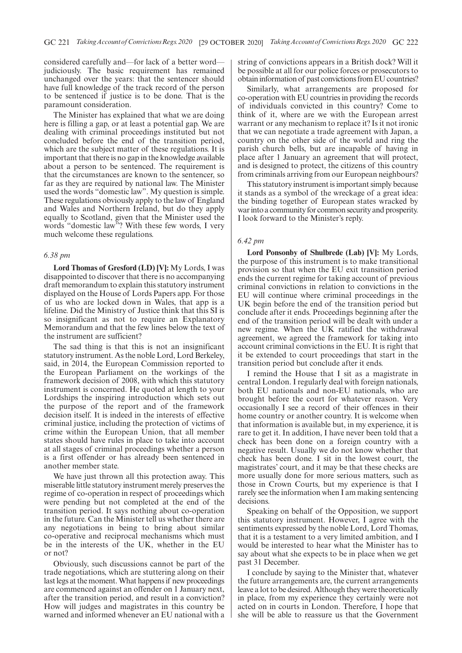considered carefully and—for lack of a better word judiciously. The basic requirement has remained unchanged over the years: that the sentencer should have full knowledge of the track record of the person to be sentenced if justice is to be done. That is the paramount consideration.

The Minister has explained that what we are doing here is filling a gap, or at least a potential gap. We are dealing with criminal proceedings instituted but not concluded before the end of the transition period, which are the subject matter of these regulations. It is important that there is no gap in the knowledge available about a person to be sentenced. The requirement is that the circumstances are known to the sentencer, so far as they are required by national law. The Minister used the words "domestic law". My question is simple. These regulations obviously apply to the law of England and Wales and Northern Ireland, but do they apply equally to Scotland, given that the Minister used the words "domestic law"? With these few words, I very much welcome these regulations.

## *6.38 pm*

**Lord Thomas of Gresford (LD) [V]:** My Lords, I was disappointed to discover that there is no accompanying draft memorandum to explain this statutory instrument displayed on the House of Lords Papers app. For those of us who are locked down in Wales, that app is a lifeline. Did the Ministry of Justice think that this SI is so insignificant as not to require an Explanatory Memorandum and that the few lines below the text of the instrument are sufficient?

The sad thing is that this is not an insignificant statutory instrument. As the noble Lord, Lord Berkeley, said, in 2014, the European Commission reported to the European Parliament on the workings of the framework decision of 2008, with which this statutory instrument is concerned. He quoted at length to your Lordships the inspiring introduction which sets out the purpose of the report and of the framework decision itself. It is indeed in the interests of effective criminal justice, including the protection of victims of crime within the European Union, that all member states should have rules in place to take into account at all stages of criminal proceedings whether a person is a first offender or has already been sentenced in another member state.

We have just thrown all this protection away. This miserable little statutory instrument merely preserves the regime of co-operation in respect of proceedings which were pending but not completed at the end of the transition period. It says nothing about co-operation in the future. Can the Minister tell us whether there are any negotiations in being to bring about similar co-operative and reciprocal mechanisms which must be in the interests of the UK, whether in the EU or not?

Obviously, such discussions cannot be part of the trade negotiations, which are stuttering along on their last legs at the moment. What happens if new proceedings are commenced against an offender on 1 January next, after the transition period, and result in a conviction? How will judges and magistrates in this country be warned and informed whenever an EU national with a string of convictions appears in a British dock? Will it be possible at all for our police forces or prosecutors to obtain information of past convictions from EU countries?

Similarly, what arrangements are proposed for co-operation with EU countries in providing the records of individuals convicted in this country? Come to think of it, where are we with the European arrest warrant or any mechanism to replace it? Is it not ironic that we can negotiate a trade agreement with Japan, a country on the other side of the world and ring the parish church bells, but are incapable of having in place after 1 January an agreement that will protect, and is designed to protect, the citizens of this country from criminals arriving from our European neighbours?

This statutory instrument is important simply because it stands as a symbol of the wreckage of a great idea: the binding together of European states wracked by war into a community for common security and prosperity. I look forward to the Minister's reply.

## *6.42 pm*

**Lord Ponsonby of Shulbrede (Lab) [V]:** My Lords, the purpose of this instrument is to make transitional provision so that when the EU exit transition period ends the current regime for taking account of previous criminal convictions in relation to convictions in the EU will continue where criminal proceedings in the UK begin before the end of the transition period but conclude after it ends. Proceedings beginning after the end of the transition period will be dealt with under a new regime. When the UK ratified the withdrawal agreement, we agreed the framework for taking into account criminal convictions in the EU. It is right that it be extended to court proceedings that start in the transition period but conclude after it ends.

I remind the House that I sit as a magistrate in central London. I regularly deal with foreign nationals, both EU nationals and non-EU nationals, who are brought before the court for whatever reason. Very occasionally I see a record of their offences in their home country or another country. It is welcome when that information is available but, in my experience, it is rare to get it. In addition, I have never been told that a check has been done on a foreign country with a negative result. Usually we do not know whether that check has been done. I sit in the lowest court, the magistrates' court, and it may be that these checks are more usually done for more serious matters, such as those in Crown Courts, but my experience is that I rarely see the information when I am making sentencing decisions.

Speaking on behalf of the Opposition, we support this statutory instrument. However, I agree with the sentiments expressed by the noble Lord, Lord Thomas, that it is a testament to a very limited ambition, and I would be interested to hear what the Minister has to say about what she expects to be in place when we get past 31 December.

I conclude by saying to the Minister that, whatever the future arrangements are, the current arrangements leave a lot to be desired. Although they were theoretically in place, from my experience they certainly were not acted on in courts in London. Therefore, I hope that she will be able to reassure us that the Government